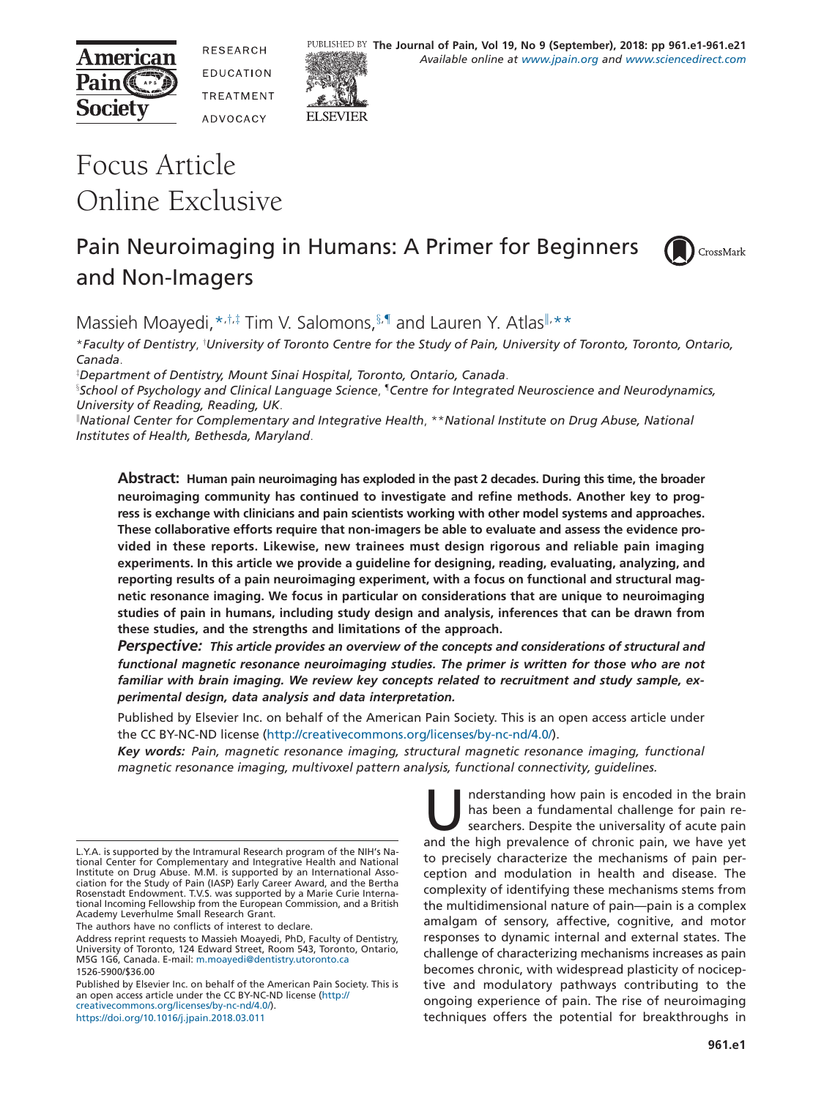



RESEARCH **FDUCATION TREATMENT** ADVOCACY



# Focus Article Online Exclusive

# Pain Neuroimaging in Humans: A Primer for Beginners and Non-Imagers

<span id="page-0-6"></span>

Massieh Moayedi, \* $\ddot{h}$ # Tim V. Salomons,  $\S$ . III and Lauren Y. Atlas II. \* \*

<span id="page-0-1"></span><span id="page-0-0"></span>\**Faculty of Dentistry*, † *University of Toronto Centre for the Study of Pain, University of Toronto, Toronto, Ontario, Canada*.

<span id="page-0-2"></span>‡ *Department of Dentistry, Mount Sinai Hospital, Toronto, Ontario, Canada*.

<span id="page-0-3"></span>§ *School of Psychology and Clinical Language Science*, ¶*Centre for Integrated Neuroscience and Neurodynamics, University of Reading, Reading, UK*.

<span id="page-0-5"></span>‖ *National Center for Complementary and Integrative Health*, \*\**National Institute on Drug Abuse, National Institutes of Health, Bethesda, Maryland*.

<span id="page-0-4"></span>**Abstract: Human pain neuroimaging has exploded in the past 2 decades. During this time, the broader neuroimaging community has continued to investigate and refine methods. Another key to progress is exchange with clinicians and pain scientists working with other model systems and approaches. These collaborative efforts require that non-imagers be able to evaluate and assess the evidence provided in these reports. Likewise, new trainees must design rigorous and reliable pain imaging experiments. In this article we provide a guideline for designing, reading, evaluating, analyzing, and reporting results of a pain neuroimaging experiment, with a focus on functional and structural magnetic resonance imaging. We focus in particular on considerations that are unique to neuroimaging studies of pain in humans, including study design and analysis, inferences that can be drawn from these studies, and the strengths and limitations of the approach.**

*Perspective: This article provides an overview of the concepts and considerations of structural and functional magnetic resonance neuroimaging studies. The primer is written for those who are not familiar with brain imaging. We review key concepts related to recruitment and study sample, experimental design, data analysis and data interpretation.*

Published by Elsevier Inc. on behalf of the American Pain Society. This is an open access article under the CC BY-NC-ND license (http://creativecommons.org/licenses/by-nc-nd/4.0/).

*Key words: Pain, magnetic resonance imaging, structural magnetic resonance imaging, functional magnetic resonance imaging, multivoxel pattern analysis, functional connectivity, guidelines.*

The authors have no conflicts of interest to declare.

Published by Elsevier Inc. on behalf of the American Pain Society. This is an open access article under the CC BY-NC-ND license (http:// creativecommons.org/licenses/by-nc-nd/4.0/).

https://doi.org/10.1016/j.jpain.2018.03.011

nderstanding how pain is encoded in the brain has been a fundamental challenge for pain researchers. Despite the universality of acute pain and the high prevalence of chronic pain, we have yet to precisely characterize the mechanisms of pain perception and modulation in health and disease. The complexity of identifying these mechanisms stems from the multidimensional nature of pain—pain is a complex amalgam of sensory, affective, cognitive, and motor responses to dynamic internal and external states. The challenge of characterizing mechanisms increases as pain becomes chronic, with widespread plasticity of nociceptive and modulatory pathways contributing to the ongoing experience of pain. The rise of neuroimaging techniques offers the potential for breakthroughs in

L.Y.A. is supported by the Intramural Research program of the NIH's National Center for Complementary and Integrative Health and National Institute on Drug Abuse. M.M. is supported by an International Association for the Study of Pain (IASP) Early Career Award, and the Bertha Rosenstadt Endowment. T.V.S. was supported by a Marie Curie International Incoming Fellowship from the European Commission, and a British Academy Leverhulme Small Research Grant.

Address reprint requests to Massieh Moayedi, PhD, Faculty of Dentistry, University of Toronto, 124 Edward Street, Room 543, Toronto, Ontario, M5G 1G6, Canada. E-mail: [m.moayedi@dentistry.utoronto.ca](mailto:m.moayedi@dentistry.utoronto.ca) 1526-5900/\$36.00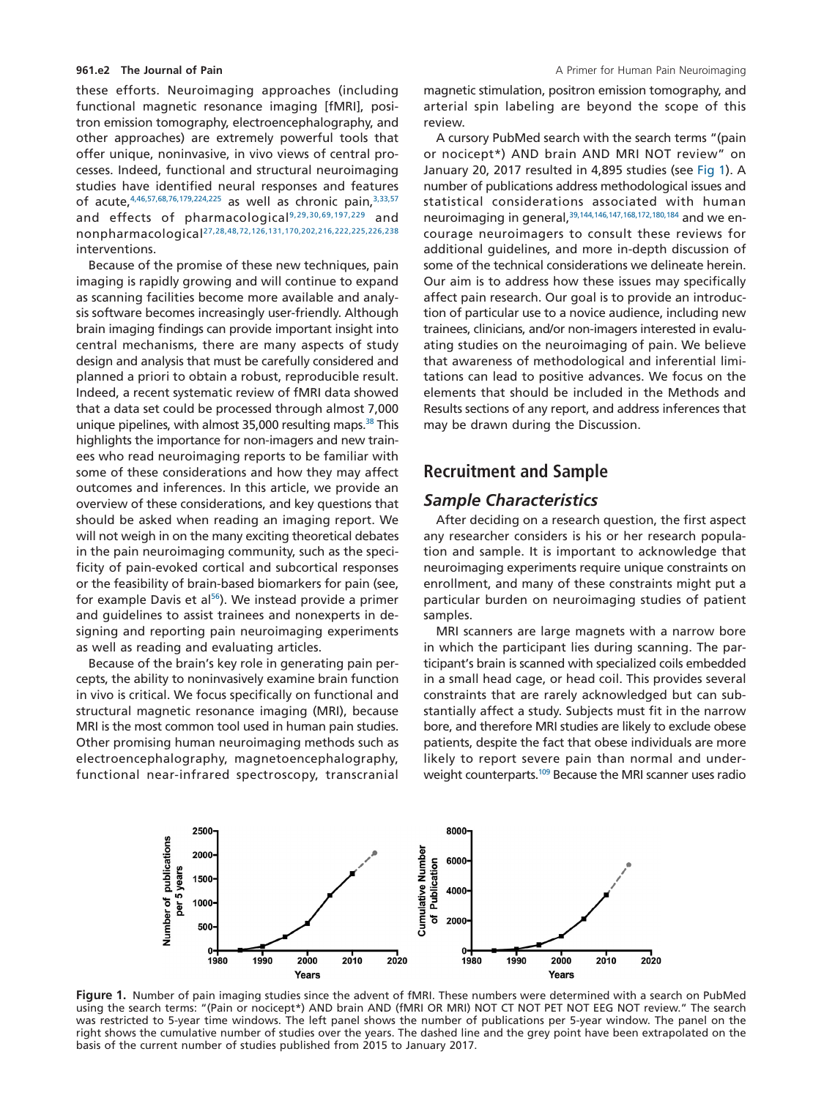these efforts. Neuroimaging approaches (including functional magnetic resonance imaging [fMRI], positron emission tomography, electroencephalography, and other approaches) are extremely powerful tools that offer unique, noninvasive, in vivo views of central processes. Indeed, functional and structural neuroimaging studies have identified neural responses and features of acute.<sup>4,46,57,68,76,179,224,225</sup> as well as chronic pain,<sup>3,33,57</sup> and effects of pharmacologica[l9,29,30,69,197,229](#page-13-2) and nonpharmacologica[l27,28,48,72,126,131,170,202,216,222,225,226,238](#page-13-3) interventions.

Because of the promise of these new techniques, pain imaging is rapidly growing and will continue to expand as scanning facilities become more available and analysis software becomes increasingly user-friendly. Although brain imaging findings can provide important insight into central mechanisms, there are many aspects of study design and analysis that must be carefully considered and planned a priori to obtain a robust, reproducible result. Indeed, a recent systematic review of fMRI data showed that a data set could be processed through almost 7,000 unique pipelines, with almost 35,000 resulting maps.<sup>38</sup> This highlights the importance for non-imagers and new trainees who read neuroimaging reports to be familiar with some of these considerations and how they may affect outcomes and inferences. In this article, we provide an overview of these considerations, and key questions that should be asked when reading an imaging report. We will not weigh in on the many exciting theoretical debates in the pain neuroimaging community, such as the specificity of pain-evoked cortical and subcortical responses or the feasibility of brain-based biomarkers for pain (see, for example Davis et al $56$ ). We instead provide a primer and guidelines to assist trainees and nonexperts in designing and reporting pain neuroimaging experiments as well as reading and evaluating articles.

Because of the brain's key role in generating pain percepts, the ability to noninvasively examine brain function in vivo is critical. We focus specifically on functional and structural magnetic resonance imaging (MRI), because MRI is the most common tool used in human pain studies. Other promising human neuroimaging methods such as electroencephalography, magnetoencephalography, functional near-infrared spectroscopy, transcranial

magnetic stimulation, positron emission tomography, and arterial spin labeling are beyond the scope of this review.

A cursory PubMed search with the search terms "(pain or nocicept\*) AND brain AND MRI NOT review" on January 20, 2017 resulted in 4,895 studies (see [Fig 1\)](#page-1-0). A number of publications address methodological issues and statistical considerations associated with human neuroimaging in general,<sup>39,144,146,147,168,172,180,184</sup> and we encourage neuroimagers to consult these reviews for additional guidelines, and more in-depth discussion of some of the technical considerations we delineate herein. Our aim is to address how these issues may specifically affect pain research. Our goal is to provide an introduction of particular use to a novice audience, including new trainees, clinicians, and/or non-imagers interested in evaluating studies on the neuroimaging of pain. We believe that awareness of methodological and inferential limitations can lead to positive advances. We focus on the elements that should be included in the Methods and Results sections of any report, and address inferences that may be drawn during the Discussion.

### **Recruitment and Sample**

### *Sample Characteristics*

After deciding on a research question, the first aspect any researcher considers is his or her research population and sample. It is important to acknowledge that neuroimaging experiments require unique constraints on enrollment, and many of these constraints might put a particular burden on neuroimaging studies of patient samples.

MRI scanners are large magnets with a narrow bore in which the participant lies during scanning. The participant's brain is scanned with specialized coils embedded in a small head cage, or head coil. This provides several constraints that are rarely acknowledged but can substantially affect a study. Subjects must fit in the narrow bore, and therefore MRI studies are likely to exclude obese patients, despite the fact that obese individuals are more likely to report severe pain than normal and underweight counterparts[.109](#page-16-0) Because the MRI scanner uses radio



<span id="page-1-0"></span>**Figure 1.** Number of pain imaging studies since the advent of fMRI. These numbers were determined with a search on PubMed using the search terms: "(Pain or nocicept\*) AND brain AND (fMRI OR MRI) NOT CT NOT PET NOT EEG NOT review." The search was restricted to 5-year time windows. The left panel shows the number of publications per 5-year window. The panel on the right shows the cumulative number of studies over the years. The dashed line and the grey point have been extrapolated on the basis of the current number of studies published from 2015 to January 2017.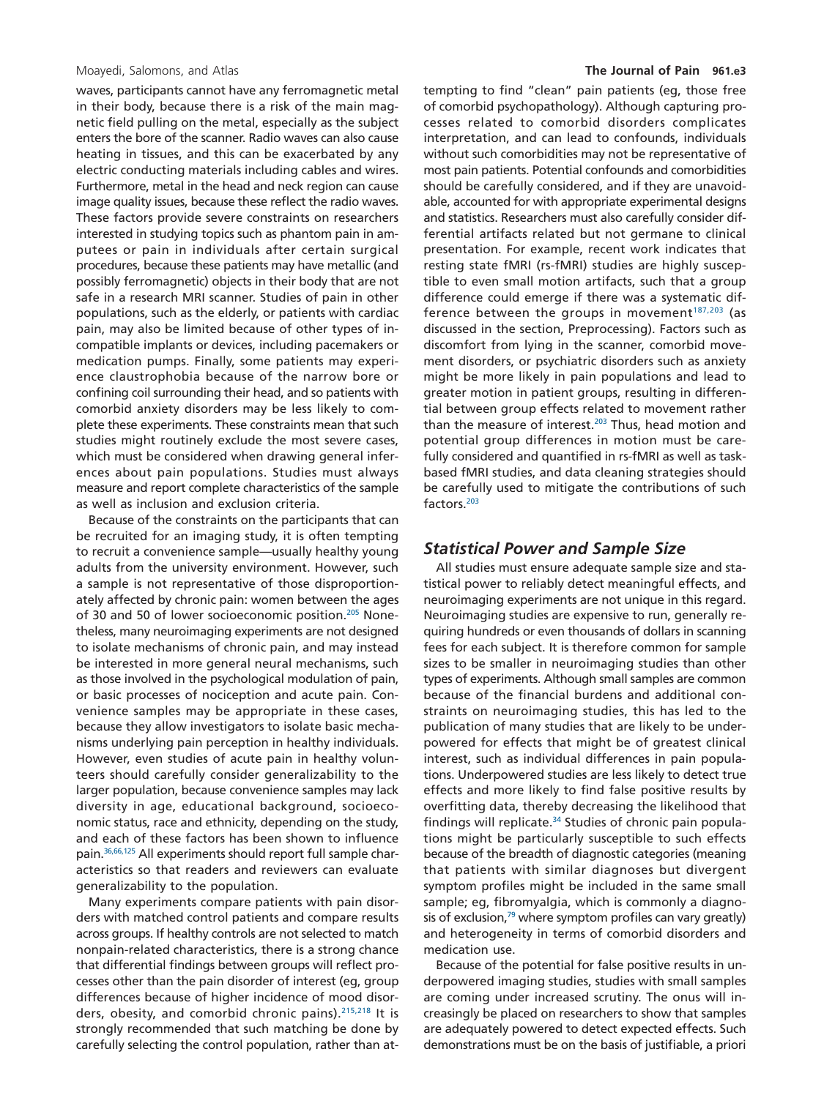waves, participants cannot have any ferromagnetic metal in their body, because there is a risk of the main magnetic field pulling on the metal, especially as the subject enters the bore of the scanner. Radio waves can also cause heating in tissues, and this can be exacerbated by any electric conducting materials including cables and wires. Furthermore, metal in the head and neck region can cause image quality issues, because these reflect the radio waves. These factors provide severe constraints on researchers interested in studying topics such as phantom pain in amputees or pain in individuals after certain surgical procedures, because these patients may have metallic (and possibly ferromagnetic) objects in their body that are not safe in a research MRI scanner. Studies of pain in other populations, such as the elderly, or patients with cardiac pain, may also be limited because of other types of incompatible implants or devices, including pacemakers or medication pumps. Finally, some patients may experience claustrophobia because of the narrow bore or confining coil surrounding their head, and so patients with comorbid anxiety disorders may be less likely to complete these experiments. These constraints mean that such studies might routinely exclude the most severe cases, which must be considered when drawing general inferences about pain populations. Studies must always measure and report complete characteristics of the sample as well as inclusion and exclusion criteria.

Because of the constraints on the participants that can be recruited for an imaging study, it is often tempting to recruit a convenience sample—usually healthy young adults from the university environment. However, such a sample is not representative of those disproportionately affected by chronic pain: women between the ages of 30 and 50 of lower socioeconomic position.<sup>205</sup> Nonetheless, many neuroimaging experiments are not designed to isolate mechanisms of chronic pain, and may instead be interested in more general neural mechanisms, such as those involved in the psychological modulation of pain, or basic processes of nociception and acute pain. Convenience samples may be appropriate in these cases, because they allow investigators to isolate basic mechanisms underlying pain perception in healthy individuals. However, even studies of acute pain in healthy volunteers should carefully consider generalizability to the larger population, because convenience samples may lack diversity in age, educational background, socioeconomic status, race and ethnicity, depending on the study, and each of these factors has been shown to influence pain[.36,66,125](#page-14-3) All experiments should report full sample characteristics so that readers and reviewers can evaluate generalizability to the population.

Many experiments compare patients with pain disorders with matched control patients and compare results across groups. If healthy controls are not selected to match nonpain-related characteristics, there is a strong chance that differential findings between groups will reflect processes other than the pain disorder of interest (eg, group differences because of higher incidence of mood disorders, obesity, and comorbid chronic pains)[.215,218](#page-19-1) It is strongly recommended that such matching be done by carefully selecting the control population, rather than at-

#### Moayedi, Salomons, and Atlas **The Journal of Pain 961.e3**

tempting to find "clean" pain patients (eg, those free of comorbid psychopathology). Although capturing processes related to comorbid disorders complicates interpretation, and can lead to confounds, individuals without such comorbidities may not be representative of most pain patients. Potential confounds and comorbidities should be carefully considered, and if they are unavoidable, accounted for with appropriate experimental designs and statistics. Researchers must also carefully consider differential artifacts related but not germane to clinical presentation. For example, recent work indicates that resting state fMRI (rs-fMRI) studies are highly susceptible to even small motion artifacts, such that a group difference could emerge if there was a systematic difference between the groups in movement $187,203$  (as discussed in the section, Preprocessing). Factors such as discomfort from lying in the scanner, comorbid movement disorders, or psychiatric disorders such as anxiety might be more likely in pain populations and lead to greater motion in patient groups, resulting in differential between group effects related to movement rather than the measure of interest.<sup>203</sup> Thus, head motion and potential group differences in motion must be carefully considered and quantified in rs-fMRI as well as taskbased fMRI studies, and data cleaning strategies should be carefully used to mitigate the contributions of such factors[.203](#page-19-2)

#### *Statistical Power and Sample Size*

All studies must ensure adequate sample size and statistical power to reliably detect meaningful effects, and neuroimaging experiments are not unique in this regard. Neuroimaging studies are expensive to run, generally requiring hundreds or even thousands of dollars in scanning fees for each subject. It is therefore common for sample sizes to be smaller in neuroimaging studies than other types of experiments. Although small samples are common because of the financial burdens and additional constraints on neuroimaging studies, this has led to the publication of many studies that are likely to be underpowered for effects that might be of greatest clinical interest, such as individual differences in pain populations. Underpowered studies are less likely to detect true effects and more likely to find false positive results by overfitting data, thereby decreasing the likelihood that findings will replicate. $34$  Studies of chronic pain populations might be particularly susceptible to such effects because of the breadth of diagnostic categories (meaning that patients with similar diagnoses but divergent symptom profiles might be included in the same small sample; eg, fibromyalgia, which is commonly a diagnosis of exclusion, $79$  where symptom profiles can vary greatly) and heterogeneity in terms of comorbid disorders and medication use.

Because of the potential for false positive results in underpowered imaging studies, studies with small samples are coming under increased scrutiny. The onus will increasingly be placed on researchers to show that samples are adequately powered to detect expected effects. Such demonstrations must be on the basis of justifiable, a priori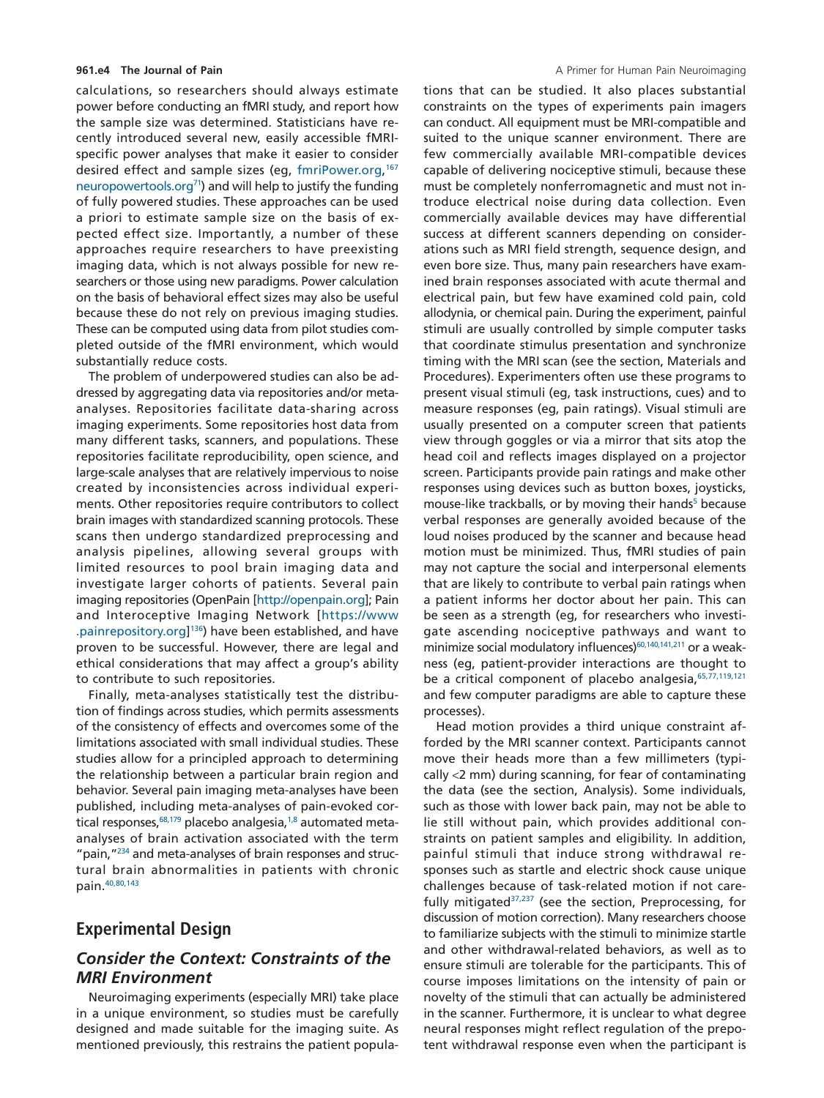calculations, so researchers should always estimate power before conducting an fMRI study, and report how the sample size was determined. Statisticians have recently introduced several new, easily accessible fMRIspecific power analyses that make it easier to consider desired effect and sample sizes (eg, [fmriPower.org,](http://fmriPower.org) [167](#page-18-1) [neuropowertools.org](http://neuropowertools.org)<sup>71</sup>) and will help to justify the funding of fully powered studies. These approaches can be used a priori to estimate sample size on the basis of expected effect size. Importantly, a number of these approaches require researchers to have preexisting imaging data, which is not always possible for new researchers or those using new paradigms. Power calculation on the basis of behavioral effect sizes may also be useful because these do not rely on previous imaging studies. These can be computed using data from pilot studies completed outside of the fMRI environment, which would substantially reduce costs.

The problem of underpowered studies can also be addressed by aggregating data via repositories and/or metaanalyses. Repositories facilitate data-sharing across imaging experiments. Some repositories host data from many different tasks, scanners, and populations. These repositories facilitate reproducibility, open science, and large-scale analyses that are relatively impervious to noise created by inconsistencies across individual experiments. Other repositories require contributors to collect brain images with standardized scanning protocols. These scans then undergo standardized preprocessing and analysis pipelines, allowing several groups with limited resources to pool brain imaging data and investigate larger cohorts of patients. Several pain imaging repositories (OpenPain [\[http://openpain.org\]](http://openpain.org); Pain and Interoceptive Imaging Network [\[https://www](https://www.painrepository.org) [.painrepository.org\]](https://www.painrepository.org) [136\)](#page-17-0) have been established, and have proven to be successful. However, there are legal and ethical considerations that may affect a group's ability to contribute to such repositories.

Finally, meta-analyses statistically test the distribution of findings across studies, which permits assessments of the consistency of effects and overcomes some of the limitations associated with small individual studies. These studies allow for a principled approach to determining the relationship between a particular brain region and behavior. Several pain imaging meta-analyses have been published, including meta-analyses of pain-evoked cortical responses, <sup>68,179</sup> placebo analgesia,<sup>1,8</sup> automated metaanalyses of brain activation associated with the term "pain, "<sup>234</sup> and meta-analyses of brain responses and structural brain abnormalities in patients with chronic pain[.40,80,143](#page-14-4)

# **Experimental Design**

# *Consider the Context: Constraints of the MRI Environment*

Neuroimaging experiments (especially MRI) take place in a unique environment, so studies must be carefully designed and made suitable for the imaging suite. As mentioned previously, this restrains the patient populations that can be studied. It also places substantial constraints on the types of experiments pain imagers can conduct. All equipment must be MRI-compatible and suited to the unique scanner environment. There are few commercially available MRI-compatible devices capable of delivering nociceptive stimuli, because these must be completely nonferromagnetic and must not introduce electrical noise during data collection. Even commercially available devices may have differential success at different scanners depending on considerations such as MRI field strength, sequence design, and even bore size. Thus, many pain researchers have examined brain responses associated with acute thermal and electrical pain, but few have examined cold pain, cold allodynia, or chemical pain. During the experiment, painful stimuli are usually controlled by simple computer tasks that coordinate stimulus presentation and synchronize timing with the MRI scan (see the section, Materials and Procedures). Experimenters often use these programs to present visual stimuli (eg, task instructions, cues) and to measure responses (eg, pain ratings). Visual stimuli are usually presented on a computer screen that patients view through goggles or via a mirror that sits atop the head coil and reflects images displayed on a projector screen. Participants provide pain ratings and make other responses using devices such as button boxes, joysticks, mouse-like trackballs, or by moving their hands<sup>5</sup> because verbal responses are generally avoided because of the loud noises produced by the scanner and because head motion must be minimized. Thus, fMRI studies of pain may not capture the social and interpersonal elements that are likely to contribute to verbal pain ratings when a patient informs her doctor about her pain. This can be seen as a strength (eg, for researchers who investigate ascending nociceptive pathways and want to minimize social modulatory influences)<sup>60,140,141,211</sup> or a weakness (eg, patient-provider interactions are thought to be a critical component of placebo analgesia, 65,77,119,121 and few computer paradigms are able to capture these processes).

Head motion provides a third unique constraint afforded by the MRI scanner context. Participants cannot move their heads more than a few millimeters (typically <2 mm) during scanning, for fear of contaminating the data (see the section, Analysis). Some individuals, such as those with lower back pain, may not be able to lie still without pain, which provides additional constraints on patient samples and eligibility. In addition, painful stimuli that induce strong withdrawal responses such as startle and electric shock cause unique challenges because of task-related motion if not carefully mitigated $37,237$  (see the section, Preprocessing, for discussion of motion correction). Many researchers choose to familiarize subjects with the stimuli to minimize startle and other withdrawal-related behaviors, as well as to ensure stimuli are tolerable for the participants. This of course imposes limitations on the intensity of pain or novelty of the stimuli that can actually be administered in the scanner. Furthermore, it is unclear to what degree neural responses might reflect regulation of the prepotent withdrawal response even when the participant is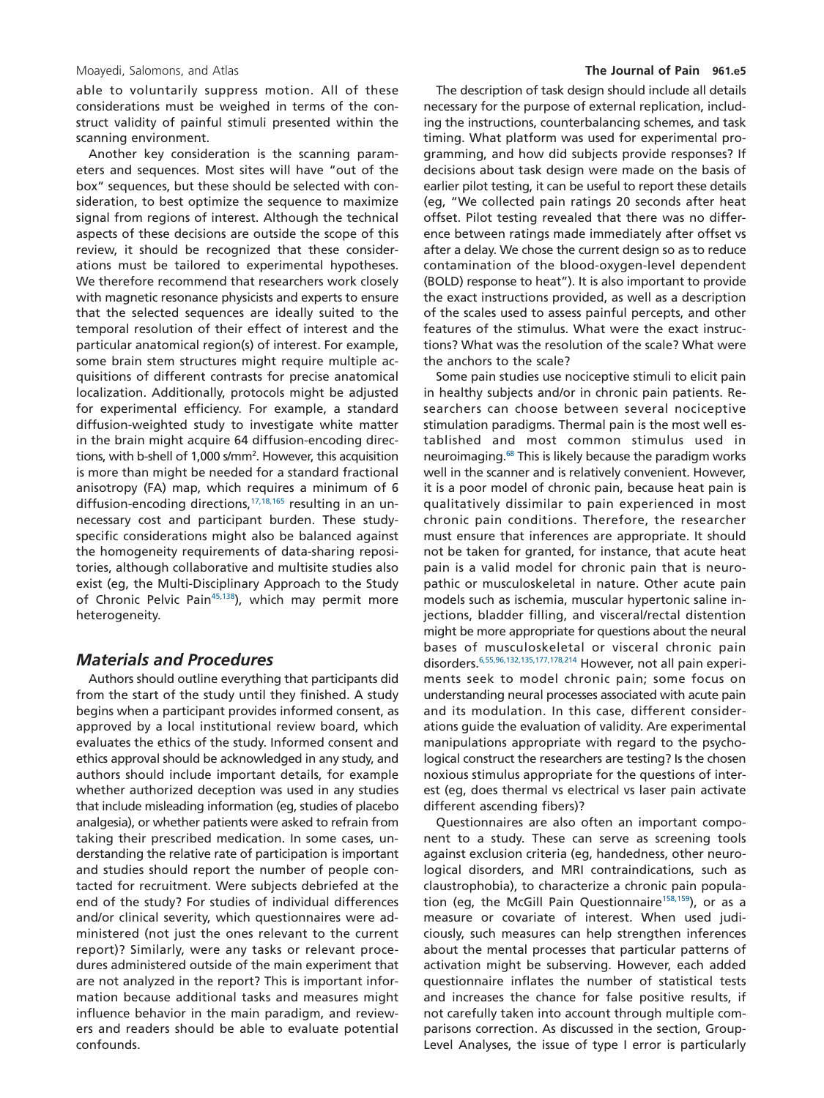able to voluntarily suppress motion. All of these considerations must be weighed in terms of the construct validity of painful stimuli presented within the scanning environment.

Another key consideration is the scanning parameters and sequences. Most sites will have "out of the box" sequences, but these should be selected with consideration, to best optimize the sequence to maximize signal from regions of interest. Although the technical aspects of these decisions are outside the scope of this review, it should be recognized that these considerations must be tailored to experimental hypotheses. We therefore recommend that researchers work closely with magnetic resonance physicists and experts to ensure that the selected sequences are ideally suited to the temporal resolution of their effect of interest and the particular anatomical region(s) of interest. For example, some brain stem structures might require multiple acquisitions of different contrasts for precise anatomical localization. Additionally, protocols might be adjusted for experimental efficiency. For example, a standard diffusion-weighted study to investigate white matter in the brain might acquire 64 diffusion-encoding directions, with b-shell of 1,000 s/mm<sup>2</sup>. However, this acquisition is more than might be needed for a standard fractional anisotropy (FA) map, which requires a minimum of 6 diffusion-encoding directions[,17,18,165](#page-13-7) resulting in an unnecessary cost and participant burden. These studyspecific considerations might also be balanced against the homogeneity requirements of data-sharing repositories, although collaborative and multisite studies also exist (eg, the Multi-Disciplinary Approach to the Study of Chronic Pelvic Pain<sup>45,138</sup>), which may permit more heterogeneity.

### *Materials and Procedures*

Authors should outline everything that participants did from the start of the study until they finished. A study begins when a participant provides informed consent, as approved by a local institutional review board, which evaluates the ethics of the study. Informed consent and ethics approval should be acknowledged in any study, and authors should include important details, for example whether authorized deception was used in any studies that include misleading information (eg, studies of placebo analgesia), or whether patients were asked to refrain from taking their prescribed medication. In some cases, understanding the relative rate of participation is important and studies should report the number of people contacted for recruitment. Were subjects debriefed at the end of the study? For studies of individual differences and/or clinical severity, which questionnaires were administered (not just the ones relevant to the current report)? Similarly, were any tasks or relevant procedures administered outside of the main experiment that are not analyzed in the report? This is important information because additional tasks and measures might influence behavior in the main paradigm, and reviewers and readers should be able to evaluate potential confounds.

The description of task design should include all details necessary for the purpose of external replication, including the instructions, counterbalancing schemes, and task timing. What platform was used for experimental programming, and how did subjects provide responses? If decisions about task design were made on the basis of earlier pilot testing, it can be useful to report these details (eg, "We collected pain ratings 20 seconds after heat offset. Pilot testing revealed that there was no difference between ratings made immediately after offset vs after a delay. We chose the current design so as to reduce contamination of the blood-oxygen-level dependent (BOLD) response to heat"). It is also important to provide the exact instructions provided, as well as a description of the scales used to assess painful percepts, and other features of the stimulus. What were the exact instructions? What was the resolution of the scale? What were the anchors to the scale?

Some pain studies use nociceptive stimuli to elicit pain in healthy subjects and/or in chronic pain patients. Researchers can choose between several nociceptive stimulation paradigms. Thermal pain is the most well established and most common stimulus used in neuroimaging[.68](#page-15-2) This is likely because the paradigm works well in the scanner and is relatively convenient. However, it is a poor model of chronic pain, because heat pain is qualitatively dissimilar to pain experienced in most chronic pain conditions. Therefore, the researcher must ensure that inferences are appropriate. It should not be taken for granted, for instance, that acute heat pain is a valid model for chronic pain that is neuropathic or musculoskeletal in nature. Other acute pain models such as ischemia, muscular hypertonic saline injections, bladder filling, and visceral/rectal distention might be more appropriate for questions about the neural bases of musculoskeletal or visceral chronic pain disorders[.6,55,96,132,135,177,178,214](#page-13-8) However, not all pain experiments seek to model chronic pain; some focus on understanding neural processes associated with acute pain and its modulation. In this case, different considerations guide the evaluation of validity. Are experimental manipulations appropriate with regard to the psychological construct the researchers are testing? Is the chosen noxious stimulus appropriate for the questions of interest (eg, does thermal vs electrical vs laser pain activate different ascending fibers)?

Questionnaires are also often an important component to a study. These can serve as screening tools against exclusion criteria (eg, handedness, other neurological disorders, and MRI contraindications, such as claustrophobia), to characterize a chronic pain population (eg, the McGill Pain Questionnaire<sup>158,159</sup>), or as a measure or covariate of interest. When used judiciously, such measures can help strengthen inferences about the mental processes that particular patterns of activation might be subserving. However, each added questionnaire inflates the number of statistical tests and increases the chance for false positive results, if not carefully taken into account through multiple comparisons correction. As discussed in the section, Group-Level Analyses, the issue of type I error is particularly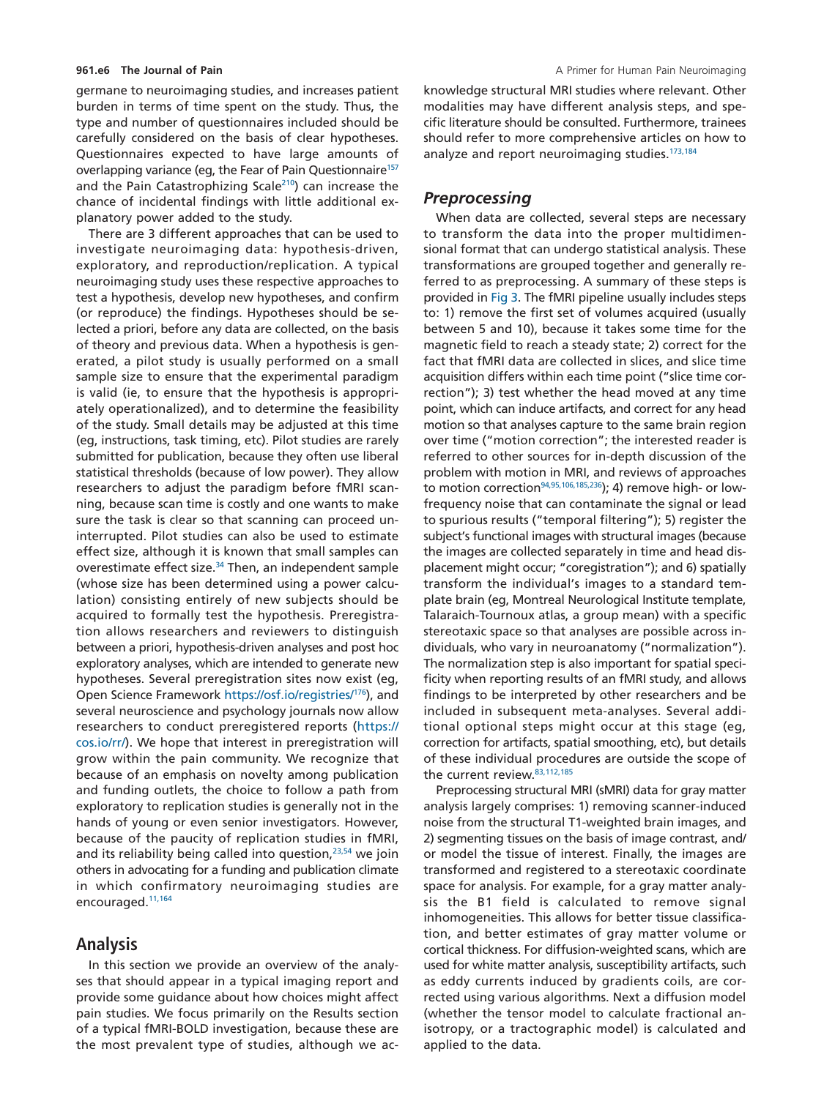germane to neuroimaging studies, and increases patient burden in terms of time spent on the study. Thus, the type and number of questionnaires included should be carefully considered on the basis of clear hypotheses. Questionnaires expected to have large amounts of overlapping variance (eg, the Fear of Pain Questionnaire<sup>157</sup> and the Pain Catastrophizing Scale<sup>210</sup>) can increase the chance of incidental findings with little additional explanatory power added to the study.

There are 3 different approaches that can be used to investigate neuroimaging data: hypothesis-driven, exploratory, and reproduction/replication. A typical neuroimaging study uses these respective approaches to test a hypothesis, develop new hypotheses, and confirm (or reproduce) the findings. Hypotheses should be selected a priori, before any data are collected, on the basis of theory and previous data. When a hypothesis is generated, a pilot study is usually performed on a small sample size to ensure that the experimental paradigm is valid (ie, to ensure that the hypothesis is appropriately operationalized), and to determine the feasibility of the study. Small details may be adjusted at this time (eg, instructions, task timing, etc). Pilot studies are rarely submitted for publication, because they often use liberal statistical thresholds (because of low power). They allow researchers to adjust the paradigm before fMRI scanning, because scan time is costly and one wants to make sure the task is clear so that scanning can proceed uninterrupted. Pilot studies can also be used to estimate effect size, although it is known that small samples can overestimate effect size.<sup>34</sup> Then, an independent sample (whose size has been determined using a power calculation) consisting entirely of new subjects should be acquired to formally test the hypothesis. Preregistration allows researchers and reviewers to distinguish between a priori, hypothesis-driven analyses and post hoc exploratory analyses, which are intended to generate new hypotheses. Several preregistration sites now exist (eg, Open Science Framework <https://osf.io/registries/>[176\)](#page-18-2), and several neuroscience and psychology journals now allow researchers to conduct preregistered reports [\(https://](https://cos.io/rr/) [cos.io/rr/\)](https://cos.io/rr/). We hope that interest in preregistration will grow within the pain community. We recognize that because of an emphasis on novelty among publication and funding outlets, the choice to follow a path from exploratory to replication studies is generally not in the hands of young or even senior investigators. However, because of the paucity of replication studies in fMRI, and its reliability being called into question,<sup>23,54</sup> we join others in advocating for a funding and publication climate in which confirmatory neuroimaging studies are encouraged[.11,164](#page-13-10)

## **Analysis**

In this section we provide an overview of the analyses that should appear in a typical imaging report and provide some guidance about how choices might affect pain studies. We focus primarily on the Results section of a typical fMRI-BOLD investigation, because these are the most prevalent type of studies, although we acknowledge structural MRI studies where relevant. Other modalities may have different analysis steps, and specific literature should be consulted. Furthermore, trainees should refer to more comprehensive articles on how to analyze and report neuroimaging studies.<sup>173,184</sup>

## *Preprocessing*

When data are collected, several steps are necessary to transform the data into the proper multidimensional format that can undergo statistical analysis. These transformations are grouped together and generally referred to as preprocessing. A summary of these steps is provided in [Fig 3.](#page-7-0) The fMRI pipeline usually includes steps to: 1) remove the first set of volumes acquired (usually between 5 and 10), because it takes some time for the magnetic field to reach a steady state; 2) correct for the fact that fMRI data are collected in slices, and slice time acquisition differs within each time point ("slice time correction"); 3) test whether the head moved at any time point, which can induce artifacts, and correct for any head motion so that analyses capture to the same brain region over time ("motion correction"; the interested reader is referred to other sources for in-depth discussion of the problem with motion in MRI, and reviews of approaches to motion correction<sup>94,95,106,185,236</sup>); 4) remove high- or lowfrequency noise that can contaminate the signal or lead to spurious results ("temporal filtering"); 5) register the subject's functional images with structural images (because the images are collected separately in time and head displacement might occur; "coregistration"); and 6) spatially transform the individual's images to a standard template brain (eg, Montreal Neurological Institute template, Talaraich-Tournoux atlas, a group mean) with a specific stereotaxic space so that analyses are possible across individuals, who vary in neuroanatomy ("normalization"). The normalization step is also important for spatial specificity when reporting results of an fMRI study, and allows findings to be interpreted by other researchers and be included in subsequent meta-analyses. Several additional optional steps might occur at this stage (eg, correction for artifacts, spatial smoothing, etc), but details of these individual procedures are outside the scope of the current review. 83, 112, 185

Preprocessing structural MRI (sMRI) data for gray matter analysis largely comprises: 1) removing scanner-induced noise from the structural T1-weighted brain images, and 2) segmenting tissues on the basis of image contrast, and/ or model the tissue of interest. Finally, the images are transformed and registered to a stereotaxic coordinate space for analysis. For example, for a gray matter analysis the B1 field is calculated to remove signal inhomogeneities. This allows for better tissue classification, and better estimates of gray matter volume or cortical thickness. For diffusion-weighted scans, which are used for white matter analysis, susceptibility artifacts, such as eddy currents induced by gradients coils, are corrected using various algorithms. Next a diffusion model (whether the tensor model to calculate fractional anisotropy, or a tractographic model) is calculated and applied to the data.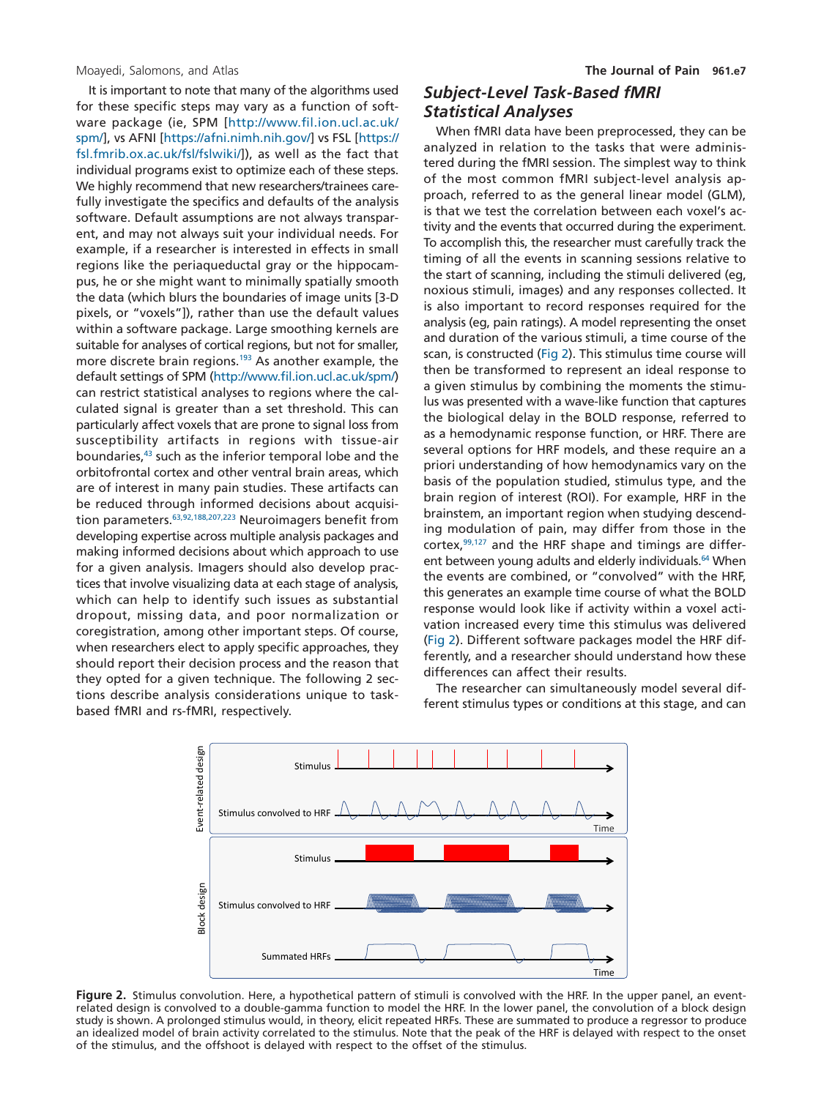It is important to note that many of the algorithms used for these specific steps may vary as a function of software package (ie, SPM [\[http://www.fil.ion.ucl.ac.uk/](http://www.fil.ion.ucl.ac.uk/spm/) [spm/\]](http://www.fil.ion.ucl.ac.uk/spm/), vs AFNI [\[https://afni.nimh.nih.gov/\]](https://afni.nimh.nih.gov/) vs FSL [\[https://](https://fsl.fmrib.ox.ac.uk/fsl/fslwiki/) [fsl.fmrib.ox.ac.uk/fsl/fslwiki/\]](https://fsl.fmrib.ox.ac.uk/fsl/fslwiki/)), as well as the fact that individual programs exist to optimize each of these steps. We highly recommend that new researchers/trainees carefully investigate the specifics and defaults of the analysis software. Default assumptions are not always transparent, and may not always suit your individual needs. For example, if a researcher is interested in effects in small regions like the periaqueductal gray or the hippocampus, he or she might want to minimally spatially smooth the data (which blurs the boundaries of image units [3-D pixels, or "voxels"]), rather than use the default values within a software package. Large smoothing kernels are suitable for analyses of cortical regions, but not for smaller, more discrete brain regions.<sup>193</sup> As another example, the default settings of SPM [\(http://www.fil.ion.ucl.ac.uk/spm/\)](http://www.fil.ion.ucl.ac.uk/spm/) can restrict statistical analyses to regions where the calculated signal is greater than a set threshold. This can particularly affect voxels that are prone to signal loss from susceptibility artifacts in regions with tissue-air boundaries,<sup>43</sup> such as the inferior temporal lobe and the orbitofrontal cortex and other ventral brain areas, which are of interest in many pain studies. These artifacts can be reduced through informed decisions about acquisition parameters. 63,92,188,207,223 Neuroimagers benefit from developing expertise across multiple analysis packages and making informed decisions about which approach to use for a given analysis. Imagers should also develop practices that involve visualizing data at each stage of analysis, which can help to identify such issues as substantial dropout, missing data, and poor normalization or coregistration, among other important steps. Of course, when researchers elect to apply specific approaches, they should report their decision process and the reason that they opted for a given technique. The following 2 sections describe analysis considerations unique to taskbased fMRI and rs-fMRI, respectively.

# *Subject-Level Task-Based fMRI Statistical Analyses*

When fMRI data have been preprocessed, they can be analyzed in relation to the tasks that were administered during the fMRI session. The simplest way to think of the most common fMRI subject-level analysis approach, referred to as the general linear model (GLM), is that we test the correlation between each voxel's activity and the events that occurred during the experiment. To accomplish this, the researcher must carefully track the timing of all the events in scanning sessions relative to the start of scanning, including the stimuli delivered (eg, noxious stimuli, images) and any responses collected. It is also important to record responses required for the analysis (eg, pain ratings). A model representing the onset and duration of the various stimuli, a time course of the scan, is constructed [\(Fig 2\)](#page-6-0). This stimulus time course will then be transformed to represent an ideal response to a given stimulus by combining the moments the stimulus was presented with a wave-like function that captures the biological delay in the BOLD response, referred to as a hemodynamic response function, or HRF. There are several options for HRF models, and these require an a priori understanding of how hemodynamics vary on the basis of the population studied, stimulus type, and the brain region of interest (ROI). For example, HRF in the brainstem, an important region when studying descending modulation of pain, may differ from those in the cortex,  $99,127$  and the HRF shape and timings are different between young adults and elderly individuals.<sup>64</sup> When the events are combined, or "convolved" with the HRF, this generates an example time course of what the BOLD response would look like if activity within a voxel activation increased every time this stimulus was delivered [\(Fig 2\)](#page-6-0). Different software packages model the HRF differently, and a researcher should understand how these differences can affect their results.

The researcher can simultaneously model several different stimulus types or conditions at this stage, and can



<span id="page-6-0"></span>**Figure 2.** Stimulus convolution. Here, a hypothetical pattern of stimuli is convolved with the HRF. In the upper panel, an eventrelated design is convolved to a double-gamma function to model the HRF. In the lower panel, the convolution of a block design study is shown. A prolonged stimulus would, in theory, elicit repeated HRFs. These are summated to produce a regressor to produce an idealized model of brain activity correlated to the stimulus. Note that the peak of the HRF is delayed with respect to the onset of the stimulus, and the offshoot is delayed with respect to the offset of the stimulus.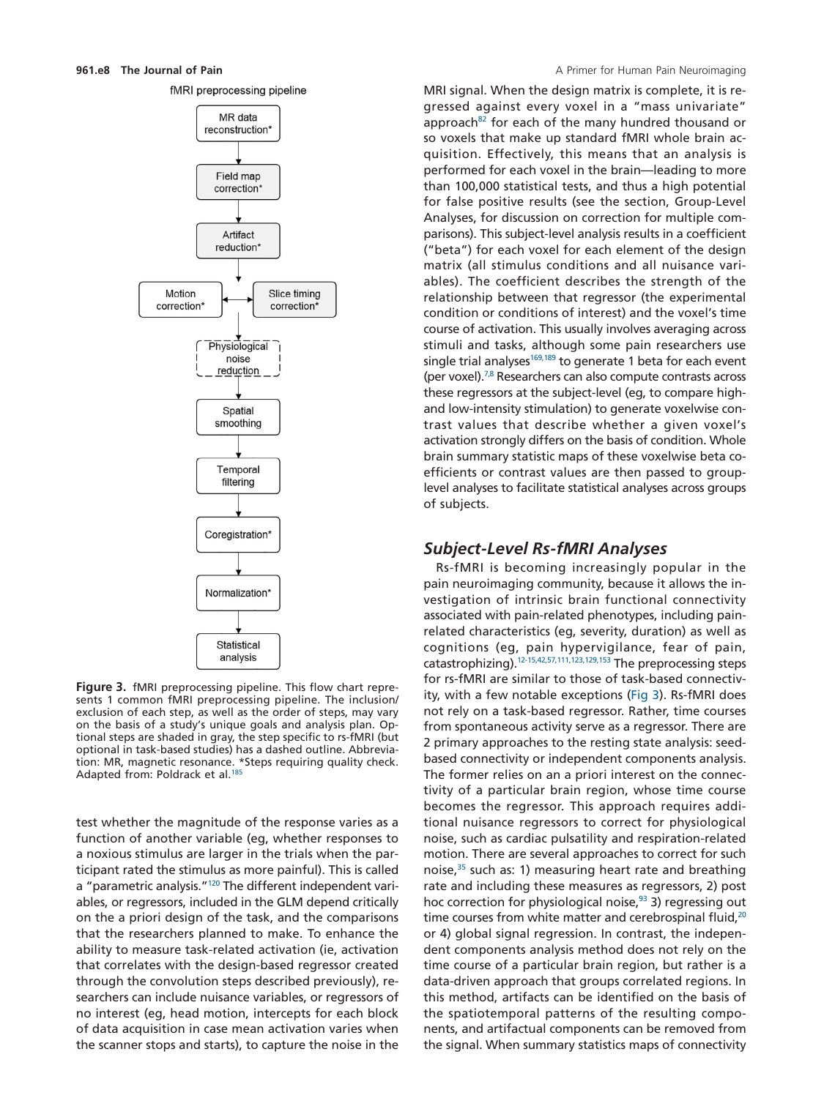



<span id="page-7-0"></span>**Figure 3.** fMRI preprocessing pipeline. This flow chart represents 1 common fMRI preprocessing pipeline. The inclusion/ exclusion of each step, as well as the order of steps, may vary on the basis of a study's unique goals and analysis plan. Optional steps are shaded in gray, the step specific to rs-fMRI (but optional in task-based studies) has a dashed outline. Abbreviation: MR, magnetic resonance. \*Steps requiring quality check. Adapted from: Poldrack et al.<sup>185</sup>

test whether the magnitude of the response varies as a function of another variable (eg, whether responses to a noxious stimulus are larger in the trials when the participant rated the stimulus as more painful). This is called a "parametric analysis."<sup>120</sup> The different independent variables, or regressors, included in the GLM depend critically on the a priori design of the task, and the comparisons that the researchers planned to make. To enhance the ability to measure task-related activation (ie, activation that correlates with the design-based regressor created through the convolution steps described previously), researchers can include nuisance variables, or regressors of no interest (eg, head motion, intercepts for each block of data acquisition in case mean activation varies when the scanner stops and starts), to capture the noise in the

MRI signal. When the design matrix is complete, it is regressed against every voxel in a "mass univariate" approach<sup>82</sup> for each of the many hundred thousand or so voxels that make up standard fMRI whole brain acquisition. Effectively, this means that an analysis is performed for each voxel in the brain—leading to more than 100,000 statistical tests, and thus a high potential for false positive results (see the section, Group-Level Analyses, for discussion on correction for multiple comparisons). This subject-level analysis results in a coefficient ("beta") for each voxel for each element of the design matrix (all stimulus conditions and all nuisance variables). The coefficient describes the strength of the relationship between that regressor (the experimental condition or conditions of interest) and the voxel's time course of activation. This usually involves averaging across stimuli and tasks, although some pain researchers use single trial analyses<sup>169,189</sup> to generate 1 beta for each event (per voxel)[.7,8](#page-13-11) Researchers can also compute contrasts across these regressors at the subject-level (eg, to compare highand low-intensity stimulation) to generate voxelwise contrast values that describe whether a given voxel's activation strongly differs on the basis of condition. Whole brain summary statistic maps of these voxelwise beta coefficients or contrast values are then passed to grouplevel analyses to facilitate statistical analyses across groups of subjects.

### *Subject-Level Rs-fMRI Analyses*

Rs-fMRI is becoming increasingly popular in the pain neuroimaging community, because it allows the investigation of intrinsic brain functional connectivity associated with pain-related phenotypes, including painrelated characteristics (eg, severity, duration) as well as cognitions (eg, pain hypervigilance, fear of pain, catastrophizing)[.12-15,42,57,111,123,129,153](#page-13-12) The preprocessing steps for rs-fMRI are similar to those of task-based connectivity, with a few notable exceptions [\(Fig 3\)](#page-7-0). Rs-fMRI does not rely on a task-based regressor. Rather, time courses from spontaneous activity serve as a regressor. There are 2 primary approaches to the resting state analysis: seedbased connectivity or independent components analysis. The former relies on an a priori interest on the connectivity of a particular brain region, whose time course becomes the regressor. This approach requires additional nuisance regressors to correct for physiological noise, such as cardiac pulsatility and respiration-related motion. There are several approaches to correct for such noise, $35$  such as: 1) measuring heart rate and breathing rate and including these measures as regressors, 2) post hoc correction for physiological noise, $93$  3) regressing out time courses from white matter and cerebrospinal fluid,<sup>20</sup> or 4) global signal regression. In contrast, the independent components analysis method does not rely on the time course of a particular brain region, but rather is a data-driven approach that groups correlated regions. In this method, artifacts can be identified on the basis of the spatiotemporal patterns of the resulting components, and artifactual components can be removed from the signal. When summary statistics maps of connectivity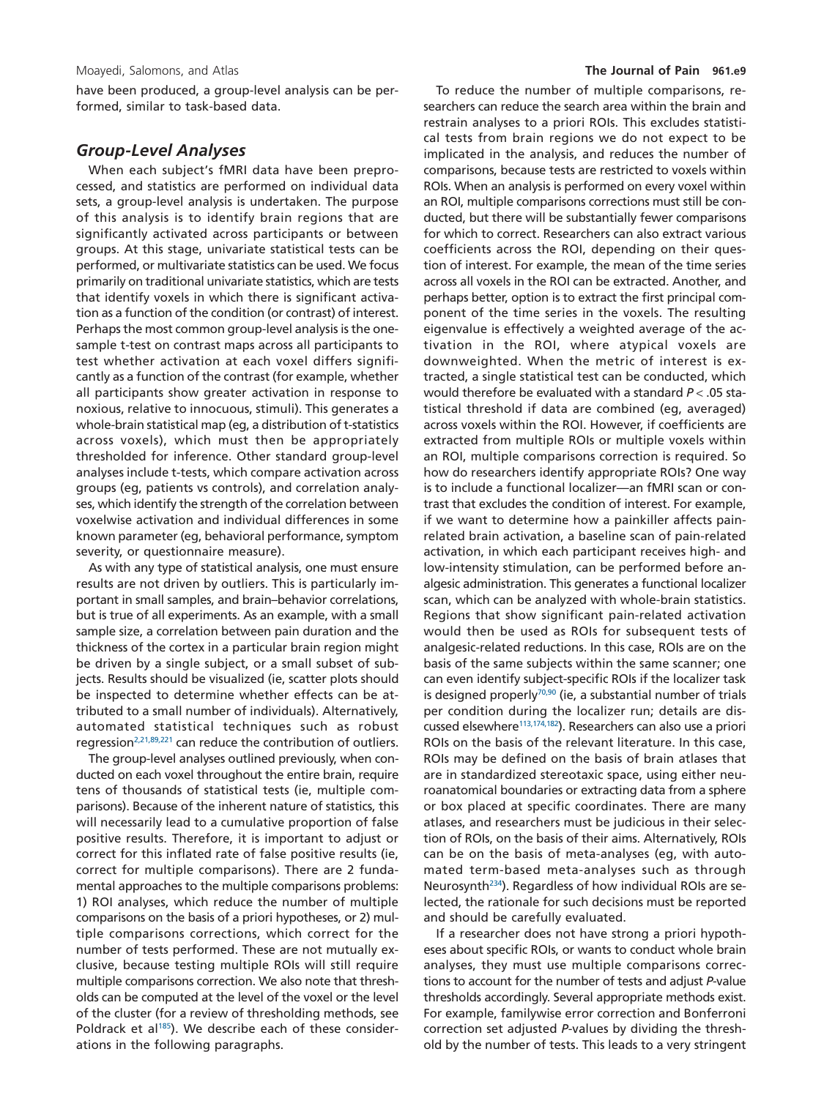have been produced, a group-level analysis can be performed, similar to task-based data.

#### *Group-Level Analyses*

When each subject's fMRI data have been preprocessed, and statistics are performed on individual data sets, a group-level analysis is undertaken. The purpose of this analysis is to identify brain regions that are significantly activated across participants or between groups. At this stage, univariate statistical tests can be performed, or multivariate statistics can be used. We focus primarily on traditional univariate statistics, which are tests that identify voxels in which there is significant activation as a function of the condition (or contrast) of interest. Perhaps the most common group-level analysis is the onesample t-test on contrast maps across all participants to test whether activation at each voxel differs significantly as a function of the contrast (for example, whether all participants show greater activation in response to noxious, relative to innocuous, stimuli). This generates a whole-brain statistical map (eg, a distribution of t-statistics across voxels), which must then be appropriately thresholded for inference. Other standard group-level analyses include t-tests, which compare activation across groups (eg, patients vs controls), and correlation analyses, which identify the strength of the correlation between voxelwise activation and individual differences in some known parameter (eg, behavioral performance, symptom severity, or questionnaire measure).

As with any type of statistical analysis, one must ensure results are not driven by outliers. This is particularly important in small samples, and brain–behavior correlations, but is true of all experiments. As an example, with a small sample size, a correlation between pain duration and the thickness of the cortex in a particular brain region might be driven by a single subject, or a small subset of subjects. Results should be visualized (ie, scatter plots should be inspected to determine whether effects can be attributed to a small number of individuals). Alternatively, automated statistical techniques such as robust regression<sup>2,21,89,221</sup> can reduce the contribution of outliers.

The group-level analyses outlined previously, when conducted on each voxel throughout the entire brain, require tens of thousands of statistical tests (ie, multiple comparisons). Because of the inherent nature of statistics, this will necessarily lead to a cumulative proportion of false positive results. Therefore, it is important to adjust or correct for this inflated rate of false positive results (ie, correct for multiple comparisons). There are 2 fundamental approaches to the multiple comparisons problems: 1) ROI analyses, which reduce the number of multiple comparisons on the basis of a priori hypotheses, or 2) multiple comparisons corrections, which correct for the number of tests performed. These are not mutually exclusive, because testing multiple ROIs will still require multiple comparisons correction. We also note that thresholds can be computed at the level of the voxel or the level of the cluster (for a review of thresholding methods, see Poldrack et al<sup>185</sup>). We describe each of these considerations in the following paragraphs.

To reduce the number of multiple comparisons, researchers can reduce the search area within the brain and restrain analyses to a priori ROIs. This excludes statistical tests from brain regions we do not expect to be implicated in the analysis, and reduces the number of comparisons, because tests are restricted to voxels within ROIs. When an analysis is performed on every voxel within an ROI, multiple comparisons corrections must still be conducted, but there will be substantially fewer comparisons for which to correct. Researchers can also extract various coefficients across the ROI, depending on their question of interest. For example, the mean of the time series across all voxels in the ROI can be extracted. Another, and perhaps better, option is to extract the first principal component of the time series in the voxels. The resulting eigenvalue is effectively a weighted average of the activation in the ROI, where atypical voxels are downweighted. When the metric of interest is extracted, a single statistical test can be conducted, which would therefore be evaluated with a standard *P* < .05 statistical threshold if data are combined (eg, averaged) across voxels within the ROI. However, if coefficients are extracted from multiple ROIs or multiple voxels within an ROI, multiple comparisons correction is required. So how do researchers identify appropriate ROIs? One way is to include a functional localizer—an fMRI scan or contrast that excludes the condition of interest. For example, if we want to determine how a painkiller affects painrelated brain activation, a baseline scan of pain-related activation, in which each participant receives high- and low-intensity stimulation, can be performed before analgesic administration. This generates a functional localizer scan, which can be analyzed with whole-brain statistics. Regions that show significant pain-related activation would then be used as ROIs for subsequent tests of analgesic-related reductions. In this case, ROIs are on the basis of the same subjects within the same scanner; one can even identify subject-specific ROIs if the localizer task is designed properly $70,90$  (ie, a substantial number of trials per condition during the localizer run; details are discussed elsewhere<sup>113,174,182</sup>). Researchers can also use a priori ROIs on the basis of the relevant literature. In this case, ROIs may be defined on the basis of brain atlases that are in standardized stereotaxic space, using either neuroanatomical boundaries or extracting data from a sphere or box placed at specific coordinates. There are many atlases, and researchers must be judicious in their selection of ROIs, on the basis of their aims. Alternatively, ROIs can be on the basis of meta-analyses (eg, with automated term-based meta-analyses such as through Neurosynt[h234\)](#page-20-0). Regardless of how individual ROIs are selected, the rationale for such decisions must be reported and should be carefully evaluated.

If a researcher does not have strong a priori hypotheses about specific ROIs, or wants to conduct whole brain analyses, they must use multiple comparisons corrections to account for the number of tests and adjust *P*-value thresholds accordingly. Several appropriate methods exist. For example, familywise error correction and Bonferroni correction set adjusted *P*-values by dividing the threshold by the number of tests. This leads to a very stringent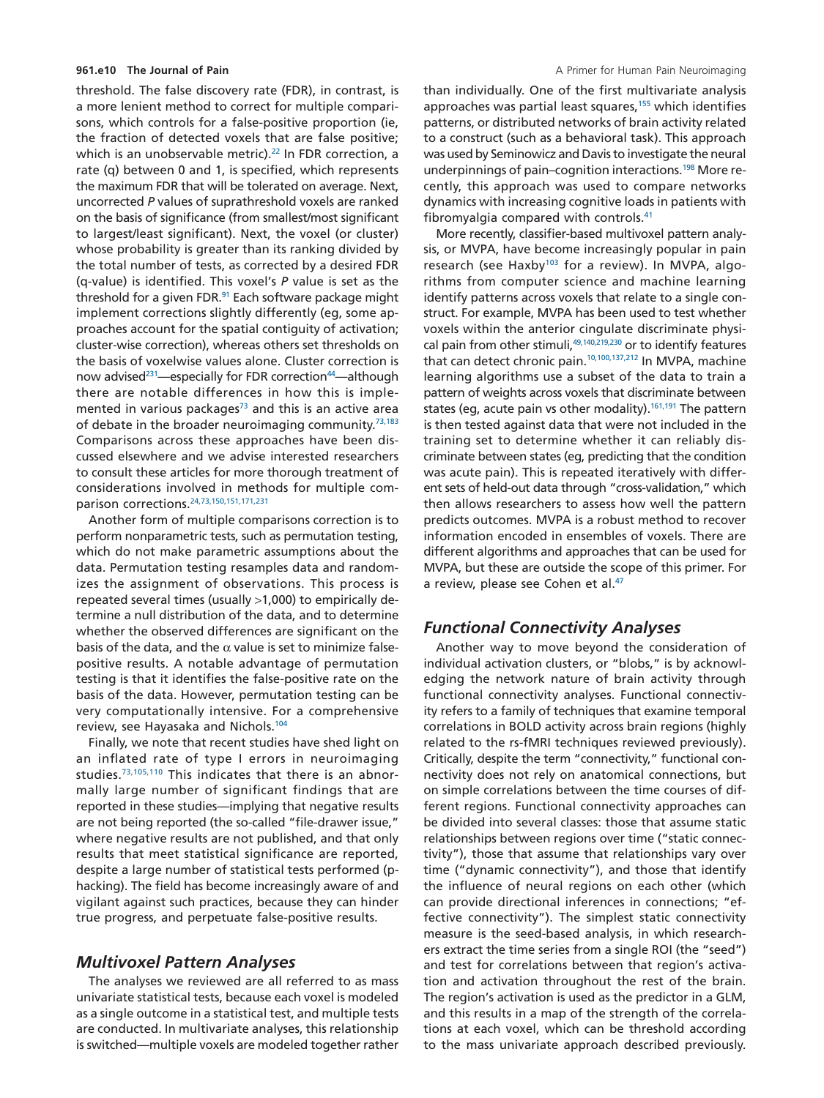threshold. The false discovery rate (FDR), in contrast, is a more lenient method to correct for multiple comparisons, which controls for a false-positive proportion (ie, the fraction of detected voxels that are false positive; which is an unobservable metric).<sup>22</sup> In FDR correction, a rate (q) between 0 and 1, is specified, which represents the maximum FDR that will be tolerated on average. Next, uncorrected *P* values of suprathreshold voxels are ranked on the basis of significance (from smallest/most significant to largest/least significant). Next, the voxel (or cluster) whose probability is greater than its ranking divided by the total number of tests, as corrected by a desired FDR (q-value) is identified. This voxel's *P* value is set as the threshold for a given FDR.<sup>91</sup> Each software package might implement corrections slightly differently (eg, some approaches account for the spatial contiguity of activation; cluster-wise correction), whereas others set thresholds on the basis of voxelwise values alone. Cluster correction is now advised<sup>231</sup>—especially for FDR correction<sup>44</sup>—although there are notable differences in how this is implemented in various packages<sup>73</sup> and this is an active area of debate in the broader neuroimaging community.<sup>73,183</sup> Comparisons across these approaches have been discussed elsewhere and we advise interested researchers to consult these articles for more thorough treatment of considerations involved in methods for multiple comparison corrections[.24,73,150,151,171,231](#page-13-16)

Another form of multiple comparisons correction is to perform nonparametric tests, such as permutation testing, which do not make parametric assumptions about the data. Permutation testing resamples data and randomizes the assignment of observations. This process is repeated several times (usually >1,000) to empirically determine a null distribution of the data, and to determine whether the observed differences are significant on the basis of the data, and the  $\alpha$  value is set to minimize falsepositive results. A notable advantage of permutation testing is that it identifies the false-positive rate on the basis of the data. However, permutation testing can be very computationally intensive. For a comprehensive review, see Hayasaka and Nichols[.104](#page-16-3)

Finally, we note that recent studies have shed light on an inflated rate of type I errors in neuroimaging studies[.73,105,110](#page-15-10) This indicates that there is an abnormally large number of significant findings that are reported in these studies—implying that negative results are not being reported (the so-called "file-drawer issue," where negative results are not published, and that only results that meet statistical significance are reported, despite a large number of statistical tests performed (phacking). The field has become increasingly aware of and vigilant against such practices, because they can hinder true progress, and perpetuate false-positive results.

#### *Multivoxel Pattern Analyses*

The analyses we reviewed are all referred to as mass univariate statistical tests, because each voxel is modeled as a single outcome in a statistical test, and multiple tests are conducted. In multivariate analyses, this relationship is switched—multiple voxels are modeled together rather than individually. One of the first multivariate analysis approaches was partial least squares,<sup>155</sup> which identifies patterns, or distributed networks of brain activity related to a construct (such as a behavioral task). This approach was used by Seminowicz and Davis to investigate the neural underpinnings of pain–cognition interactions[.198](#page-18-7) More recently, this approach was used to compare networks dynamics with increasing cognitive loads in patients with fibromyalgia compared with controls[.41](#page-14-14)

More recently, classifier-based multivoxel pattern analysis, or MVPA, have become increasingly popular in pain research (see Haxby<sup>103</sup> for a review). In MVPA, algorithms from computer science and machine learning identify patterns across voxels that relate to a single construct. For example, MVPA has been used to test whether voxels within the anterior cingulate discriminate physical pain from other stimuli,<sup>49,140,219,230</sup> or to identify features that can detect chronic pain[.10,100,137,212](#page-13-17) In MVPA, machine learning algorithms use a subset of the data to train a pattern of weights across voxels that discriminate between states (eg, acute pain vs other modality).<sup>161,191</sup> The pattern is then tested against data that were not included in the training set to determine whether it can reliably discriminate between states (eg, predicting that the condition was acute pain). This is repeated iteratively with different sets of held-out data through "cross-validation," which then allows researchers to assess how well the pattern predicts outcomes. MVPA is a robust method to recover information encoded in ensembles of voxels. There are different algorithms and approaches that can be used for MVPA, but these are outside the scope of this primer. For a review, please see Cohen et al.<sup>47</sup>

# *Functional Connectivity Analyses*

Another way to move beyond the consideration of individual activation clusters, or "blobs," is by acknowledging the network nature of brain activity through functional connectivity analyses. Functional connectivity refers to a family of techniques that examine temporal correlations in BOLD activity across brain regions (highly related to the rs-fMRI techniques reviewed previously). Critically, despite the term "connectivity," functional connectivity does not rely on anatomical connections, but on simple correlations between the time courses of different regions. Functional connectivity approaches can be divided into several classes: those that assume static relationships between regions over time ("static connectivity"), those that assume that relationships vary over time ("dynamic connectivity"), and those that identify the influence of neural regions on each other (which can provide directional inferences in connections; "effective connectivity"). The simplest static connectivity measure is the seed-based analysis, in which researchers extract the time series from a single ROI (the "seed") and test for correlations between that region's activation and activation throughout the rest of the brain. The region's activation is used as the predictor in a GLM, and this results in a map of the strength of the correlations at each voxel, which can be threshold according to the mass univariate approach described previously.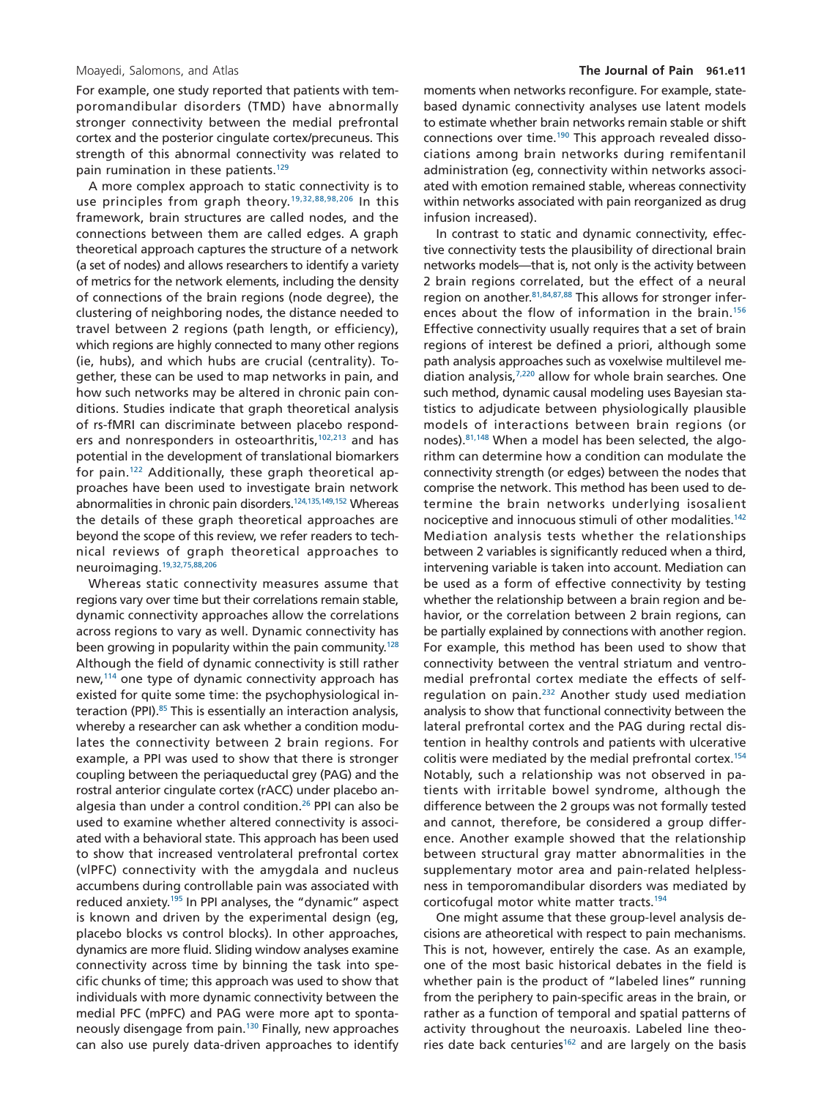For example, one study reported that patients with temporomandibular disorders (TMD) have abnormally stronger connectivity between the medial prefrontal cortex and the posterior cingulate cortex/precuneus. This strength of this abnormal connectivity was related to pain rumination in these patients.<sup>129</sup>

A more complex approach to static connectivity is to use principles from graph theory.<sup>19,32,88,98,206</sup> In this framework, brain structures are called nodes, and the connections between them are called edges. A graph theoretical approach captures the structure of a network (a set of nodes) and allows researchers to identify a variety of metrics for the network elements, including the density of connections of the brain regions (node degree), the clustering of neighboring nodes, the distance needed to travel between 2 regions (path length, or efficiency), which regions are highly connected to many other regions (ie, hubs), and which hubs are crucial (centrality). Together, these can be used to map networks in pain, and how such networks may be altered in chronic pain conditions. Studies indicate that graph theoretical analysis of rs-fMRI can discriminate between placebo responders and nonresponders in osteoarthritis,<sup>102,213</sup> and has potential in the development of translational biomarkers for pain[.122](#page-16-7) Additionally, these graph theoretical approaches have been used to investigate brain network abnormalities in chronic pain disorders.<sup>124,135,149,152</sup> Whereas the details of these graph theoretical approaches are beyond the scope of this review, we refer readers to technical reviews of graph theoretical approaches to neuroimaging[.19,32,75,88,206](#page-13-18)

Whereas static connectivity measures assume that regions vary over time but their correlations remain stable, dynamic connectivity approaches allow the correlations across regions to vary as well. Dynamic connectivity has been growing in popularity within the pain community.<sup>128</sup> Although the field of dynamic connectivity is still rather new,<sup>114</sup> one type of dynamic connectivity approach has existed for quite some time: the psychophysiological interaction (PPI).<sup>85</sup> This is essentially an interaction analysis, whereby a researcher can ask whether a condition modulates the connectivity between 2 brain regions. For example, a PPI was used to show that there is stronger coupling between the periaqueductal grey (PAG) and the rostral anterior cingulate cortex (rACC) under placebo analgesia than under a control condition.<sup>26</sup> PPI can also be used to examine whether altered connectivity is associated with a behavioral state. This approach has been used to show that increased ventrolateral prefrontal cortex (vlPFC) connectivity with the amygdala and nucleus accumbens during controllable pain was associated with reduced anxiety.<sup>195</sup> In PPI analyses, the "dynamic" aspect is known and driven by the experimental design (eg, placebo blocks vs control blocks). In other approaches, dynamics are more fluid. Sliding window analyses examine connectivity across time by binning the task into specific chunks of time; this approach was used to show that individuals with more dynamic connectivity between the medial PFC (mPFC) and PAG were more apt to spontaneously disengage from pain.<sup>130</sup> Finally, new approaches can also use purely data-driven approaches to identify moments when networks reconfigure. For example, statebased dynamic connectivity analyses use latent models to estimate whether brain networks remain stable or shift connections over time[.190](#page-18-9) This approach revealed dissociations among brain networks during remifentanil administration (eg, connectivity within networks associated with emotion remained stable, whereas connectivity within networks associated with pain reorganized as drug infusion increased).

In contrast to static and dynamic connectivity, effective connectivity tests the plausibility of directional brain networks models—that is, not only is the activity between 2 brain regions correlated, but the effect of a neural region on another[.81,84,87,88](#page-15-12) This allows for stronger inferences about the flow of information in the brain.<sup>156</sup> Effective connectivity usually requires that a set of brain regions of interest be defined a priori, although some path analysis approaches such as voxelwise multilevel mediation analysis[,7,220](#page-13-11) allow for whole brain searches*.* One such method, dynamic causal modeling uses Bayesian statistics to adjudicate between physiologically plausible models of interactions between brain regions (or nodes)[.81,148](#page-15-12) When a model has been selected, the algorithm can determine how a condition can modulate the connectivity strength (or edges) between the nodes that comprise the network. This method has been used to determine the brain networks underlying isosalient nociceptive and innocuous stimuli of other modalities.<sup>142</sup> Mediation analysis tests whether the relationships between 2 variables is significantly reduced when a third, intervening variable is taken into account. Mediation can be used as a form of effective connectivity by testing whether the relationship between a brain region and behavior, or the correlation between 2 brain regions, can be partially explained by connections with another region. For example, this method has been used to show that connectivity between the ventral striatum and ventromedial prefrontal cortex mediate the effects of selfregulation on pain[.232](#page-20-2) Another study used mediation analysis to show that functional connectivity between the lateral prefrontal cortex and the PAG during rectal distention in healthy controls and patients with ulcerative colitis were mediated by the medial prefrontal cortex[.154](#page-17-7) Notably, such a relationship was not observed in patients with irritable bowel syndrome, although the difference between the 2 groups was not formally tested and cannot, therefore, be considered a group difference. Another example showed that the relationship between structural gray matter abnormalities in the supplementary motor area and pain-related helplessness in temporomandibular disorders was mediated by corticofugal motor white matter tracts[.194](#page-18-10)

One might assume that these group-level analysis decisions are atheoretical with respect to pain mechanisms. This is not, however, entirely the case. As an example, one of the most basic historical debates in the field is whether pain is the product of "labeled lines" running from the periphery to pain-specific areas in the brain, or rather as a function of temporal and spatial patterns of activity throughout the neuroaxis. Labeled line theories date back centuries $162$  and are largely on the basis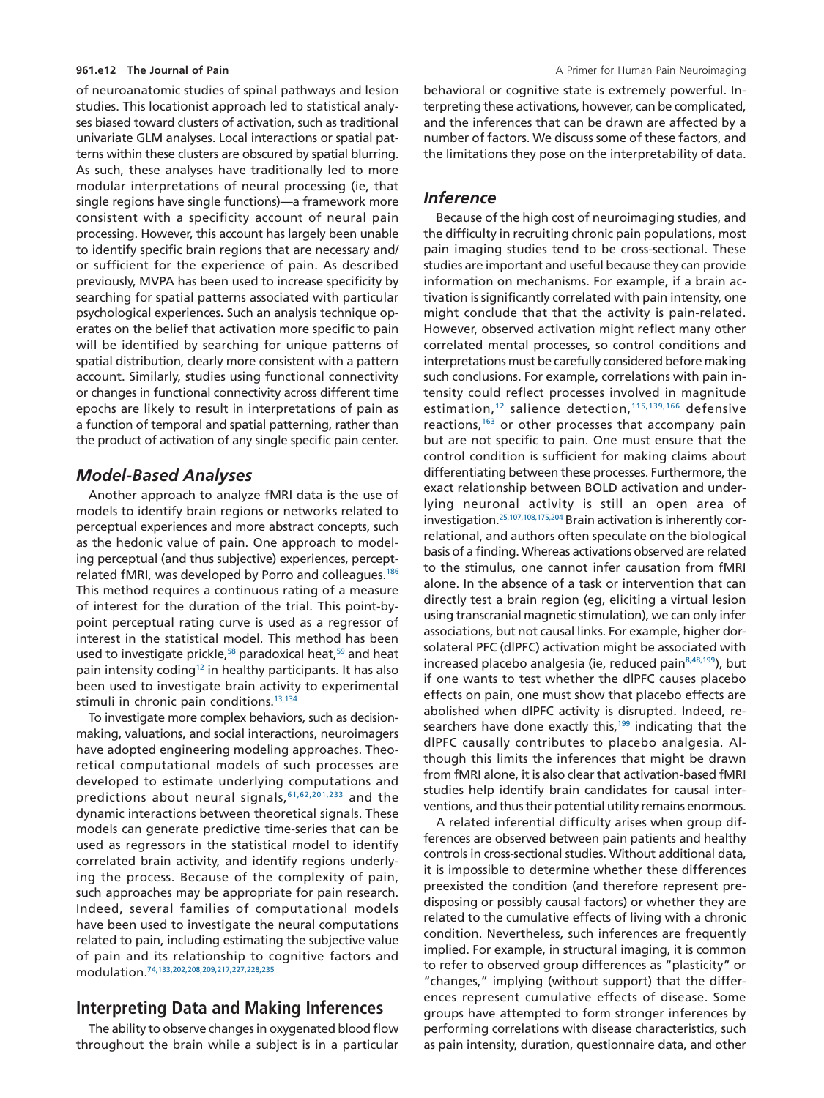of neuroanatomic studies of spinal pathways and lesion studies. This locationist approach led to statistical analyses biased toward clusters of activation, such as traditional univariate GLM analyses. Local interactions or spatial patterns within these clusters are obscured by spatial blurring. As such, these analyses have traditionally led to more modular interpretations of neural processing (ie, that single regions have single functions)—a framework more consistent with a specificity account of neural pain processing. However, this account has largely been unable to identify specific brain regions that are necessary and/ or sufficient for the experience of pain. As described previously, MVPA has been used to increase specificity by searching for spatial patterns associated with particular psychological experiences. Such an analysis technique operates on the belief that activation more specific to pain will be identified by searching for unique patterns of spatial distribution, clearly more consistent with a pattern account. Similarly, studies using functional connectivity or changes in functional connectivity across different time epochs are likely to result in interpretations of pain as a function of temporal and spatial patterning, rather than the product of activation of any single specific pain center.

### *Model-Based Analyses*

Another approach to analyze fMRI data is the use of models to identify brain regions or networks related to perceptual experiences and more abstract concepts, such as the hedonic value of pain. One approach to modeling perceptual (and thus subjective) experiences, perceptrelated fMRI, was developed by Porro and colleagues.<sup>186</sup> This method requires a continuous rating of a measure of interest for the duration of the trial. This point-bypoint perceptual rating curve is used as a regressor of interest in the statistical model. This method has been used to investigate prickle, $58$  paradoxical heat,  $59$  and heat pain intensity coding<sup>12</sup> in healthy participants. It has also been used to investigate brain activity to experimental stimuli in chronic pain conditions.<sup>13,134</sup>

To investigate more complex behaviors, such as decisionmaking, valuations, and social interactions, neuroimagers have adopted engineering modeling approaches. Theoretical computational models of such processes are developed to estimate underlying computations and predictions about neural signals,  $61,62,201,233$  and the dynamic interactions between theoretical signals. These models can generate predictive time-series that can be used as regressors in the statistical model to identify correlated brain activity, and identify regions underlying the process. Because of the complexity of pain, such approaches may be appropriate for pain research. Indeed, several families of computational models have been used to investigate the neural computations related to pain, including estimating the subjective value of pain and its relationship to cognitive factors and modulation[.74,133,202,208,209,217,227,228,235](#page-15-13)

# **Interpreting Data and Making Inferences**

The ability to observe changes in oxygenated blood flow throughout the brain while a subject is in a particular

behavioral or cognitive state is extremely powerful. Interpreting these activations, however, can be complicated, and the inferences that can be drawn are affected by a number of factors. We discuss some of these factors, and the limitations they pose on the interpretability of data.

## *Inference*

Because of the high cost of neuroimaging studies, and the difficulty in recruiting chronic pain populations, most pain imaging studies tend to be cross-sectional. These studies are important and useful because they can provide information on mechanisms. For example, if a brain activation is significantly correlated with pain intensity, one might conclude that that the activity is pain-related. However, observed activation might reflect many other correlated mental processes, so control conditions and interpretations must be carefully considered before making such conclusions. For example, correlations with pain intensity could reflect processes involved in magnitude estimation,<sup>12</sup> salience detection,<sup>115,139,166</sup> defensive reactions,<sup>163</sup> or other processes that accompany pain but are not specific to pain. One must ensure that the control condition is sufficient for making claims about differentiating between these processes. Furthermore, the exact relationship between BOLD activation and underlying neuronal activity is still an open area of investigation[.25,107,108,175,204](#page-13-21) Brain activation is inherently correlational, and authors often speculate on the biological basis of a finding. Whereas activations observed are related to the stimulus, one cannot infer causation from fMRI alone. In the absence of a task or intervention that can directly test a brain region (eg, eliciting a virtual lesion using transcranial magnetic stimulation), we can only infer associations, but not causal links. For example, higher dorsolateral PFC (dlPFC) activation might be associated with increased placebo analgesia (ie, reduced pain<sup>8,48,199</sup>), but if one wants to test whether the dlPFC causes placebo effects on pain, one must show that placebo effects are abolished when dlPFC activity is disrupted. Indeed, researchers have done exactly this,<sup>199</sup> indicating that the dlPFC causally contributes to placebo analgesia. Although this limits the inferences that might be drawn from fMRI alone, it is also clear that activation-based fMRI studies help identify brain candidates for causal interventions, and thus their potential utility remains enormous.

A related inferential difficulty arises when group differences are observed between pain patients and healthy controls in cross-sectional studies. Without additional data, it is impossible to determine whether these differences preexisted the condition (and therefore represent predisposing or possibly causal factors) or whether they are related to the cumulative effects of living with a chronic condition. Nevertheless, such inferences are frequently implied. For example, in structural imaging, it is common to refer to observed group differences as "plasticity" or "changes," implying (without support) that the differences represent cumulative effects of disease. Some groups have attempted to form stronger inferences by performing correlations with disease characteristics, such as pain intensity, duration, questionnaire data, and other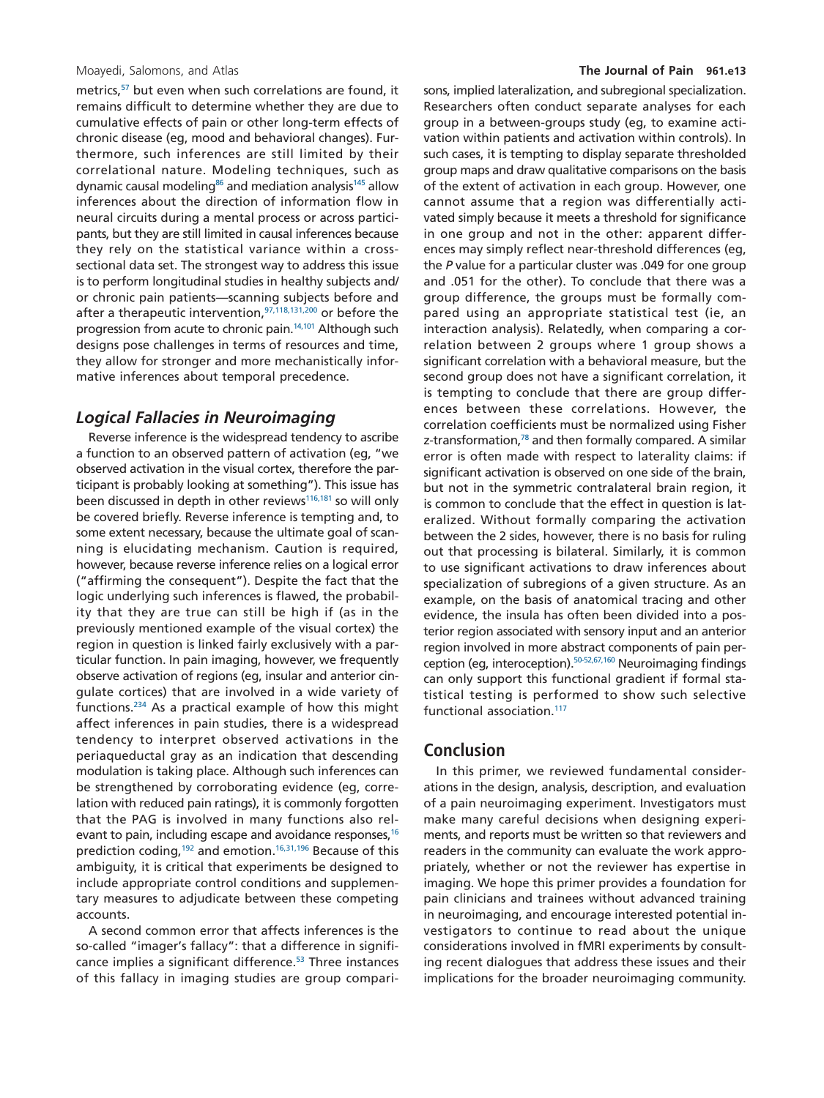metrics,<sup>57</sup> but even when such correlations are found, it remains difficult to determine whether they are due to cumulative effects of pain or other long-term effects of chronic disease (eg, mood and behavioral changes). Furthermore, such inferences are still limited by their correlational nature. Modeling techniques, such as dynamic causal modeling<sup>86</sup> and mediation analysis<sup>145</sup> allow inferences about the direction of information flow in neural circuits during a mental process or across participants, but they are still limited in causal inferences because they rely on the statistical variance within a crosssectional data set. The strongest way to address this issue is to perform longitudinal studies in healthy subjects and/ or chronic pain patients—scanning subjects before and after a therapeutic intervention,  $97,118,131,200$  or before the progression from acute to chronic pain.<sup>14,101</sup> Although such designs pose challenges in terms of resources and time, they allow for stronger and more mechanistically informative inferences about temporal precedence.

#### *Logical Fallacies in Neuroimaging*

Reverse inference is the widespread tendency to ascribe a function to an observed pattern of activation (eg, "we observed activation in the visual cortex, therefore the participant is probably looking at something"). This issue has been discussed in depth in other reviews<sup>116,181</sup> so will only be covered briefly. Reverse inference is tempting and, to some extent necessary, because the ultimate goal of scanning is elucidating mechanism. Caution is required, however, because reverse inference relies on a logical error ("affirming the consequent"). Despite the fact that the logic underlying such inferences is flawed, the probability that they are true can still be high if (as in the previously mentioned example of the visual cortex) the region in question is linked fairly exclusively with a particular function. In pain imaging, however, we frequently observe activation of regions (eg, insular and anterior cingulate cortices) that are involved in a wide variety of functions[.234](#page-20-0) As a practical example of how this might affect inferences in pain studies, there is a widespread tendency to interpret observed activations in the periaqueductal gray as an indication that descending modulation is taking place. Although such inferences can be strengthened by corroborating evidence (eg, correlation with reduced pain ratings), it is commonly forgotten that the PAG is involved in many functions also relevant to pain, including escape and avoidance responses,  $16$ prediction coding[,192](#page-18-13) and emotion[.16,31,196](#page-13-24) Because of this ambiguity, it is critical that experiments be designed to include appropriate control conditions and supplementary measures to adjudicate between these competing accounts.

A second common error that affects inferences is the so-called "imager's fallacy": that a difference in significance implies a significant difference.<sup>53</sup> Three instances of this fallacy in imaging studies are group comparisons, implied lateralization, and subregional specialization. Researchers often conduct separate analyses for each group in a between-groups study (eg, to examine activation within patients and activation within controls). In such cases, it is tempting to display separate thresholded group maps and draw qualitative comparisons on the basis of the extent of activation in each group. However, one cannot assume that a region was differentially activated simply because it meets a threshold for significance in one group and not in the other: apparent differences may simply reflect near-threshold differences (eg, the *P* value for a particular cluster was .049 for one group and .051 for the other). To conclude that there was a group difference, the groups must be formally compared using an appropriate statistical test (ie, an interaction analysis). Relatedly, when comparing a correlation between 2 groups where 1 group shows a significant correlation with a behavioral measure, but the second group does not have a significant correlation, it is tempting to conclude that there are group differences between these correlations. However, the correlation coefficients must be normalized using Fisher z-transformation,<sup>78</sup> and then formally compared. A similar error is often made with respect to laterality claims: if significant activation is observed on one side of the brain, but not in the symmetric contralateral brain region, it is common to conclude that the effect in question is lateralized. Without formally comparing the activation between the 2 sides, however, there is no basis for ruling out that processing is bilateral. Similarly, it is common to use significant activations to draw inferences about specialization of subregions of a given structure. As an example, on the basis of anatomical tracing and other evidence, the insula has often been divided into a posterior region associated with sensory input and an anterior region involved in more abstract components of pain perception (eg, interoception)[.50-52,67,160](#page-14-22) Neuroimaging findings can only support this functional gradient if formal statistical testing is performed to show such selective functional association.<sup>117</sup>

### **Conclusion**

In this primer, we reviewed fundamental considerations in the design, analysis, description, and evaluation of a pain neuroimaging experiment. Investigators must make many careful decisions when designing experiments, and reports must be written so that reviewers and readers in the community can evaluate the work appropriately, whether or not the reviewer has expertise in imaging. We hope this primer provides a foundation for pain clinicians and trainees without advanced training in neuroimaging, and encourage interested potential investigators to continue to read about the unique considerations involved in fMRI experiments by consulting recent dialogues that address these issues and their implications for the broader neuroimaging community.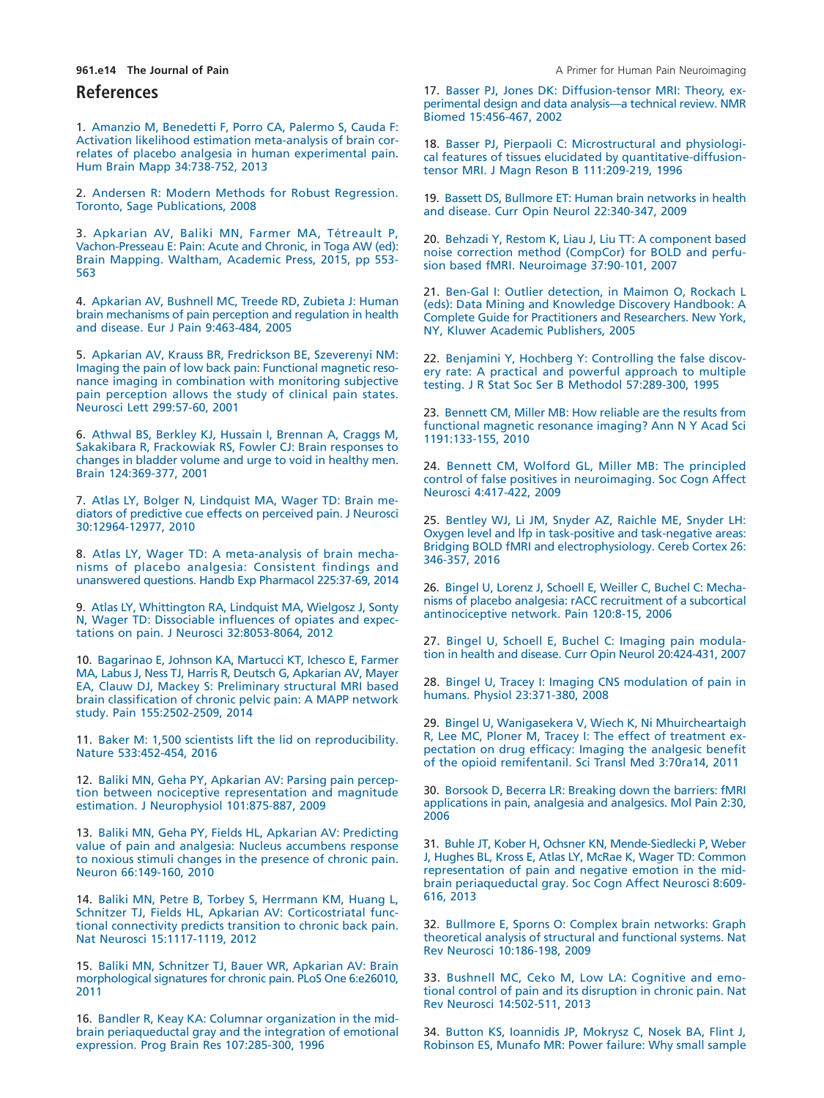### **References**

<span id="page-13-5"></span>1. [Amanzio M, Benedetti F, Porro CA, Palermo S, Cauda F:](http://refhub.elsevier.com/S1526-5900(18)30122-6/sr0010) [Activation likelihood estimation meta-analysis of brain cor](http://refhub.elsevier.com/S1526-5900(18)30122-6/sr0010)[relates of placebo analgesia in human experimental pain.](http://refhub.elsevier.com/S1526-5900(18)30122-6/sr0010) [Hum Brain Mapp 34:738-752, 2013](http://refhub.elsevier.com/S1526-5900(18)30122-6/sr0010)

<span id="page-13-14"></span>2. [Andersen R: Modern Methods for Robust Regression.](http://refhub.elsevier.com/S1526-5900(18)30122-6/sr0015) [Toronto, Sage Publications, 2008](http://refhub.elsevier.com/S1526-5900(18)30122-6/sr0015)

<span id="page-13-1"></span>3. [Apkarian AV, Baliki MN, Farmer MA, Tétreault P,](http://refhub.elsevier.com/S1526-5900(18)30122-6/sr0020) [Vachon-Presseau E: Pain: Acute and Chronic, in Toga AW \(ed\):](http://refhub.elsevier.com/S1526-5900(18)30122-6/sr0020) [Brain Mapping. Waltham, Academic Press, 2015, pp 553-](http://refhub.elsevier.com/S1526-5900(18)30122-6/sr0020) [563](http://refhub.elsevier.com/S1526-5900(18)30122-6/sr0020)

<span id="page-13-0"></span>4. [Apkarian AV, Bushnell MC, Treede RD, Zubieta J: Human](http://refhub.elsevier.com/S1526-5900(18)30122-6/sr0025) [brain mechanisms of pain perception and regulation in health](http://refhub.elsevier.com/S1526-5900(18)30122-6/sr0025) [and disease. Eur J Pain 9:463-484, 2005](http://refhub.elsevier.com/S1526-5900(18)30122-6/sr0025)

<span id="page-13-6"></span>5. [Apkarian AV, Krauss BR, Fredrickson BE, Szeverenyi NM:](http://refhub.elsevier.com/S1526-5900(18)30122-6/sr0030) [Imaging the pain of low back pain: Functional magnetic reso](http://refhub.elsevier.com/S1526-5900(18)30122-6/sr0030)[nance imaging in combination with monitoring subjective](http://refhub.elsevier.com/S1526-5900(18)30122-6/sr0030) [pain perception allows the study of clinical pain states.](http://refhub.elsevier.com/S1526-5900(18)30122-6/sr0030) [Neurosci Lett 299:57-60, 2001](http://refhub.elsevier.com/S1526-5900(18)30122-6/sr0030)

<span id="page-13-8"></span>6. [Athwal BS, Berkley KJ, Hussain I, Brennan A, Craggs M,](http://refhub.elsevier.com/S1526-5900(18)30122-6/sr0035) [Sakakibara R, Frackowiak RS, Fowler CJ: Brain responses to](http://refhub.elsevier.com/S1526-5900(18)30122-6/sr0035) [changes in bladder volume and urge to void in healthy men.](http://refhub.elsevier.com/S1526-5900(18)30122-6/sr0035) [Brain 124:369-377, 2001](http://refhub.elsevier.com/S1526-5900(18)30122-6/sr0035)

<span id="page-13-11"></span>7. [Atlas LY, Bolger N, Lindquist MA, Wager TD: Brain me](http://refhub.elsevier.com/S1526-5900(18)30122-6/sr0040)[diators of predictive cue effects on perceived pain. J Neurosci](http://refhub.elsevier.com/S1526-5900(18)30122-6/sr0040) [30:12964-12977, 2010](http://refhub.elsevier.com/S1526-5900(18)30122-6/sr0040)

<span id="page-13-22"></span>8. [Atlas LY, Wager TD: A meta-analysis of brain mecha](http://refhub.elsevier.com/S1526-5900(18)30122-6/sr0045)[nisms of placebo analgesia: Consistent findings and](http://refhub.elsevier.com/S1526-5900(18)30122-6/sr0045) [unanswered questions. Handb Exp Pharmacol 225:37-69, 2014](http://refhub.elsevier.com/S1526-5900(18)30122-6/sr0045)

<span id="page-13-2"></span>9. [Atlas LY, Whittington RA, Lindquist MA, Wielgosz J, Sonty](http://refhub.elsevier.com/S1526-5900(18)30122-6/sr0050) [N, Wager TD: Dissociable influences of opiates and expec](http://refhub.elsevier.com/S1526-5900(18)30122-6/sr0050)[tations on pain. J Neurosci 32:8053-8064, 2012](http://refhub.elsevier.com/S1526-5900(18)30122-6/sr0050)

<span id="page-13-17"></span>10. [Bagarinao E, Johnson KA, Martucci KT, Ichesco E, Farmer](http://refhub.elsevier.com/S1526-5900(18)30122-6/sr0055) [MA, Labus J, Ness TJ, Harris R, Deutsch G, Apkarian AV, Mayer](http://refhub.elsevier.com/S1526-5900(18)30122-6/sr0055) [EA, Clauw DJ, Mackey S: Preliminary structural MRI based](http://refhub.elsevier.com/S1526-5900(18)30122-6/sr0055) [brain classification of chronic pelvic pain: A MAPP network](http://refhub.elsevier.com/S1526-5900(18)30122-6/sr0055) [study. Pain 155:2502-2509, 2014](http://refhub.elsevier.com/S1526-5900(18)30122-6/sr0055)

<span id="page-13-10"></span>11. [Baker M: 1,500 scientists lift the lid on reproducibility.](http://refhub.elsevier.com/S1526-5900(18)30122-6/sr0060) [Nature 533:452-454, 2016](http://refhub.elsevier.com/S1526-5900(18)30122-6/sr0060)

<span id="page-13-12"></span>12. [Baliki MN, Geha PY, Apkarian AV: Parsing pain percep](http://refhub.elsevier.com/S1526-5900(18)30122-6/sr0065)[tion between nociceptive representation and magnitude](http://refhub.elsevier.com/S1526-5900(18)30122-6/sr0065) [estimation. J Neurophysiol 101:875-887, 2009](http://refhub.elsevier.com/S1526-5900(18)30122-6/sr0065)

<span id="page-13-20"></span>13. [Baliki MN, Geha PY, Fields HL, Apkarian AV: Predicting](http://refhub.elsevier.com/S1526-5900(18)30122-6/sr0070) [value of pain and analgesia: Nucleus accumbens response](http://refhub.elsevier.com/S1526-5900(18)30122-6/sr0070) [to noxious stimuli changes in the presence of chronic pain.](http://refhub.elsevier.com/S1526-5900(18)30122-6/sr0070) [Neuron 66:149-160, 2010](http://refhub.elsevier.com/S1526-5900(18)30122-6/sr0070)

<span id="page-13-23"></span>14. [Baliki MN, Petre B, Torbey S, Herrmann KM, Huang L,](http://refhub.elsevier.com/S1526-5900(18)30122-6/sr0075) [Schnitzer TJ, Fields HL, Apkarian AV: Corticostriatal func](http://refhub.elsevier.com/S1526-5900(18)30122-6/sr0075)[tional connectivity predicts transition to chronic back pain.](http://refhub.elsevier.com/S1526-5900(18)30122-6/sr0075) [Nat Neurosci 15:1117-1119, 2012](http://refhub.elsevier.com/S1526-5900(18)30122-6/sr0075)

15. [Baliki MN, Schnitzer TJ, Bauer WR, Apkarian AV: Brain](http://refhub.elsevier.com/S1526-5900(18)30122-6/sr0080) [morphological signatures for chronic pain. PLoS One 6:e26010,](http://refhub.elsevier.com/S1526-5900(18)30122-6/sr0080) [2011](http://refhub.elsevier.com/S1526-5900(18)30122-6/sr0080)

<span id="page-13-24"></span>16. [Bandler R, Keay KA: Columnar organization in the mid](http://refhub.elsevier.com/S1526-5900(18)30122-6/sr0085)[brain periaqueductal gray and the integration of emotional](http://refhub.elsevier.com/S1526-5900(18)30122-6/sr0085) [expression. Prog Brain Res 107:285-300, 1996](http://refhub.elsevier.com/S1526-5900(18)30122-6/sr0085)

**961.e14 The Journal of Pain** A Primer for Human Pain Neuroimaging

<span id="page-13-7"></span>17. [Basser PJ, Jones DK: Diffusion-tensor MRI: Theory, ex](http://refhub.elsevier.com/S1526-5900(18)30122-6/sr0090)[perimental design and data analysis—a technical review. NMR](http://refhub.elsevier.com/S1526-5900(18)30122-6/sr0090) [Biomed 15:456-467, 2002](http://refhub.elsevier.com/S1526-5900(18)30122-6/sr0090)

18. [Basser PJ, Pierpaoli C: Microstructural and physiologi](http://refhub.elsevier.com/S1526-5900(18)30122-6/sr0095)[cal features of tissues elucidated by quantitative-diffusion](http://refhub.elsevier.com/S1526-5900(18)30122-6/sr0095)[tensor MRI. J Magn Reson B 111:209-219, 1996](http://refhub.elsevier.com/S1526-5900(18)30122-6/sr0095)

<span id="page-13-18"></span>19. [Bassett DS, Bullmore ET: Human brain networks in health](http://refhub.elsevier.com/S1526-5900(18)30122-6/sr0100) [and disease. Curr Opin Neurol 22:340-347, 2009](http://refhub.elsevier.com/S1526-5900(18)30122-6/sr0100)

<span id="page-13-13"></span>20. [Behzadi Y, Restom K, Liau J, Liu TT: A component based](http://refhub.elsevier.com/S1526-5900(18)30122-6/sr0105) [noise correction method \(CompCor\) for BOLD and perfu](http://refhub.elsevier.com/S1526-5900(18)30122-6/sr0105)[sion based fMRI. Neuroimage 37:90-101, 2007](http://refhub.elsevier.com/S1526-5900(18)30122-6/sr0105)

21. [Ben-Gal I: Outlier detection, in Maimon O, Rockach L](http://refhub.elsevier.com/S1526-5900(18)30122-6/sr0110) [\(eds\): Data Mining and Knowledge Discovery Handbook: A](http://refhub.elsevier.com/S1526-5900(18)30122-6/sr0110) [Complete Guide for Practitioners and Researchers. New York,](http://refhub.elsevier.com/S1526-5900(18)30122-6/sr0110) NY, Kluwer Academic Publishers, 2005

<span id="page-13-15"></span>22. [Benjamini Y, Hochberg Y: Controlling the false discov](http://refhub.elsevier.com/S1526-5900(18)30122-6/sr0115)[ery rate: A practical and powerful approach to multiple](http://refhub.elsevier.com/S1526-5900(18)30122-6/sr0115) [testing. J R Stat Soc Ser B Methodol 57:289-300, 1995](http://refhub.elsevier.com/S1526-5900(18)30122-6/sr0115)

<span id="page-13-9"></span>23. [Bennett CM, Miller MB: How reliable are the results from](http://refhub.elsevier.com/S1526-5900(18)30122-6/sr0120) [functional magnetic resonance imaging? Ann N Y Acad Sci](http://refhub.elsevier.com/S1526-5900(18)30122-6/sr0120) [1191:133-155, 2010](http://refhub.elsevier.com/S1526-5900(18)30122-6/sr0120)

<span id="page-13-16"></span>24. [Bennett CM, Wolford GL, Miller MB: The principled](http://refhub.elsevier.com/S1526-5900(18)30122-6/sr0125) [control of false positives in neuroimaging. Soc Cogn Affect](http://refhub.elsevier.com/S1526-5900(18)30122-6/sr0125) [Neurosci 4:417-422, 2009](http://refhub.elsevier.com/S1526-5900(18)30122-6/sr0125)

<span id="page-13-21"></span>25. [Bentley WJ, Li JM, Snyder AZ, Raichle ME, Snyder LH:](http://refhub.elsevier.com/S1526-5900(18)30122-6/sr0130) [Oxygen level and lfp in task-positive and task-negative areas:](http://refhub.elsevier.com/S1526-5900(18)30122-6/sr0130) [Bridging BOLD fMRI and electrophysiology. Cereb Cortex 26:](http://refhub.elsevier.com/S1526-5900(18)30122-6/sr0130) [346-357, 2016](http://refhub.elsevier.com/S1526-5900(18)30122-6/sr0130)

<span id="page-13-19"></span>26. [Bingel U, Lorenz J, Schoell E, Weiller C, Buchel C: Mecha](http://refhub.elsevier.com/S1526-5900(18)30122-6/sr0135)[nisms of placebo analgesia: rACC recruitment of a subcortical](http://refhub.elsevier.com/S1526-5900(18)30122-6/sr0135) [antinociceptive network. Pain 120:8-15, 2006](http://refhub.elsevier.com/S1526-5900(18)30122-6/sr0135)

<span id="page-13-3"></span>27. [Bingel U, Schoell E, Buchel C: Imaging pain modula](http://refhub.elsevier.com/S1526-5900(18)30122-6/sr0140)[tion in health and disease. Curr Opin Neurol 20:424-431, 2007](http://refhub.elsevier.com/S1526-5900(18)30122-6/sr0140)

28. [Bingel U, Tracey I: Imaging CNS modulation of pain in](http://refhub.elsevier.com/S1526-5900(18)30122-6/sr0145) [humans. Physiol 23:371-380, 2008](http://refhub.elsevier.com/S1526-5900(18)30122-6/sr0145)

29. [Bingel U, Wanigasekera V, Wiech K, Ni Mhuircheartaigh](http://refhub.elsevier.com/S1526-5900(18)30122-6/sr0150) [R, Lee MC, Ploner M, Tracey I: The effect of treatment ex](http://refhub.elsevier.com/S1526-5900(18)30122-6/sr0150)[pectation on drug efficacy: Imaging the analgesic benefit](http://refhub.elsevier.com/S1526-5900(18)30122-6/sr0150) [of the opioid remifentanil. Sci Transl Med 3:70ra14, 2011](http://refhub.elsevier.com/S1526-5900(18)30122-6/sr0150)

30. [Borsook D, Becerra LR: Breaking down the barriers: fMRI](http://refhub.elsevier.com/S1526-5900(18)30122-6/sr0155) [applications in pain, analgesia and analgesics. Mol Pain 2:30,](http://refhub.elsevier.com/S1526-5900(18)30122-6/sr0155) [2006](http://refhub.elsevier.com/S1526-5900(18)30122-6/sr0155)

31. [Buhle JT, Kober H, Ochsner KN, Mende-Siedlecki P, Weber](http://refhub.elsevier.com/S1526-5900(18)30122-6/sr0160) [J, Hughes BL, Kross E, Atlas LY, McRae K, Wager TD: Common](http://refhub.elsevier.com/S1526-5900(18)30122-6/sr0160) [representation of pain and negative emotion in the mid](http://refhub.elsevier.com/S1526-5900(18)30122-6/sr0160)[brain periaqueductal gray. Soc Cogn Affect Neurosci 8:609-](http://refhub.elsevier.com/S1526-5900(18)30122-6/sr0160) [616, 2013](http://refhub.elsevier.com/S1526-5900(18)30122-6/sr0160)

32. [Bullmore E, Sporns O: Complex brain networks: Graph](http://refhub.elsevier.com/S1526-5900(18)30122-6/sr0165) [theoretical analysis of structural and functional systems. Nat](http://refhub.elsevier.com/S1526-5900(18)30122-6/sr0165) [Rev Neurosci 10:186-198, 2009](http://refhub.elsevier.com/S1526-5900(18)30122-6/sr0165)

33. [Bushnell MC, Ceko M, Low LA: Cognitive and emo](http://refhub.elsevier.com/S1526-5900(18)30122-6/sr0170)[tional control of pain and its disruption in chronic pain. Nat](http://refhub.elsevier.com/S1526-5900(18)30122-6/sr0170) [Rev Neurosci 14:502-511, 2013](http://refhub.elsevier.com/S1526-5900(18)30122-6/sr0170)

<span id="page-13-4"></span>34. [Button KS, Ioannidis JP, Mokrysz C, Nosek BA, Flint J,](http://refhub.elsevier.com/S1526-5900(18)30122-6/sr0175) [Robinson ES, Munafo MR: Power failure: Why small sample](http://refhub.elsevier.com/S1526-5900(18)30122-6/sr0175)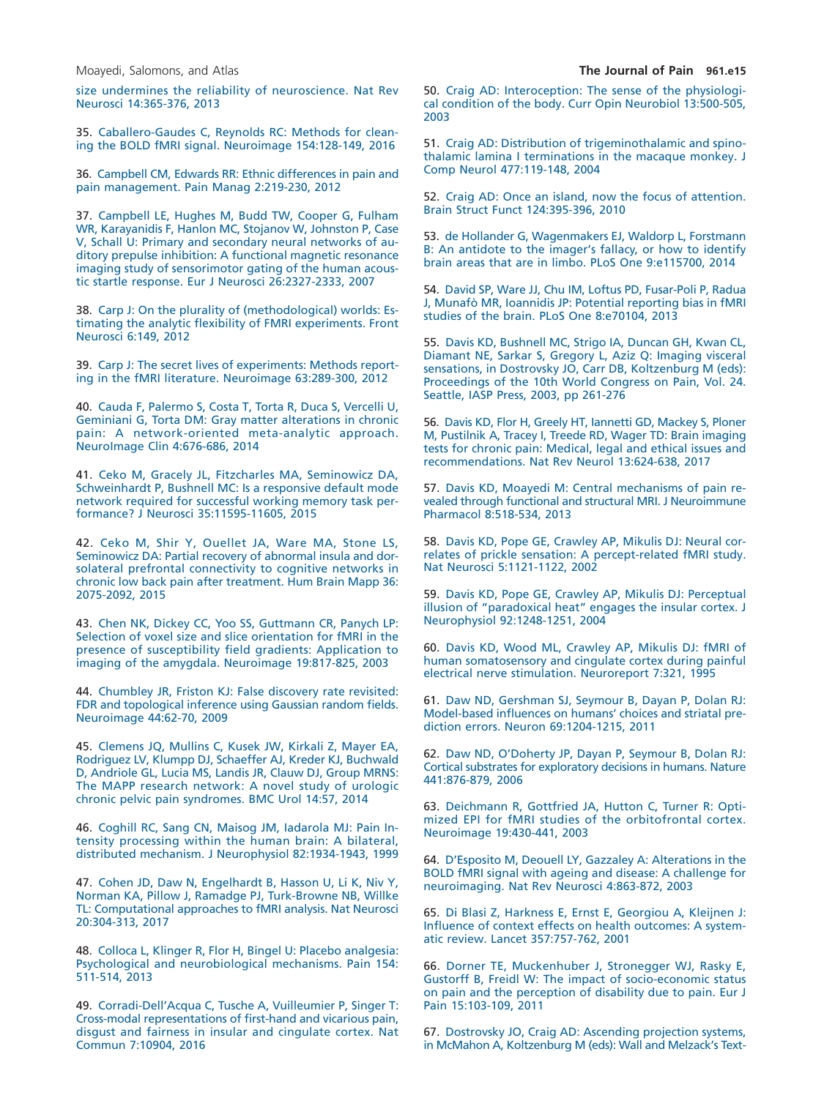size undermines the reliability of neuroscience. Nat Rev [Neurosci 14:365-376, 2013](http://refhub.elsevier.com/S1526-5900(18)30122-6/sr0175)

<span id="page-14-12"></span>35. [Caballero-Gaudes C, Reynolds RC: Methods for clean](http://refhub.elsevier.com/S1526-5900(18)30122-6/sr0180)[ing the BOLD fMRI signal. Neuroimage 154:128-149, 2016](http://refhub.elsevier.com/S1526-5900(18)30122-6/sr0180)

<span id="page-14-3"></span>36. [Campbell CM, Edwards RR: Ethnic differences in pain and](http://refhub.elsevier.com/S1526-5900(18)30122-6/sr0185) [pain management. Pain Manag 2:219-230, 2012](http://refhub.elsevier.com/S1526-5900(18)30122-6/sr0185)

<span id="page-14-7"></span>37. [Campbell LE, Hughes M, Budd TW, Cooper G, Fulham](http://refhub.elsevier.com/S1526-5900(18)30122-6/sr0190) [WR, Karayanidis F, Hanlon MC, Stojanov W, Johnston P, Case](http://refhub.elsevier.com/S1526-5900(18)30122-6/sr0190) [V, Schall U: Primary and secondary neural networks of au](http://refhub.elsevier.com/S1526-5900(18)30122-6/sr0190)[ditory prepulse inhibition: A functional magnetic resonance](http://refhub.elsevier.com/S1526-5900(18)30122-6/sr0190) [imaging study of sensorimotor gating of the human acous](http://refhub.elsevier.com/S1526-5900(18)30122-6/sr0190)[tic startle response. Eur J Neurosci 26:2327-2333, 2007](http://refhub.elsevier.com/S1526-5900(18)30122-6/sr0190)

<span id="page-14-0"></span>38. [Carp J: On the plurality of \(methodological\) worlds: Es](http://refhub.elsevier.com/S1526-5900(18)30122-6/sr0195)[timating the analytic flexibility of FMRI experiments. Front](http://refhub.elsevier.com/S1526-5900(18)30122-6/sr0195) [Neurosci 6:149, 2012](http://refhub.elsevier.com/S1526-5900(18)30122-6/sr0195)

<span id="page-14-2"></span>39. [Carp J: The secret lives of experiments: Methods report](http://refhub.elsevier.com/S1526-5900(18)30122-6/sr0200)[ing in the fMRI literature. Neuroimage 63:289-300, 2012](http://refhub.elsevier.com/S1526-5900(18)30122-6/sr0200)

<span id="page-14-4"></span>40. [Cauda F, Palermo S, Costa T, Torta R, Duca S, Vercelli U,](http://refhub.elsevier.com/S1526-5900(18)30122-6/sr0205) [Geminiani G, Torta DM: Gray matter alterations in chronic](http://refhub.elsevier.com/S1526-5900(18)30122-6/sr0205) [pain: A network-oriented meta-analytic approach.](http://refhub.elsevier.com/S1526-5900(18)30122-6/sr0205) [NeuroImage Clin 4:676-686, 2014](http://refhub.elsevier.com/S1526-5900(18)30122-6/sr0205)

<span id="page-14-14"></span>41. [Ceko M, Gracely JL, Fitzcharles MA, Seminowicz DA,](http://refhub.elsevier.com/S1526-5900(18)30122-6/sr0210) [Schweinhardt P, Bushnell MC: Is a responsive default mode](http://refhub.elsevier.com/S1526-5900(18)30122-6/sr0210) [network required for successful working memory task per](http://refhub.elsevier.com/S1526-5900(18)30122-6/sr0210)[formance? J Neurosci 35:11595-11605, 2015](http://refhub.elsevier.com/S1526-5900(18)30122-6/sr0210)

42. [Ceko M, Shir Y, Ouellet JA, Ware MA, Stone LS,](http://refhub.elsevier.com/S1526-5900(18)30122-6/sr0215) [Seminowicz DA: Partial recovery of abnormal insula and dor](http://refhub.elsevier.com/S1526-5900(18)30122-6/sr0215)[solateral prefrontal connectivity to cognitive networks in](http://refhub.elsevier.com/S1526-5900(18)30122-6/sr0215) [chronic low back pain after treatment. Hum Brain Mapp 36:](http://refhub.elsevier.com/S1526-5900(18)30122-6/sr0215) [2075-2092, 2015](http://refhub.elsevier.com/S1526-5900(18)30122-6/sr0215)

<span id="page-14-9"></span>43. [Chen NK, Dickey CC, Yoo SS, Guttmann CR, Panych LP:](http://refhub.elsevier.com/S1526-5900(18)30122-6/sr0220) [Selection of voxel size and slice orientation for fMRI in the](http://refhub.elsevier.com/S1526-5900(18)30122-6/sr0220) [presence of susceptibility field gradients: Application to](http://refhub.elsevier.com/S1526-5900(18)30122-6/sr0220) [imaging of the amygdala. Neuroimage 19:817-825, 2003](http://refhub.elsevier.com/S1526-5900(18)30122-6/sr0220)

<span id="page-14-13"></span>44. [Chumbley JR, Friston KJ: False discovery rate revisited:](http://refhub.elsevier.com/S1526-5900(18)30122-6/sr0225) [FDR and topological inference using Gaussian random fields.](http://refhub.elsevier.com/S1526-5900(18)30122-6/sr0225) [Neuroimage 44:62-70, 2009](http://refhub.elsevier.com/S1526-5900(18)30122-6/sr0225)

<span id="page-14-8"></span>45. [Clemens JQ, Mullins C, Kusek JW, Kirkali Z, Mayer EA,](http://refhub.elsevier.com/S1526-5900(18)30122-6/sr0230) [Rodriguez LV, Klumpp DJ, Schaeffer AJ, Kreder KJ, Buchwald](http://refhub.elsevier.com/S1526-5900(18)30122-6/sr0230) [D, Andriole GL, Lucia MS, Landis JR, Clauw DJ, Group MRNS:](http://refhub.elsevier.com/S1526-5900(18)30122-6/sr0230) [The MAPP research network: A novel study of urologic](http://refhub.elsevier.com/S1526-5900(18)30122-6/sr0230) [chronic pelvic pain syndromes. BMC Urol 14:57, 2014](http://refhub.elsevier.com/S1526-5900(18)30122-6/sr0230)

46. [Coghill RC, Sang CN, Maisog JM, Iadarola MJ: Pain In](http://refhub.elsevier.com/S1526-5900(18)30122-6/sr0235)[tensity processing within the human brain: A bilateral,](http://refhub.elsevier.com/S1526-5900(18)30122-6/sr0235) [distributed mechanism. J Neurophysiol 82:1934-1943, 1999](http://refhub.elsevier.com/S1526-5900(18)30122-6/sr0235)

<span id="page-14-16"></span>47. [Cohen JD, Daw N, Engelhardt B, Hasson U, Li K, Niv Y,](http://refhub.elsevier.com/S1526-5900(18)30122-6/sr0240) [Norman KA, Pillow J, Ramadge PJ, Turk-Browne NB, Willke](http://refhub.elsevier.com/S1526-5900(18)30122-6/sr0240) [TL: Computational approaches to fMRI analysis. Nat Neurosci](http://refhub.elsevier.com/S1526-5900(18)30122-6/sr0240) [20:304-313, 2017](http://refhub.elsevier.com/S1526-5900(18)30122-6/sr0240)

48. [Colloca L, Klinger R, Flor H, Bingel U: Placebo analgesia:](http://refhub.elsevier.com/S1526-5900(18)30122-6/sr0245) [Psychological and neurobiological mechanisms. Pain 154:](http://refhub.elsevier.com/S1526-5900(18)30122-6/sr0245) [511-514, 2013](http://refhub.elsevier.com/S1526-5900(18)30122-6/sr0245)

<span id="page-14-15"></span>49. [Corradi-Dell'Acqua C, Tusche A, Vuilleumier P, Singer T:](http://refhub.elsevier.com/S1526-5900(18)30122-6/sr0250) [Cross-modal representations of first-hand and vicarious pain,](http://refhub.elsevier.com/S1526-5900(18)30122-6/sr0250) [disgust and fairness in insular and cingulate cortex. Nat](http://refhub.elsevier.com/S1526-5900(18)30122-6/sr0250) [Commun 7:10904, 2016](http://refhub.elsevier.com/S1526-5900(18)30122-6/sr0250)

<span id="page-14-22"></span>51. [Craig AD: Distribution of trigeminothalamic and spino](http://refhub.elsevier.com/S1526-5900(18)30122-6/sr0260)[thalamic lamina I terminations in the macaque monkey. J](http://refhub.elsevier.com/S1526-5900(18)30122-6/sr0260) [Comp Neurol 477:119-148, 2004](http://refhub.elsevier.com/S1526-5900(18)30122-6/sr0260)

52. [Craig AD: Once an island, now the focus of attention.](http://refhub.elsevier.com/S1526-5900(18)30122-6/sr0265) [Brain Struct Funct 124:395-396, 2010](http://refhub.elsevier.com/S1526-5900(18)30122-6/sr0265)

<span id="page-14-21"></span>53. [de Hollander G, Wagenmakers EJ, Waldorp L, Forstmann](http://refhub.elsevier.com/S1526-5900(18)30122-6/sr0270) [B: An antidote to the imager's fallacy, or how to identify](http://refhub.elsevier.com/S1526-5900(18)30122-6/sr0270) [brain areas that are in limbo. PLoS One 9:e115700, 2014](http://refhub.elsevier.com/S1526-5900(18)30122-6/sr0270)

54. [David SP, Ware JJ, Chu IM, Loftus PD, Fusar-Poli P, Radua](http://refhub.elsevier.com/S1526-5900(18)30122-6/sr0275) [J, Munafò MR, Ioannidis JP: Potential reporting bias in fMRI](http://refhub.elsevier.com/S1526-5900(18)30122-6/sr0275) [studies of the brain. PLoS One 8:e70104, 2013](http://refhub.elsevier.com/S1526-5900(18)30122-6/sr0275)

55. [Davis KD, Bushnell MC, Strigo IA, Duncan GH, Kwan CL,](http://refhub.elsevier.com/S1526-5900(18)30122-6/sr0280) [Diamant NE, Sarkar S, Gregory L, Aziz Q: Imaging visceral](http://refhub.elsevier.com/S1526-5900(18)30122-6/sr0280) [sensations, in Dostrovsky JO, Carr DB, Koltzenburg M \(eds\):](http://refhub.elsevier.com/S1526-5900(18)30122-6/sr0280) [Proceedings of the 10th World Congress on Pain, Vol. 24.](http://refhub.elsevier.com/S1526-5900(18)30122-6/sr0280) [Seattle, IASP Press, 2003, pp 261-276](http://refhub.elsevier.com/S1526-5900(18)30122-6/sr0280)

<span id="page-14-1"></span>56. [Davis KD, Flor H, Greely HT, Iannetti GD, Mackey S, Ploner](http://refhub.elsevier.com/S1526-5900(18)30122-6/sr0285) [M, Pustilnik A, Tracey I, Treede RD, Wager TD: Brain imaging](http://refhub.elsevier.com/S1526-5900(18)30122-6/sr0285) [tests for chronic pain: Medical, legal and ethical issues and](http://refhub.elsevier.com/S1526-5900(18)30122-6/sr0285) [recommendations. Nat Rev Neurol 13:624-638, 2017](http://refhub.elsevier.com/S1526-5900(18)30122-6/sr0285)

<span id="page-14-20"></span>57. [Davis KD, Moayedi M: Central mechanisms of pain re](http://refhub.elsevier.com/S1526-5900(18)30122-6/sr0290)[vealed through functional and structural MRI. J Neuroimmune](http://refhub.elsevier.com/S1526-5900(18)30122-6/sr0290) [Pharmacol 8:518-534, 2013](http://refhub.elsevier.com/S1526-5900(18)30122-6/sr0290)

<span id="page-14-17"></span>58. [Davis KD, Pope GE, Crawley AP, Mikulis DJ: Neural cor](http://refhub.elsevier.com/S1526-5900(18)30122-6/sr0295)[relates of prickle sensation: A percept-related fMRI study.](http://refhub.elsevier.com/S1526-5900(18)30122-6/sr0295) [Nat Neurosci 5:1121-1122, 2002](http://refhub.elsevier.com/S1526-5900(18)30122-6/sr0295)

<span id="page-14-18"></span>59. [Davis KD, Pope GE, Crawley AP, Mikulis DJ: Perceptual](http://refhub.elsevier.com/S1526-5900(18)30122-6/sr0300) [illusion of "paradoxical heat" engages the insular cortex. J](http://refhub.elsevier.com/S1526-5900(18)30122-6/sr0300) [Neurophysiol 92:1248-1251, 2004](http://refhub.elsevier.com/S1526-5900(18)30122-6/sr0300)

<span id="page-14-5"></span>60. [Davis KD, Wood ML, Crawley AP, Mikulis DJ: fMRI of](http://refhub.elsevier.com/S1526-5900(18)30122-6/sr0305) [human somatosensory and cingulate cortex during painful](http://refhub.elsevier.com/S1526-5900(18)30122-6/sr0305) [electrical nerve stimulation. Neuroreport 7:321, 1995](http://refhub.elsevier.com/S1526-5900(18)30122-6/sr0305)

<span id="page-14-19"></span>61. [Daw ND, Gershman SJ, Seymour B, Dayan P, Dolan RJ:](http://refhub.elsevier.com/S1526-5900(18)30122-6/sr0310) [Model-based influences on humans' choices and striatal pre](http://refhub.elsevier.com/S1526-5900(18)30122-6/sr0310)[diction errors. Neuron 69:1204-1215, 2011](http://refhub.elsevier.com/S1526-5900(18)30122-6/sr0310)

62. [Daw ND, O'Doherty JP, Dayan P, Seymour B, Dolan RJ:](http://refhub.elsevier.com/S1526-5900(18)30122-6/sr0315) [Cortical substrates for exploratory decisions in humans. Nature](http://refhub.elsevier.com/S1526-5900(18)30122-6/sr0315) [441:876-879, 2006](http://refhub.elsevier.com/S1526-5900(18)30122-6/sr0315)

<span id="page-14-10"></span>63. [Deichmann R, Gottfried JA, Hutton C, Turner R: Opti](http://refhub.elsevier.com/S1526-5900(18)30122-6/sr0320)[mized EPI for fMRI studies of the orbitofrontal cortex.](http://refhub.elsevier.com/S1526-5900(18)30122-6/sr0320) [Neuroimage 19:430-441, 2003](http://refhub.elsevier.com/S1526-5900(18)30122-6/sr0320)

<span id="page-14-11"></span>64. [D'Esposito M, Deouell LY, Gazzaley A: Alterations in the](http://refhub.elsevier.com/S1526-5900(18)30122-6/sr0325) [BOLD fMRI signal with ageing and disease: A challenge for](http://refhub.elsevier.com/S1526-5900(18)30122-6/sr0325) [neuroimaging. Nat Rev Neurosci 4:863-872, 2003](http://refhub.elsevier.com/S1526-5900(18)30122-6/sr0325)

<span id="page-14-6"></span>65. [Di Blasi Z, Harkness E, Ernst E, Georgiou A, Kleijnen J:](http://refhub.elsevier.com/S1526-5900(18)30122-6/sr0330) [Influence of context effects on health outcomes: A system](http://refhub.elsevier.com/S1526-5900(18)30122-6/sr0330)[atic review. Lancet 357:757-762, 2001](http://refhub.elsevier.com/S1526-5900(18)30122-6/sr0330)

66. [Dorner TE, Muckenhuber J, Stronegger WJ, Rasky E,](http://refhub.elsevier.com/S1526-5900(18)30122-6/sr0335) [Gustorff B, Freidl W: The impact of socio-economic status](http://refhub.elsevier.com/S1526-5900(18)30122-6/sr0335) [on pain and the perception of disability due to pain. Eur J](http://refhub.elsevier.com/S1526-5900(18)30122-6/sr0335) [Pain 15:103-109, 2011](http://refhub.elsevier.com/S1526-5900(18)30122-6/sr0335)

67. [Dostrovsky JO, Craig AD: Ascending projection systems,](http://refhub.elsevier.com/S1526-5900(18)30122-6/sr0340) [in McMahon A, Koltzenburg M \(eds\): Wall and Melzack's Text-](http://refhub.elsevier.com/S1526-5900(18)30122-6/sr0340)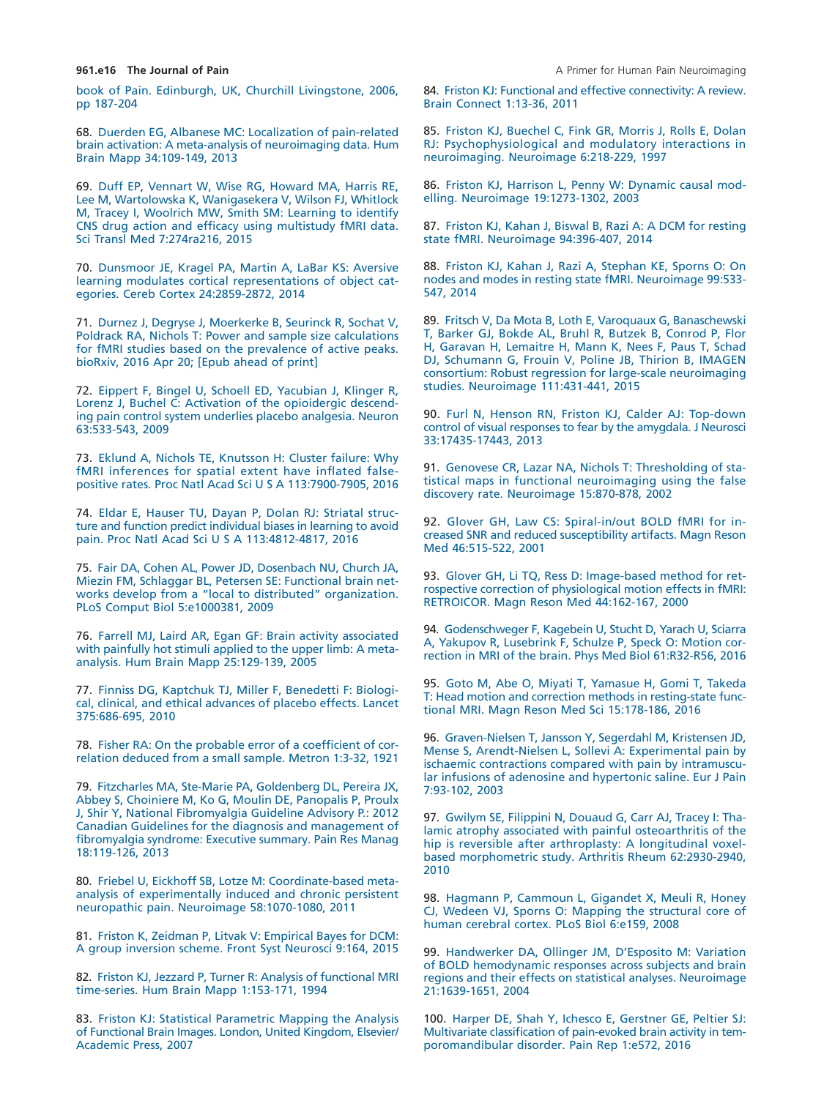book of Pain. Edinburgh, UK, Churchill Livingstone, 2006, [pp 187-204](http://refhub.elsevier.com/S1526-5900(18)30122-6/sr0340)

<span id="page-15-2"></span>68. [Duerden EG, Albanese MC: Localization of pain-related](http://refhub.elsevier.com/S1526-5900(18)30122-6/sr0345) [brain activation: A meta-analysis of neuroimaging data. Hum](http://refhub.elsevier.com/S1526-5900(18)30122-6/sr0345) [Brain Mapp 34:109-149, 2013](http://refhub.elsevier.com/S1526-5900(18)30122-6/sr0345)

69. [Duff EP, Vennart W, Wise RG, Howard MA, Harris RE,](http://refhub.elsevier.com/S1526-5900(18)30122-6/sr0350) [Lee M, Wartolowska K, Wanigasekera V, Wilson FJ, Whitlock](http://refhub.elsevier.com/S1526-5900(18)30122-6/sr0350) [M, Tracey I, Woolrich MW, Smith SM: Learning to identify](http://refhub.elsevier.com/S1526-5900(18)30122-6/sr0350) [CNS drug action and efficacy using multistudy fMRI data.](http://refhub.elsevier.com/S1526-5900(18)30122-6/sr0350) [Sci Transl Med 7:274ra216, 2015](http://refhub.elsevier.com/S1526-5900(18)30122-6/sr0350)

<span id="page-15-8"></span>70. [Dunsmoor JE, Kragel PA, Martin A, LaBar KS: Aversive](http://refhub.elsevier.com/S1526-5900(18)30122-6/sr0355) [learning modulates cortical representations of object cat](http://refhub.elsevier.com/S1526-5900(18)30122-6/sr0355)[egories. Cereb Cortex 24:2859-2872, 2014](http://refhub.elsevier.com/S1526-5900(18)30122-6/sr0355)

<span id="page-15-1"></span>71. [Durnez J, Degryse J, Moerkerke B, Seurinck R, Sochat V,](http://refhub.elsevier.com/S1526-5900(18)30122-6/sr0360) Poldrack RA, Nichols T: Power and sample size calculations for fMRI studies based on the prevalence of active peaks. bioRxiv, 2016 Apr 20; [Epub ahead of print]

72. [Eippert F, Bingel U, Schoell ED, Yacubian J, Klinger R,](http://refhub.elsevier.com/S1526-5900(18)30122-6/sr0365) [Lorenz J, Buchel C: Activation of the opioidergic descend](http://refhub.elsevier.com/S1526-5900(18)30122-6/sr0365)[ing pain control system underlies placebo analgesia. Neuron](http://refhub.elsevier.com/S1526-5900(18)30122-6/sr0365) [63:533-543, 2009](http://refhub.elsevier.com/S1526-5900(18)30122-6/sr0365)

<span id="page-15-10"></span>73. [Eklund A, Nichols TE, Knutsson H: Cluster failure: Why](http://refhub.elsevier.com/S1526-5900(18)30122-6/sr0370) [fMRI inferences for spatial extent have inflated false](http://refhub.elsevier.com/S1526-5900(18)30122-6/sr0370)positive rates. Proc Natl Acad Sci U S A 113:7900-7905, 2016

<span id="page-15-13"></span>74. [Eldar E, Hauser TU, Dayan P, Dolan RJ: Striatal struc](http://refhub.elsevier.com/S1526-5900(18)30122-6/sr0375)[ture and function predict individual biases in learning to avoid](http://refhub.elsevier.com/S1526-5900(18)30122-6/sr0375) pain. Proc Natl Acad Sci U S A 113:4812-4817, 2016

75. [Fair DA, Cohen AL, Power JD, Dosenbach NU, Church JA,](http://refhub.elsevier.com/S1526-5900(18)30122-6/sr0380) [Miezin FM, Schlaggar BL, Petersen SE: Functional brain net](http://refhub.elsevier.com/S1526-5900(18)30122-6/sr0380)[works develop from a "local to distributed" organization.](http://refhub.elsevier.com/S1526-5900(18)30122-6/sr0380) [PLoS Comput Biol 5:e1000381, 2009](http://refhub.elsevier.com/S1526-5900(18)30122-6/sr0380)

76. [Farrell MJ, Laird AR, Egan GF: Brain activity associated](http://refhub.elsevier.com/S1526-5900(18)30122-6/sr0385) [with painfully hot stimuli applied to the upper limb: A meta](http://refhub.elsevier.com/S1526-5900(18)30122-6/sr0385)[analysis. Hum Brain Mapp 25:129-139, 2005](http://refhub.elsevier.com/S1526-5900(18)30122-6/sr0385)

77. [Finniss DG, Kaptchuk TJ, Miller F, Benedetti F: Biologi](http://refhub.elsevier.com/S1526-5900(18)30122-6/sr0390)[cal, clinical, and ethical advances of placebo effects. Lancet](http://refhub.elsevier.com/S1526-5900(18)30122-6/sr0390) [375:686-695, 2010](http://refhub.elsevier.com/S1526-5900(18)30122-6/sr0390)

<span id="page-15-16"></span>78. [Fisher RA: On the probable error of a coefficient of cor](http://refhub.elsevier.com/S1526-5900(18)30122-6/sr0395)[relation deduced from a small sample. Metron 1:3-32, 1921](http://refhub.elsevier.com/S1526-5900(18)30122-6/sr0395)

<span id="page-15-0"></span>79. [Fitzcharles MA, Ste-Marie PA, Goldenberg DL, Pereira JX,](http://refhub.elsevier.com/S1526-5900(18)30122-6/sr0400) [Abbey S, Choiniere M, Ko G, Moulin DE, Panopalis P, Proulx](http://refhub.elsevier.com/S1526-5900(18)30122-6/sr0400) [J, Shir Y, National Fibromyalgia Guideline Advisory P.: 2012](http://refhub.elsevier.com/S1526-5900(18)30122-6/sr0400) [Canadian Guidelines for the diagnosis and management of](http://refhub.elsevier.com/S1526-5900(18)30122-6/sr0400) [fibromyalgia syndrome: Executive summary. Pain Res Manag](http://refhub.elsevier.com/S1526-5900(18)30122-6/sr0400) [18:119-126, 2013](http://refhub.elsevier.com/S1526-5900(18)30122-6/sr0400)

80. [Friebel U, Eickhoff SB, Lotze M: Coordinate-based meta](http://refhub.elsevier.com/S1526-5900(18)30122-6/sr0405)[analysis of experimentally induced and chronic persistent](http://refhub.elsevier.com/S1526-5900(18)30122-6/sr0405) [neuropathic pain. Neuroimage 58:1070-1080, 2011](http://refhub.elsevier.com/S1526-5900(18)30122-6/sr0405)

<span id="page-15-12"></span>81. [Friston K, Zeidman P, Litvak V: Empirical Bayes for DCM:](http://refhub.elsevier.com/S1526-5900(18)30122-6/sr0410) [A group inversion scheme. Front Syst Neurosci 9:164, 2015](http://refhub.elsevier.com/S1526-5900(18)30122-6/sr0410)

<span id="page-15-6"></span>82. Friston KJ, Jezzard P, Turner R: Analysis of functional MRI time-series. Hum Brain Mapp 1:153-171, 1994

<span id="page-15-4"></span>83. [Friston KJ: Statistical Parametric Mapping the Analysis](http://refhub.elsevier.com/S1526-5900(18)30122-6/sr0420) [of Functional Brain Images. London, United Kingdom, Elsevier/](http://refhub.elsevier.com/S1526-5900(18)30122-6/sr0420) Academic Press, 2007

84. [Friston KJ: Functional and effective connectivity: A review.](http://refhub.elsevier.com/S1526-5900(18)30122-6/sr0425) [Brain Connect 1:13-36, 2011](http://refhub.elsevier.com/S1526-5900(18)30122-6/sr0425)

<span id="page-15-11"></span>85. [Friston KJ, Buechel C, Fink GR, Morris J, Rolls E, Dolan](http://refhub.elsevier.com/S1526-5900(18)30122-6/sr0430) [RJ: Psychophysiological and modulatory interactions in](http://refhub.elsevier.com/S1526-5900(18)30122-6/sr0430) [neuroimaging. Neuroimage 6:218-229, 1997](http://refhub.elsevier.com/S1526-5900(18)30122-6/sr0430)

<span id="page-15-14"></span>86. [Friston KJ, Harrison L, Penny W: Dynamic causal mod](http://refhub.elsevier.com/S1526-5900(18)30122-6/sr0435)[elling. Neuroimage 19:1273-1302, 2003](http://refhub.elsevier.com/S1526-5900(18)30122-6/sr0435)

87. [Friston KJ, Kahan J, Biswal B, Razi A: A DCM for resting](http://refhub.elsevier.com/S1526-5900(18)30122-6/sr0440) [state fMRI. Neuroimage 94:396-407, 2014](http://refhub.elsevier.com/S1526-5900(18)30122-6/sr0440)

88. [Friston KJ, Kahan J, Razi A, Stephan KE, Sporns O: On](http://refhub.elsevier.com/S1526-5900(18)30122-6/sr0445) [nodes and modes in resting state fMRI. Neuroimage 99:533-](http://refhub.elsevier.com/S1526-5900(18)30122-6/sr0445) [547, 2014](http://refhub.elsevier.com/S1526-5900(18)30122-6/sr0445)

89. [Fritsch V, Da Mota B, Loth E, Varoquaux G, Banaschewski](http://refhub.elsevier.com/S1526-5900(18)30122-6/sr0450) [T, Barker GJ, Bokde AL, Bruhl R, Butzek B, Conrod P, Flor](http://refhub.elsevier.com/S1526-5900(18)30122-6/sr0450) [H, Garavan H, Lemaitre H, Mann K, Nees F, Paus T, Schad](http://refhub.elsevier.com/S1526-5900(18)30122-6/sr0450) [DJ, Schumann G, Frouin V, Poline JB, Thirion B, IMAGEN](http://refhub.elsevier.com/S1526-5900(18)30122-6/sr0450) [consortium: Robust regression for large-scale neuroimaging](http://refhub.elsevier.com/S1526-5900(18)30122-6/sr0450) [studies. Neuroimage 111:431-441, 2015](http://refhub.elsevier.com/S1526-5900(18)30122-6/sr0450)

90. [Furl N, Henson RN, Friston KJ, Calder AJ: Top-down](http://refhub.elsevier.com/S1526-5900(18)30122-6/sr0455) [control of visual responses to fear by the amygdala. J Neurosci](http://refhub.elsevier.com/S1526-5900(18)30122-6/sr0455) [33:17435-17443, 2013](http://refhub.elsevier.com/S1526-5900(18)30122-6/sr0455)

<span id="page-15-9"></span>91. [Genovese CR, Lazar NA, Nichols T: Thresholding of sta](http://refhub.elsevier.com/S1526-5900(18)30122-6/sr0460)[tistical maps in functional neuroimaging using the false](http://refhub.elsevier.com/S1526-5900(18)30122-6/sr0460) [discovery rate. Neuroimage 15:870-878, 2002](http://refhub.elsevier.com/S1526-5900(18)30122-6/sr0460)

92. [Glover GH, Law CS: Spiral-in/out BOLD fMRI for in](http://refhub.elsevier.com/S1526-5900(18)30122-6/sr0465)[creased SNR and reduced susceptibility artifacts. Magn Reson](http://refhub.elsevier.com/S1526-5900(18)30122-6/sr0465) [Med 46:515-522, 2001](http://refhub.elsevier.com/S1526-5900(18)30122-6/sr0465)

<span id="page-15-7"></span>93. [Glover GH, Li TQ, Ress D: Image-based method for ret](http://refhub.elsevier.com/S1526-5900(18)30122-6/sr0470)[rospective correction of physiological motion effects in fMRI:](http://refhub.elsevier.com/S1526-5900(18)30122-6/sr0470) [RETROICOR. Magn Reson Med 44:162-167, 2000](http://refhub.elsevier.com/S1526-5900(18)30122-6/sr0470)

<span id="page-15-3"></span>94. [Godenschweger F, Kagebein U, Stucht D, Yarach U, Sciarra](http://refhub.elsevier.com/S1526-5900(18)30122-6/sr0475) [A, Yakupov R, Lusebrink F, Schulze P, Speck O: Motion cor](http://refhub.elsevier.com/S1526-5900(18)30122-6/sr0475)[rection in MRI of the brain. Phys Med Biol 61:R32-R56, 2016](http://refhub.elsevier.com/S1526-5900(18)30122-6/sr0475)

95. [Goto M, Abe O, Miyati T, Yamasue H, Gomi T, Takeda](http://refhub.elsevier.com/S1526-5900(18)30122-6/sr0480) [T: Head motion and correction methods in resting-state func](http://refhub.elsevier.com/S1526-5900(18)30122-6/sr0480)[tional MRI. Magn Reson Med Sci 15:178-186, 2016](http://refhub.elsevier.com/S1526-5900(18)30122-6/sr0480)

96. [Graven-Nielsen T, Jansson Y, Segerdahl M, Kristensen JD,](http://refhub.elsevier.com/S1526-5900(18)30122-6/sr0485) [Mense S, Arendt-Nielsen L, Sollevi A: Experimental pain by](http://refhub.elsevier.com/S1526-5900(18)30122-6/sr0485) [ischaemic contractions compared with pain by intramuscu](http://refhub.elsevier.com/S1526-5900(18)30122-6/sr0485)[lar infusions of adenosine and hypertonic saline. Eur J Pain](http://refhub.elsevier.com/S1526-5900(18)30122-6/sr0485) [7:93-102, 2003](http://refhub.elsevier.com/S1526-5900(18)30122-6/sr0485)

<span id="page-15-15"></span>97. [Gwilym SE, Filippini N, Douaud G, Carr AJ, Tracey I: Tha](http://refhub.elsevier.com/S1526-5900(18)30122-6/sr0490)[lamic atrophy associated with painful osteoarthritis of the](http://refhub.elsevier.com/S1526-5900(18)30122-6/sr0490) [hip is reversible after arthroplasty: A longitudinal voxel](http://refhub.elsevier.com/S1526-5900(18)30122-6/sr0490)[based morphometric study. Arthritis Rheum 62:2930-2940,](http://refhub.elsevier.com/S1526-5900(18)30122-6/sr0490) [2010](http://refhub.elsevier.com/S1526-5900(18)30122-6/sr0490)

98. [Hagmann P, Cammoun L, Gigandet X, Meuli R, Honey](http://refhub.elsevier.com/S1526-5900(18)30122-6/sr0495) [CJ, Wedeen VJ, Sporns O: Mapping the structural core of](http://refhub.elsevier.com/S1526-5900(18)30122-6/sr0495) [human cerebral cortex. PLoS Biol 6:e159, 2008](http://refhub.elsevier.com/S1526-5900(18)30122-6/sr0495)

<span id="page-15-5"></span>99. [Handwerker DA, Ollinger JM, D'Esposito M: Variation](http://refhub.elsevier.com/S1526-5900(18)30122-6/sr0500) [of BOLD hemodynamic responses across subjects and brain](http://refhub.elsevier.com/S1526-5900(18)30122-6/sr0500) [regions and their effects on statistical analyses. Neuroimage](http://refhub.elsevier.com/S1526-5900(18)30122-6/sr0500) [21:1639-1651, 2004](http://refhub.elsevier.com/S1526-5900(18)30122-6/sr0500)

100. [Harper DE, Shah Y, Ichesco E, Gerstner GE, Peltier SJ:](http://refhub.elsevier.com/S1526-5900(18)30122-6/sr0505) [Multivariate classification of pain-evoked brain activity in tem](http://refhub.elsevier.com/S1526-5900(18)30122-6/sr0505)[poromandibular disorder. Pain Rep 1:e572, 2016](http://refhub.elsevier.com/S1526-5900(18)30122-6/sr0505)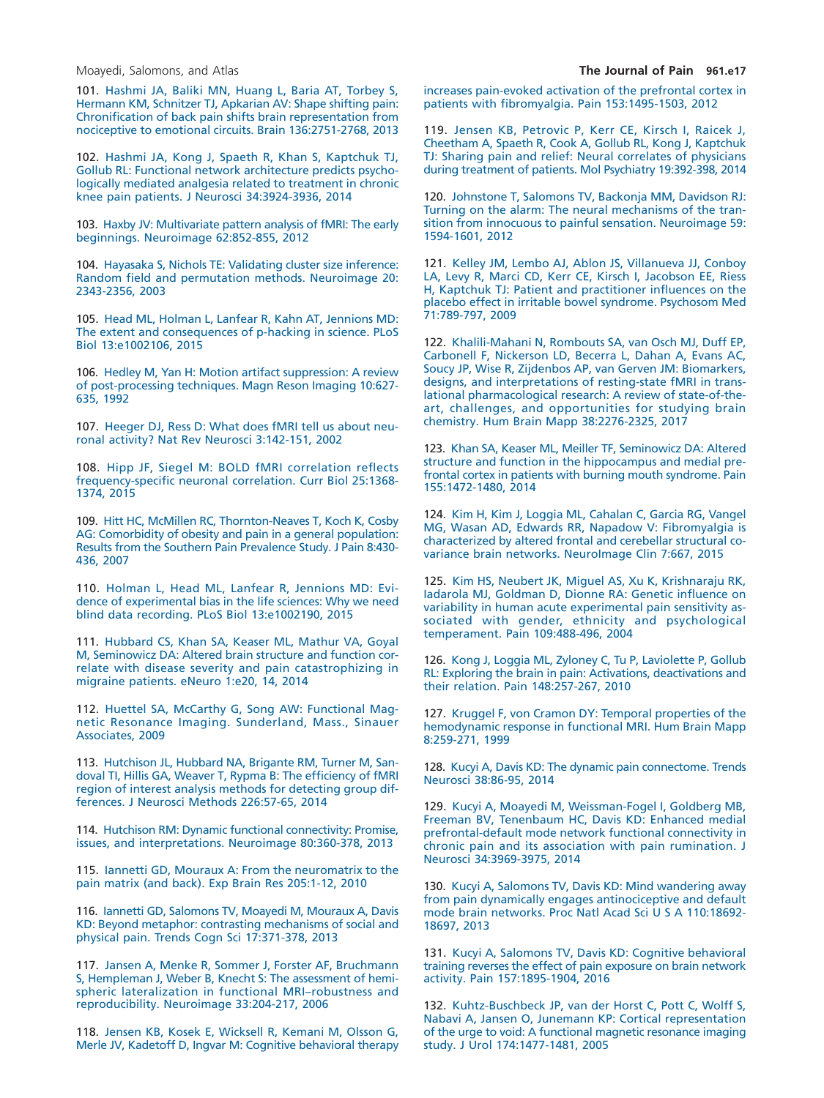101. [Hashmi JA, Baliki MN, Huang L, Baria AT, Torbey S,](http://refhub.elsevier.com/S1526-5900(18)30122-6/sr0510) [Hermann KM, Schnitzer TJ, Apkarian AV: Shape shifting pain:](http://refhub.elsevier.com/S1526-5900(18)30122-6/sr0510) [Chronification of back pain shifts brain representation from](http://refhub.elsevier.com/S1526-5900(18)30122-6/sr0510) [nociceptive to emotional circuits. Brain 136:2751-2768, 2013](http://refhub.elsevier.com/S1526-5900(18)30122-6/sr0510)

<span id="page-16-6"></span>102. [Hashmi JA, Kong J, Spaeth R, Khan S, Kaptchuk TJ,](http://refhub.elsevier.com/S1526-5900(18)30122-6/sr0515) [Gollub RL: Functional network architecture predicts psycho](http://refhub.elsevier.com/S1526-5900(18)30122-6/sr0515)[logically mediated analgesia related to treatment in chronic](http://refhub.elsevier.com/S1526-5900(18)30122-6/sr0515) [knee pain patients. J Neurosci 34:3924-3936, 2014](http://refhub.elsevier.com/S1526-5900(18)30122-6/sr0515)

<span id="page-16-4"></span>103. [Haxby JV: Multivariate pattern analysis of fMRI: The early](http://refhub.elsevier.com/S1526-5900(18)30122-6/sr0520) [beginnings. Neuroimage 62:852-855, 2012](http://refhub.elsevier.com/S1526-5900(18)30122-6/sr0520)

<span id="page-16-3"></span>104. [Hayasaka S, Nichols TE: Validating cluster size inference:](http://refhub.elsevier.com/S1526-5900(18)30122-6/sr0525) [Random field and permutation methods. Neuroimage 20:](http://refhub.elsevier.com/S1526-5900(18)30122-6/sr0525) [2343-2356, 2003](http://refhub.elsevier.com/S1526-5900(18)30122-6/sr0525)

105. [Head ML, Holman L, Lanfear R, Kahn AT, Jennions MD:](http://refhub.elsevier.com/S1526-5900(18)30122-6/sr0530) [The extent and consequences of p-hacking in science. PLoS](http://refhub.elsevier.com/S1526-5900(18)30122-6/sr0530) [Biol 13:e1002106, 2015](http://refhub.elsevier.com/S1526-5900(18)30122-6/sr0530)

106. [Hedley M, Yan H: Motion artifact suppression: A review](http://refhub.elsevier.com/S1526-5900(18)30122-6/sr0535) [of post-processing techniques. Magn Reson Imaging 10:627-](http://refhub.elsevier.com/S1526-5900(18)30122-6/sr0535) [635, 1992](http://refhub.elsevier.com/S1526-5900(18)30122-6/sr0535)

107. [Heeger DJ, Ress D: What does fMRI tell us about neu](http://refhub.elsevier.com/S1526-5900(18)30122-6/sr0540)[ronal activity? Nat Rev Neurosci 3:142-151, 2002](http://refhub.elsevier.com/S1526-5900(18)30122-6/sr0540)

108. [Hipp JF, Siegel M: BOLD fMRI correlation reflects](http://refhub.elsevier.com/S1526-5900(18)30122-6/sr0545) [frequency-specific neuronal correlation. Curr Biol 25:1368-](http://refhub.elsevier.com/S1526-5900(18)30122-6/sr0545) [1374, 2015](http://refhub.elsevier.com/S1526-5900(18)30122-6/sr0545)

<span id="page-16-0"></span>109. [Hitt HC, McMillen RC, Thornton-Neaves T, Koch K, Cosby](http://refhub.elsevier.com/S1526-5900(18)30122-6/sr0550) [AG: Comorbidity of obesity and pain in a general population:](http://refhub.elsevier.com/S1526-5900(18)30122-6/sr0550) [Results from the Southern Pain Prevalence Study. J Pain 8:430-](http://refhub.elsevier.com/S1526-5900(18)30122-6/sr0550) [436, 2007](http://refhub.elsevier.com/S1526-5900(18)30122-6/sr0550)

110. [Holman L, Head ML, Lanfear R, Jennions MD: Evi](http://refhub.elsevier.com/S1526-5900(18)30122-6/sr0555)[dence of experimental bias in the life sciences: Why we need](http://refhub.elsevier.com/S1526-5900(18)30122-6/sr0555) [blind data recording. PLoS Biol 13:e1002190, 2015](http://refhub.elsevier.com/S1526-5900(18)30122-6/sr0555)

111. [Hubbard CS, Khan SA, Keaser ML, Mathur VA, Goyal](http://refhub.elsevier.com/S1526-5900(18)30122-6/sr0560) [M, Seminowicz DA: Altered brain structure and function cor](http://refhub.elsevier.com/S1526-5900(18)30122-6/sr0560)[relate with disease severity and pain catastrophizing in](http://refhub.elsevier.com/S1526-5900(18)30122-6/sr0560) [migraine patients. eNeuro 1:e20, 14, 2014](http://refhub.elsevier.com/S1526-5900(18)30122-6/sr0560)

112. [Huettel SA, McCarthy G, Song AW: Functional Mag](http://refhub.elsevier.com/S1526-5900(18)30122-6/sr0565)[netic Resonance Imaging. Sunderland, Mass., Sinauer](http://refhub.elsevier.com/S1526-5900(18)30122-6/sr0565) [Associates, 2009](http://refhub.elsevier.com/S1526-5900(18)30122-6/sr0565)

<span id="page-16-2"></span>113. [Hutchison JL, Hubbard NA, Brigante RM, Turner M, San](http://refhub.elsevier.com/S1526-5900(18)30122-6/sr0570)[doval TI, Hillis GA, Weaver T, Rypma B: The efficiency of fMRI](http://refhub.elsevier.com/S1526-5900(18)30122-6/sr0570) [region of interest analysis methods for detecting group dif](http://refhub.elsevier.com/S1526-5900(18)30122-6/sr0570)[ferences. J Neurosci Methods 226:57-65, 2014](http://refhub.elsevier.com/S1526-5900(18)30122-6/sr0570)

<span id="page-16-10"></span>114. [Hutchison RM: Dynamic functional connectivity: Promise,](http://refhub.elsevier.com/S1526-5900(18)30122-6/sr0575) [issues, and interpretations. Neuroimage 80:360-378, 2013](http://refhub.elsevier.com/S1526-5900(18)30122-6/sr0575)

<span id="page-16-12"></span>115. [Iannetti GD, Mouraux A: From the neuromatrix to the](http://refhub.elsevier.com/S1526-5900(18)30122-6/sr0580) [pain matrix \(and back\). Exp Brain Res 205:1-12, 2010](http://refhub.elsevier.com/S1526-5900(18)30122-6/sr0580)

<span id="page-16-13"></span>116. [Iannetti GD, Salomons TV, Moayedi M, Mouraux A, Davis](http://refhub.elsevier.com/S1526-5900(18)30122-6/sr0585) [KD: Beyond metaphor: contrasting mechanisms of social and](http://refhub.elsevier.com/S1526-5900(18)30122-6/sr0585) [physical pain. Trends Cogn Sci 17:371-378, 2013](http://refhub.elsevier.com/S1526-5900(18)30122-6/sr0585)

<span id="page-16-14"></span>117. [Jansen A, Menke R, Sommer J, Forster AF, Bruchmann](http://refhub.elsevier.com/S1526-5900(18)30122-6/sr0590) [S, Hempleman J, Weber B, Knecht S: The assessment of hemi](http://refhub.elsevier.com/S1526-5900(18)30122-6/sr0590)[spheric lateralization in functional MRI–robustness and](http://refhub.elsevier.com/S1526-5900(18)30122-6/sr0590) [reproducibility. Neuroimage 33:204-217, 2006](http://refhub.elsevier.com/S1526-5900(18)30122-6/sr0590)

118. [Jensen KB, Kosek E, Wicksell R, Kemani M, Olsson G,](http://refhub.elsevier.com/S1526-5900(18)30122-6/sr0595) [Merle JV, Kadetoff D, Ingvar M: Cognitive behavioral therapy](http://refhub.elsevier.com/S1526-5900(18)30122-6/sr0595) [increases pain-evoked activation of the prefrontal cortex in](http://refhub.elsevier.com/S1526-5900(18)30122-6/sr0595) [patients with fibromyalgia. Pain 153:1495-1503, 2012](http://refhub.elsevier.com/S1526-5900(18)30122-6/sr0595)

119. [Jensen KB, Petrovic P, Kerr CE, Kirsch I, Raicek J,](http://refhub.elsevier.com/S1526-5900(18)30122-6/sr0600) [Cheetham A, Spaeth R, Cook A, Gollub RL, Kong J, Kaptchuk](http://refhub.elsevier.com/S1526-5900(18)30122-6/sr0600) [TJ: Sharing pain and relief: Neural correlates of physicians](http://refhub.elsevier.com/S1526-5900(18)30122-6/sr0600) [during treatment of patients. Mol Psychiatry 19:392-398, 2014](http://refhub.elsevier.com/S1526-5900(18)30122-6/sr0600)

<span id="page-16-1"></span>120. [Johnstone T, Salomons TV, Backonja MM, Davidson RJ:](http://refhub.elsevier.com/S1526-5900(18)30122-6/sr0605) [Turning on the alarm: The neural mechanisms of the tran](http://refhub.elsevier.com/S1526-5900(18)30122-6/sr0605)[sition from innocuous to painful sensation. Neuroimage 59:](http://refhub.elsevier.com/S1526-5900(18)30122-6/sr0605) [1594-1601, 2012](http://refhub.elsevier.com/S1526-5900(18)30122-6/sr0605)

121. [Kelley JM, Lembo AJ, Ablon JS, Villanueva JJ, Conboy](http://refhub.elsevier.com/S1526-5900(18)30122-6/sr0610) [LA, Levy R, Marci CD, Kerr CE, Kirsch I, Jacobson EE, Riess](http://refhub.elsevier.com/S1526-5900(18)30122-6/sr0610) [H, Kaptchuk TJ: Patient and practitioner influences on the](http://refhub.elsevier.com/S1526-5900(18)30122-6/sr0610) [placebo effect in irritable bowel syndrome. Psychosom Med](http://refhub.elsevier.com/S1526-5900(18)30122-6/sr0610) [71:789-797, 2009](http://refhub.elsevier.com/S1526-5900(18)30122-6/sr0610)

<span id="page-16-7"></span>122. [Khalili-Mahani N, Rombouts SA, van Osch MJ, Duff EP,](http://refhub.elsevier.com/S1526-5900(18)30122-6/sr0615) [Carbonell F, Nickerson LD, Becerra L, Dahan A, Evans AC,](http://refhub.elsevier.com/S1526-5900(18)30122-6/sr0615) [Soucy JP, Wise R, Zijdenbos AP, van Gerven JM: Biomarkers,](http://refhub.elsevier.com/S1526-5900(18)30122-6/sr0615) [designs, and interpretations of resting-state fMRI in trans](http://refhub.elsevier.com/S1526-5900(18)30122-6/sr0615)[lational pharmacological research: A review of state-of-the](http://refhub.elsevier.com/S1526-5900(18)30122-6/sr0615)[art, challenges, and opportunities for studying brain](http://refhub.elsevier.com/S1526-5900(18)30122-6/sr0615) [chemistry. Hum Brain Mapp 38:2276-2325, 2017](http://refhub.elsevier.com/S1526-5900(18)30122-6/sr0615)

123. [Khan SA, Keaser ML, Meiller TF, Seminowicz DA: Altered](http://refhub.elsevier.com/S1526-5900(18)30122-6/sr0620) [structure and function in the hippocampus and medial pre](http://refhub.elsevier.com/S1526-5900(18)30122-6/sr0620)[frontal cortex in patients with burning mouth syndrome. Pain](http://refhub.elsevier.com/S1526-5900(18)30122-6/sr0620) [155:1472-1480, 2014](http://refhub.elsevier.com/S1526-5900(18)30122-6/sr0620)

<span id="page-16-8"></span>124. [Kim H, Kim J, Loggia ML, Cahalan C, Garcia RG, Vangel](http://refhub.elsevier.com/S1526-5900(18)30122-6/sr0625) [MG, Wasan AD, Edwards RR, Napadow V: Fibromyalgia is](http://refhub.elsevier.com/S1526-5900(18)30122-6/sr0625) [characterized by altered frontal and cerebellar structural co](http://refhub.elsevier.com/S1526-5900(18)30122-6/sr0625)[variance brain networks. NeuroImage Clin 7:667, 2015](http://refhub.elsevier.com/S1526-5900(18)30122-6/sr0625)

125. [Kim HS, Neubert JK, Miguel AS, Xu K, Krishnaraju RK,](http://refhub.elsevier.com/S1526-5900(18)30122-6/sr0630) [Iadarola MJ, Goldman D, Dionne RA: Genetic influence on](http://refhub.elsevier.com/S1526-5900(18)30122-6/sr0630) [variability in human acute experimental pain sensitivity as](http://refhub.elsevier.com/S1526-5900(18)30122-6/sr0630)[sociated with gender, ethnicity and psychological](http://refhub.elsevier.com/S1526-5900(18)30122-6/sr0630) [temperament. Pain 109:488-496, 2004](http://refhub.elsevier.com/S1526-5900(18)30122-6/sr0630)

126. [Kong J, Loggia ML, Zyloney C, Tu P, Laviolette P, Gollub](http://refhub.elsevier.com/S1526-5900(18)30122-6/sr0635) [RL: Exploring the brain in pain: Activations, deactivations and](http://refhub.elsevier.com/S1526-5900(18)30122-6/sr0635) [their relation. Pain 148:257-267, 2010](http://refhub.elsevier.com/S1526-5900(18)30122-6/sr0635)

127. [Kruggel F, von Cramon DY: Temporal properties of the](http://refhub.elsevier.com/S1526-5900(18)30122-6/sr0640) [hemodynamic response in functional MRI. Hum Brain Mapp](http://refhub.elsevier.com/S1526-5900(18)30122-6/sr0640) [8:259-271, 1999](http://refhub.elsevier.com/S1526-5900(18)30122-6/sr0640)

<span id="page-16-9"></span>128. [Kucyi A, Davis KD: The dynamic pain connectome. Trends](http://refhub.elsevier.com/S1526-5900(18)30122-6/sr0645) [Neurosci 38:86-95, 2014](http://refhub.elsevier.com/S1526-5900(18)30122-6/sr0645)

<span id="page-16-5"></span>129. [Kucyi A, Moayedi M, Weissman-Fogel I, Goldberg MB,](http://refhub.elsevier.com/S1526-5900(18)30122-6/sr0650) [Freeman BV, Tenenbaum HC, Davis KD: Enhanced medial](http://refhub.elsevier.com/S1526-5900(18)30122-6/sr0650) [prefrontal-default mode network functional connectivity in](http://refhub.elsevier.com/S1526-5900(18)30122-6/sr0650) [chronic pain and its association with pain rumination. J](http://refhub.elsevier.com/S1526-5900(18)30122-6/sr0650) [Neurosci 34:3969-3975, 2014](http://refhub.elsevier.com/S1526-5900(18)30122-6/sr0650)

<span id="page-16-11"></span>130. [Kucyi A, Salomons TV, Davis KD: Mind wandering away](http://refhub.elsevier.com/S1526-5900(18)30122-6/sr0655) [from pain dynamically engages antinociceptive and default](http://refhub.elsevier.com/S1526-5900(18)30122-6/sr0655) mode brain networks. Proc Natl Acad Sci U S A 110:18692-[18697, 2013](http://refhub.elsevier.com/S1526-5900(18)30122-6/sr0655)

131. [Kucyi A, Salomons TV, Davis KD: Cognitive behavioral](http://refhub.elsevier.com/S1526-5900(18)30122-6/sr0660) [training reverses the effect of pain exposure on brain network](http://refhub.elsevier.com/S1526-5900(18)30122-6/sr0660) [activity. Pain 157:1895-1904, 2016](http://refhub.elsevier.com/S1526-5900(18)30122-6/sr0660)

132. [Kuhtz-Buschbeck JP, van der Horst C, Pott C, Wolff S,](http://refhub.elsevier.com/S1526-5900(18)30122-6/sr0665) [Nabavi A, Jansen O, Junemann KP: Cortical representation](http://refhub.elsevier.com/S1526-5900(18)30122-6/sr0665) [of the urge to void: A functional magnetic resonance imaging](http://refhub.elsevier.com/S1526-5900(18)30122-6/sr0665) [study. J Urol 174:1477-1481, 2005](http://refhub.elsevier.com/S1526-5900(18)30122-6/sr0665)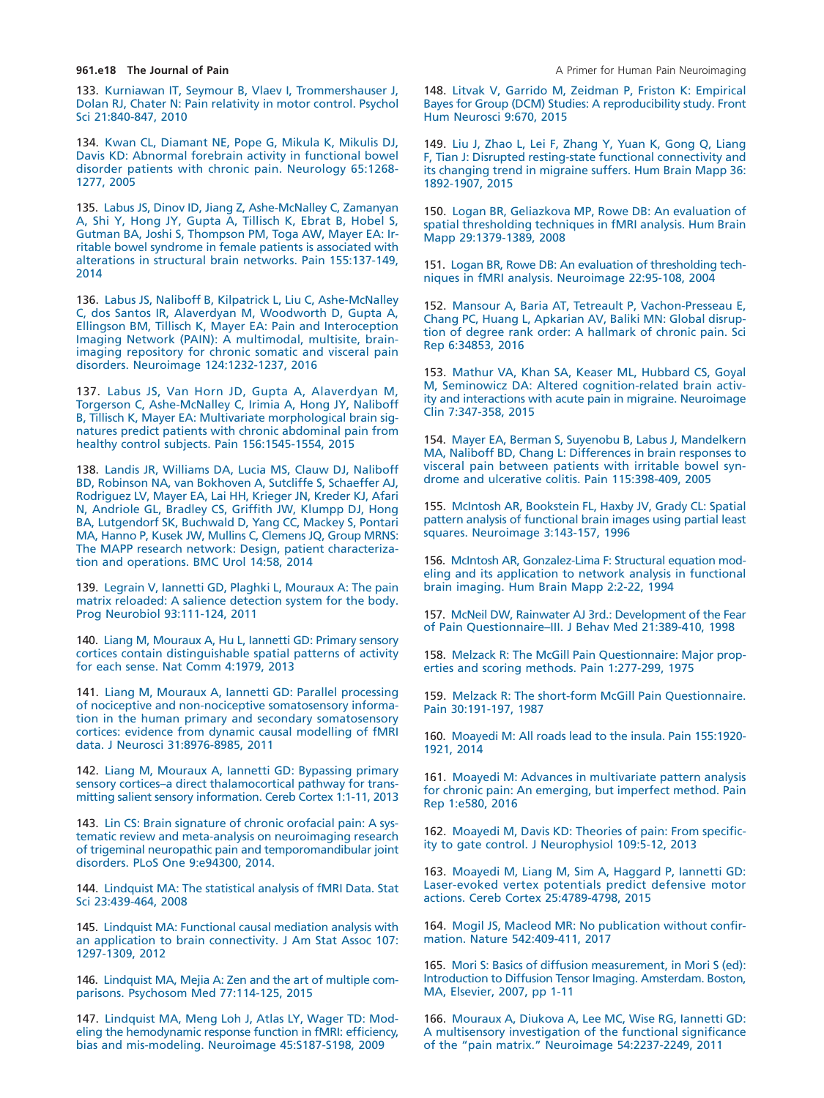133. [Kurniawan IT, Seymour B, Vlaev I, Trommershauser J,](http://refhub.elsevier.com/S1526-5900(18)30122-6/sr0670) [Dolan RJ, Chater N: Pain relativity in motor control. Psychol](http://refhub.elsevier.com/S1526-5900(18)30122-6/sr0670) [Sci 21:840-847, 2010](http://refhub.elsevier.com/S1526-5900(18)30122-6/sr0670)

134. [Kwan CL, Diamant NE, Pope G, Mikula K, Mikulis DJ,](http://refhub.elsevier.com/S1526-5900(18)30122-6/sr0680) [Davis KD: Abnormal forebrain activity in functional bowel](http://refhub.elsevier.com/S1526-5900(18)30122-6/sr0680) [disorder patients with chronic pain. Neurology 65:1268-](http://refhub.elsevier.com/S1526-5900(18)30122-6/sr0680) [1277, 2005](http://refhub.elsevier.com/S1526-5900(18)30122-6/sr0680)

135. [Labus JS, Dinov ID, Jiang Z, Ashe-McNalley C, Zamanyan](http://refhub.elsevier.com/S1526-5900(18)30122-6/sr0685) [A, Shi Y, Hong JY, Gupta A, Tillisch K, Ebrat B, Hobel S,](http://refhub.elsevier.com/S1526-5900(18)30122-6/sr0685) [Gutman BA, Joshi S, Thompson PM, Toga AW, Mayer EA: Ir](http://refhub.elsevier.com/S1526-5900(18)30122-6/sr0685)[ritable bowel syndrome in female patients is associated with](http://refhub.elsevier.com/S1526-5900(18)30122-6/sr0685) [alterations in structural brain networks. Pain 155:137-149,](http://refhub.elsevier.com/S1526-5900(18)30122-6/sr0685) [2014](http://refhub.elsevier.com/S1526-5900(18)30122-6/sr0685)

<span id="page-17-0"></span>136. [Labus JS, Naliboff B, Kilpatrick L, Liu C, Ashe-McNalley](http://refhub.elsevier.com/S1526-5900(18)30122-6/sr0690) [C, dos Santos IR, Alaverdyan M, Woodworth D, Gupta A,](http://refhub.elsevier.com/S1526-5900(18)30122-6/sr0690) [Ellingson BM, Tillisch K, Mayer EA: Pain and Interoception](http://refhub.elsevier.com/S1526-5900(18)30122-6/sr0690) [Imaging Network \(PAIN\): A multimodal, multisite, brain](http://refhub.elsevier.com/S1526-5900(18)30122-6/sr0690)[imaging repository for chronic somatic and visceral pain](http://refhub.elsevier.com/S1526-5900(18)30122-6/sr0690) [disorders. Neuroimage 124:1232-1237, 2016](http://refhub.elsevier.com/S1526-5900(18)30122-6/sr0690)

137. [Labus JS, Van Horn JD, Gupta A, Alaverdyan M,](http://refhub.elsevier.com/S1526-5900(18)30122-6/sr0695) [Torgerson C, Ashe-McNalley C, Irimia A, Hong JY, Naliboff](http://refhub.elsevier.com/S1526-5900(18)30122-6/sr0695) [B, Tillisch K, Mayer EA: Multivariate morphological brain sig](http://refhub.elsevier.com/S1526-5900(18)30122-6/sr0695)[natures predict patients with chronic abdominal pain from](http://refhub.elsevier.com/S1526-5900(18)30122-6/sr0695) [healthy control subjects. Pain 156:1545-1554, 2015](http://refhub.elsevier.com/S1526-5900(18)30122-6/sr0695)

138. [Landis JR, Williams DA, Lucia MS, Clauw DJ, Naliboff](http://refhub.elsevier.com/S1526-5900(18)30122-6/sr0700) [BD, Robinson NA, van Bokhoven A, Sutcliffe S, Schaeffer AJ,](http://refhub.elsevier.com/S1526-5900(18)30122-6/sr0700) [Rodriguez LV, Mayer EA, Lai HH, Krieger JN, Kreder KJ, Afari](http://refhub.elsevier.com/S1526-5900(18)30122-6/sr0700) [N, Andriole GL, Bradley CS, Griffith JW, Klumpp DJ, Hong](http://refhub.elsevier.com/S1526-5900(18)30122-6/sr0700) [BA, Lutgendorf SK, Buchwald D, Yang CC, Mackey S, Pontari](http://refhub.elsevier.com/S1526-5900(18)30122-6/sr0700) [MA, Hanno P, Kusek JW, Mullins C, Clemens JQ, Group MRNS:](http://refhub.elsevier.com/S1526-5900(18)30122-6/sr0700) [The MAPP research network: Design, patient characteriza](http://refhub.elsevier.com/S1526-5900(18)30122-6/sr0700)[tion and operations. BMC Urol 14:58, 2014](http://refhub.elsevier.com/S1526-5900(18)30122-6/sr0700)

139. [Legrain V, Iannetti GD, Plaghki L, Mouraux A: The pain](http://refhub.elsevier.com/S1526-5900(18)30122-6/sr0705) [matrix reloaded: A salience detection system for the body.](http://refhub.elsevier.com/S1526-5900(18)30122-6/sr0705) [Prog Neurobiol 93:111-124, 2011](http://refhub.elsevier.com/S1526-5900(18)30122-6/sr0705)

140. [Liang M, Mouraux A, Hu L, Iannetti GD: Primary sensory](http://refhub.elsevier.com/S1526-5900(18)30122-6/sr0710) [cortices contain distinguishable spatial patterns of activity](http://refhub.elsevier.com/S1526-5900(18)30122-6/sr0710) [for each sense. Nat Comm 4:1979, 2013](http://refhub.elsevier.com/S1526-5900(18)30122-6/sr0710)

141. [Liang M, Mouraux A, Iannetti GD: Parallel processing](http://refhub.elsevier.com/S1526-5900(18)30122-6/sr0715) [of nociceptive and non-nociceptive somatosensory informa](http://refhub.elsevier.com/S1526-5900(18)30122-6/sr0715)[tion in the human primary and secondary somatosensory](http://refhub.elsevier.com/S1526-5900(18)30122-6/sr0715) [cortices: evidence from dynamic causal modelling of fMRI](http://refhub.elsevier.com/S1526-5900(18)30122-6/sr0715) [data. J Neurosci 31:8976-8985, 2011](http://refhub.elsevier.com/S1526-5900(18)30122-6/sr0715)

<span id="page-17-6"></span>142. [Liang M, Mouraux A, Iannetti GD: Bypassing primary](http://refhub.elsevier.com/S1526-5900(18)30122-6/sr0720) [sensory cortices–a direct thalamocortical pathway for trans](http://refhub.elsevier.com/S1526-5900(18)30122-6/sr0720)[mitting salient sensory information. Cereb Cortex 1:1-11, 2013](http://refhub.elsevier.com/S1526-5900(18)30122-6/sr0720)

143. [Lin CS: Brain signature of chronic orofacial pain: A sys](http://refhub.elsevier.com/S1526-5900(18)30122-6/sr0725)[tematic review and meta-analysis on neuroimaging research](http://refhub.elsevier.com/S1526-5900(18)30122-6/sr0725) [of trigeminal neuropathic pain and temporomandibular joint](http://refhub.elsevier.com/S1526-5900(18)30122-6/sr0725) [disorders. PLoS One 9:e94300, 2014.](http://refhub.elsevier.com/S1526-5900(18)30122-6/sr0725)

144. [Lindquist MA: The statistical analysis of fMRI Data. Stat](http://refhub.elsevier.com/S1526-5900(18)30122-6/sr0730) [Sci 23:439-464, 2008](http://refhub.elsevier.com/S1526-5900(18)30122-6/sr0730)

<span id="page-17-10"></span>145. [Lindquist MA: Functional causal mediation analysis with](http://refhub.elsevier.com/S1526-5900(18)30122-6/sr0735) [an application to brain connectivity. J Am Stat Assoc 107:](http://refhub.elsevier.com/S1526-5900(18)30122-6/sr0735) [1297-1309, 2012](http://refhub.elsevier.com/S1526-5900(18)30122-6/sr0735)

146. [Lindquist MA, Mejia A: Zen and the art of multiple com](http://refhub.elsevier.com/S1526-5900(18)30122-6/sr0740)[parisons. Psychosom Med 77:114-125, 2015](http://refhub.elsevier.com/S1526-5900(18)30122-6/sr0740)

147. [Lindquist MA, Meng Loh J, Atlas LY, Wager TD: Mod](http://refhub.elsevier.com/S1526-5900(18)30122-6/sr0745)[eling the hemodynamic response function in fMRI: efficiency,](http://refhub.elsevier.com/S1526-5900(18)30122-6/sr0745) [bias and mis-modeling. Neuroimage 45:S187-S198, 2009](http://refhub.elsevier.com/S1526-5900(18)30122-6/sr0745)

148. [Litvak V, Garrido M, Zeidman P, Friston K: Empirical](http://refhub.elsevier.com/S1526-5900(18)30122-6/sr0750) [Bayes for Group \(DCM\) Studies: A reproducibility study. Front](http://refhub.elsevier.com/S1526-5900(18)30122-6/sr0750) [Hum Neurosci 9:670, 2015](http://refhub.elsevier.com/S1526-5900(18)30122-6/sr0750)

149. [Liu J, Zhao L, Lei F, Zhang Y, Yuan K, Gong Q, Liang](http://refhub.elsevier.com/S1526-5900(18)30122-6/sr0755) [F, Tian J: Disrupted resting-state functional connectivity and](http://refhub.elsevier.com/S1526-5900(18)30122-6/sr0755) [its changing trend in migraine suffers. Hum Brain Mapp 36:](http://refhub.elsevier.com/S1526-5900(18)30122-6/sr0755) [1892-1907, 2015](http://refhub.elsevier.com/S1526-5900(18)30122-6/sr0755)

150. [Logan BR, Geliazkova MP, Rowe DB: An evaluation of](http://refhub.elsevier.com/S1526-5900(18)30122-6/sr0760) [spatial thresholding techniques in fMRI analysis. Hum Brain](http://refhub.elsevier.com/S1526-5900(18)30122-6/sr0760) [Mapp 29:1379-1389, 2008](http://refhub.elsevier.com/S1526-5900(18)30122-6/sr0760)

151. [Logan BR, Rowe DB: An evaluation of thresholding tech](http://refhub.elsevier.com/S1526-5900(18)30122-6/sr0765)[niques in fMRI analysis. Neuroimage 22:95-108, 2004](http://refhub.elsevier.com/S1526-5900(18)30122-6/sr0765)

152. [Mansour A, Baria AT, Tetreault P, Vachon-Presseau E,](http://refhub.elsevier.com/S1526-5900(18)30122-6/sr0770) [Chang PC, Huang L, Apkarian AV, Baliki MN: Global disrup](http://refhub.elsevier.com/S1526-5900(18)30122-6/sr0770)[tion of degree rank order: A hallmark of chronic pain. Sci](http://refhub.elsevier.com/S1526-5900(18)30122-6/sr0770) [Rep 6:34853, 2016](http://refhub.elsevier.com/S1526-5900(18)30122-6/sr0770)

153. [Mathur VA, Khan SA, Keaser ML, Hubbard CS, Goyal](http://refhub.elsevier.com/S1526-5900(18)30122-6/sr0775) [M, Seminowicz DA: Altered cognition-related brain activ](http://refhub.elsevier.com/S1526-5900(18)30122-6/sr0775)[ity and interactions with acute pain in migraine. Neuroimage](http://refhub.elsevier.com/S1526-5900(18)30122-6/sr0775) [Clin 7:347-358, 2015](http://refhub.elsevier.com/S1526-5900(18)30122-6/sr0775)

<span id="page-17-7"></span>154. [Mayer EA, Berman S, Suyenobu B, Labus J, Mandelkern](http://refhub.elsevier.com/S1526-5900(18)30122-6/sr0780) [MA, Naliboff BD, Chang L: Differences in brain responses to](http://refhub.elsevier.com/S1526-5900(18)30122-6/sr0780) [visceral pain between patients with irritable bowel syn](http://refhub.elsevier.com/S1526-5900(18)30122-6/sr0780)[drome and ulcerative colitis. Pain 115:398-409, 2005](http://refhub.elsevier.com/S1526-5900(18)30122-6/sr0780)

<span id="page-17-3"></span>155. [McIntosh AR, Bookstein FL, Haxby JV, Grady CL: Spatial](http://refhub.elsevier.com/S1526-5900(18)30122-6/sr0785) [pattern analysis of functional brain images using partial least](http://refhub.elsevier.com/S1526-5900(18)30122-6/sr0785) [squares. Neuroimage 3:143-157, 1996](http://refhub.elsevier.com/S1526-5900(18)30122-6/sr0785)

<span id="page-17-5"></span>156. [McIntosh AR, Gonzalez-Lima F: Structural equation mod](http://refhub.elsevier.com/S1526-5900(18)30122-6/sr0790)[eling and its application to network analysis in functional](http://refhub.elsevier.com/S1526-5900(18)30122-6/sr0790) [brain imaging. Hum Brain Mapp 2:2-22, 1994](http://refhub.elsevier.com/S1526-5900(18)30122-6/sr0790)

<span id="page-17-2"></span>157. [McNeil DW, Rainwater AJ 3rd.: Development of the Fear](http://refhub.elsevier.com/S1526-5900(18)30122-6/sr0795) [of Pain Questionnaire–III. J Behav Med 21:389-410, 1998](http://refhub.elsevier.com/S1526-5900(18)30122-6/sr0795)

<span id="page-17-1"></span>158. [Melzack R: The McGill Pain Questionnaire: Major prop](http://refhub.elsevier.com/S1526-5900(18)30122-6/sr0800)[erties and scoring methods. Pain 1:277-299, 1975](http://refhub.elsevier.com/S1526-5900(18)30122-6/sr0800)

159. [Melzack R: The short-form McGill Pain Questionnaire.](http://refhub.elsevier.com/S1526-5900(18)30122-6/sr0805) [Pain 30:191-197, 1987](http://refhub.elsevier.com/S1526-5900(18)30122-6/sr0805)

160. [Moayedi M: All roads lead to the insula. Pain 155:1920-](http://refhub.elsevier.com/S1526-5900(18)30122-6/sr0810) [1921, 2014](http://refhub.elsevier.com/S1526-5900(18)30122-6/sr0810)

<span id="page-17-4"></span>161. [Moayedi M: Advances in multivariate pattern analysis](http://refhub.elsevier.com/S1526-5900(18)30122-6/sr0815) [for chronic pain: An emerging, but imperfect method. Pain](http://refhub.elsevier.com/S1526-5900(18)30122-6/sr0815) [Rep 1:e580, 2016](http://refhub.elsevier.com/S1526-5900(18)30122-6/sr0815)

<span id="page-17-8"></span>162. [Moayedi M, Davis KD: Theories of pain: From specific](http://refhub.elsevier.com/S1526-5900(18)30122-6/sr0820)[ity to gate control. J Neurophysiol 109:5-12, 2013](http://refhub.elsevier.com/S1526-5900(18)30122-6/sr0820)

<span id="page-17-9"></span>163. [Moayedi M, Liang M, Sim A, Haggard P, Iannetti GD:](http://refhub.elsevier.com/S1526-5900(18)30122-6/sr0825) [Laser-evoked vertex potentials predict defensive motor](http://refhub.elsevier.com/S1526-5900(18)30122-6/sr0825) [actions. Cereb Cortex 25:4789-4798, 2015](http://refhub.elsevier.com/S1526-5900(18)30122-6/sr0825)

164. [Mogil JS, Macleod MR: No publication without confir](http://refhub.elsevier.com/S1526-5900(18)30122-6/sr0830)[mation. Nature 542:409-411, 2017](http://refhub.elsevier.com/S1526-5900(18)30122-6/sr0830)

165. [Mori S: Basics of diffusion measurement, in Mori S \(ed\):](http://refhub.elsevier.com/S1526-5900(18)30122-6/sr0835) [Introduction to Diffusion Tensor Imaging. Amsterdam. Boston,](http://refhub.elsevier.com/S1526-5900(18)30122-6/sr0835) [MA, Elsevier, 2007, pp 1-11](http://refhub.elsevier.com/S1526-5900(18)30122-6/sr0835)

166. [Mouraux A, Diukova A, Lee MC, Wise RG, Iannetti GD:](http://refhub.elsevier.com/S1526-5900(18)30122-6/sr0840) [A multisensory investigation of the functional significance](http://refhub.elsevier.com/S1526-5900(18)30122-6/sr0840) [of the "pain matrix." Neuroimage 54:2237-2249, 2011](http://refhub.elsevier.com/S1526-5900(18)30122-6/sr0840)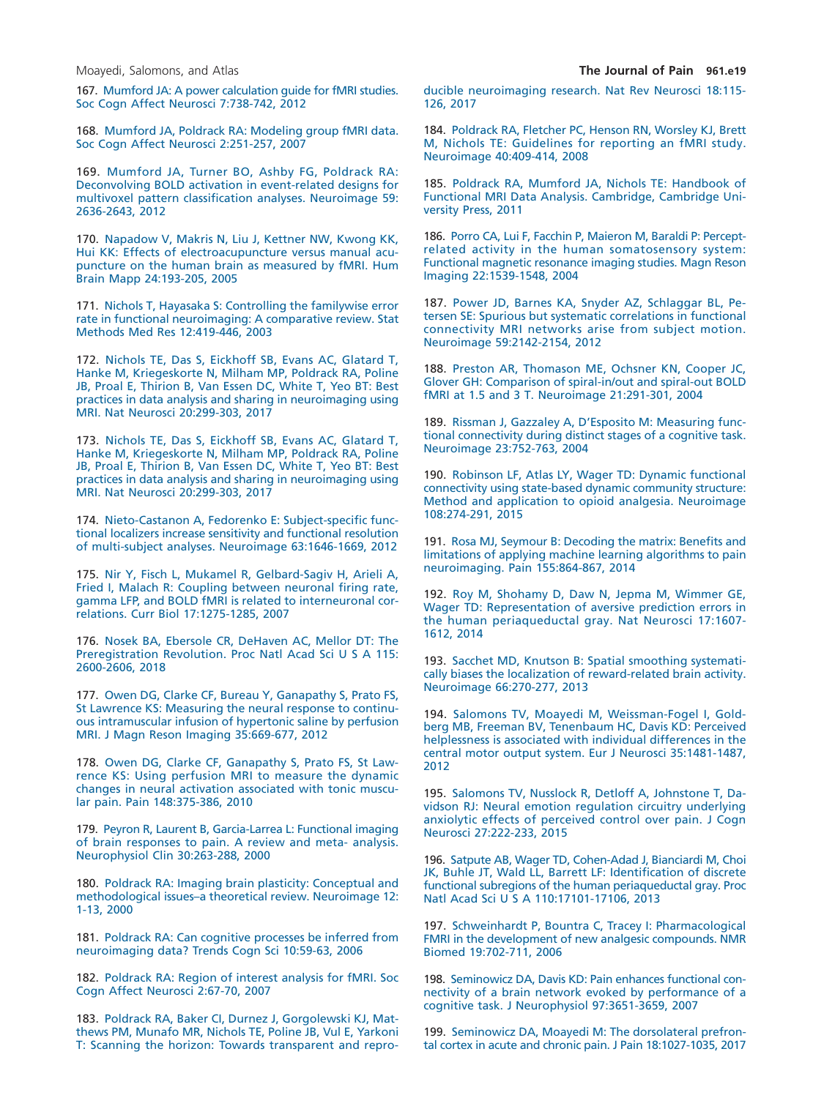<span id="page-18-1"></span>167. [Mumford JA: A power calculation guide for fMRI studies.](http://refhub.elsevier.com/S1526-5900(18)30122-6/sr0845) [Soc Cogn Affect Neurosci 7:738-742, 2012](http://refhub.elsevier.com/S1526-5900(18)30122-6/sr0845)

168. [Mumford JA, Poldrack RA: Modeling group fMRI data.](http://refhub.elsevier.com/S1526-5900(18)30122-6/sr0850) [Soc Cogn Affect Neurosci 2:251-257, 2007](http://refhub.elsevier.com/S1526-5900(18)30122-6/sr0850)

<span id="page-18-5"></span>169. [Mumford JA, Turner BO, Ashby FG, Poldrack RA:](http://refhub.elsevier.com/S1526-5900(18)30122-6/sr0855) [Deconvolving BOLD activation in event-related designs for](http://refhub.elsevier.com/S1526-5900(18)30122-6/sr0855) [multivoxel pattern classification analyses. Neuroimage 59:](http://refhub.elsevier.com/S1526-5900(18)30122-6/sr0855) [2636-2643, 2012](http://refhub.elsevier.com/S1526-5900(18)30122-6/sr0855)

170. [Napadow V, Makris N, Liu J, Kettner NW, Kwong KK,](http://refhub.elsevier.com/S1526-5900(18)30122-6/sr0860) [Hui KK: Effects of electroacupuncture versus manual acu](http://refhub.elsevier.com/S1526-5900(18)30122-6/sr0860)[puncture on the human brain as measured by fMRI. Hum](http://refhub.elsevier.com/S1526-5900(18)30122-6/sr0860) [Brain Mapp 24:193-205, 2005](http://refhub.elsevier.com/S1526-5900(18)30122-6/sr0860)

171. [Nichols T, Hayasaka S: Controlling the familywise error](http://refhub.elsevier.com/S1526-5900(18)30122-6/sr0865) [rate in functional neuroimaging: A comparative review. Stat](http://refhub.elsevier.com/S1526-5900(18)30122-6/sr0865) [Methods Med Res 12:419-446, 2003](http://refhub.elsevier.com/S1526-5900(18)30122-6/sr0865)

172. [Nichols TE, Das S, Eickhoff SB, Evans AC, Glatard T,](http://refhub.elsevier.com/S1526-5900(18)30122-6/sr0870) [Hanke M, Kriegeskorte N, Milham MP, Poldrack RA, Poline](http://refhub.elsevier.com/S1526-5900(18)30122-6/sr0870) [JB, Proal E, Thirion B, Van Essen DC, White T, Yeo BT: Best](http://refhub.elsevier.com/S1526-5900(18)30122-6/sr0870) [practices in data analysis and sharing in neuroimaging using](http://refhub.elsevier.com/S1526-5900(18)30122-6/sr0870) [MRI. Nat Neurosci 20:299-303, 2017](http://refhub.elsevier.com/S1526-5900(18)30122-6/sr0870)

<span id="page-18-3"></span>173. [Nichols TE, Das S, Eickhoff SB, Evans AC, Glatard T,](http://refhub.elsevier.com/S1526-5900(18)30122-6/sr0875) [Hanke M, Kriegeskorte N, Milham MP, Poldrack RA, Poline](http://refhub.elsevier.com/S1526-5900(18)30122-6/sr0875) [JB, Proal E, Thirion B, Van Essen DC, White T, Yeo BT: Best](http://refhub.elsevier.com/S1526-5900(18)30122-6/sr0875) [practices in data analysis and sharing in neuroimaging using](http://refhub.elsevier.com/S1526-5900(18)30122-6/sr0875) [MRI. Nat Neurosci 20:299-303, 2017](http://refhub.elsevier.com/S1526-5900(18)30122-6/sr0875)

174. [Nieto-Castanon A, Fedorenko E: Subject-specific func](http://refhub.elsevier.com/S1526-5900(18)30122-6/sr0880)[tional localizers increase sensitivity and functional resolution](http://refhub.elsevier.com/S1526-5900(18)30122-6/sr0880) [of multi-subject analyses. Neuroimage 63:1646-1669, 2012](http://refhub.elsevier.com/S1526-5900(18)30122-6/sr0880)

175. [Nir Y, Fisch L, Mukamel R, Gelbard-Sagiv H, Arieli A,](http://refhub.elsevier.com/S1526-5900(18)30122-6/sr0885) [Fried I, Malach R: Coupling between neuronal firing rate,](http://refhub.elsevier.com/S1526-5900(18)30122-6/sr0885) [gamma LFP, and BOLD fMRI is related to interneuronal cor](http://refhub.elsevier.com/S1526-5900(18)30122-6/sr0885)[relations. Curr Biol 17:1275-1285, 2007](http://refhub.elsevier.com/S1526-5900(18)30122-6/sr0885)

<span id="page-18-2"></span>176. [Nosek BA, Ebersole CR, DeHaven AC, Mellor DT: The](http://refhub.elsevier.com/S1526-5900(18)30122-6/sr0890) Preregistration Revolution. Proc Natl Acad Sci U S A 115: [2600-2606, 2018](http://refhub.elsevier.com/S1526-5900(18)30122-6/sr0890)

177. [Owen DG, Clarke CF, Bureau Y, Ganapathy S, Prato FS,](http://refhub.elsevier.com/S1526-5900(18)30122-6/sr0895) [St Lawrence KS: Measuring the neural response to continu](http://refhub.elsevier.com/S1526-5900(18)30122-6/sr0895)[ous intramuscular infusion of hypertonic saline by perfusion](http://refhub.elsevier.com/S1526-5900(18)30122-6/sr0895) [MRI. J Magn Reson Imaging 35:669-677, 2012](http://refhub.elsevier.com/S1526-5900(18)30122-6/sr0895)

178. [Owen DG, Clarke CF, Ganapathy S, Prato FS, St Law](http://refhub.elsevier.com/S1526-5900(18)30122-6/sr0900)[rence KS: Using perfusion MRI to measure the dynamic](http://refhub.elsevier.com/S1526-5900(18)30122-6/sr0900) [changes in neural activation associated with tonic muscu](http://refhub.elsevier.com/S1526-5900(18)30122-6/sr0900)[lar pain. Pain 148:375-386, 2010](http://refhub.elsevier.com/S1526-5900(18)30122-6/sr0900)

179. [Peyron R, Laurent B, Garcia-Larrea L: Functional imaging](http://refhub.elsevier.com/S1526-5900(18)30122-6/sr0905) [of brain responses to pain. A review and meta- analysis.](http://refhub.elsevier.com/S1526-5900(18)30122-6/sr0905) [Neurophysiol Clin 30:263-288, 2000](http://refhub.elsevier.com/S1526-5900(18)30122-6/sr0905)

180. [Poldrack RA: Imaging brain plasticity: Conceptual and](http://refhub.elsevier.com/S1526-5900(18)30122-6/sr0910) [methodological issues–a theoretical review. Neuroimage 12:](http://refhub.elsevier.com/S1526-5900(18)30122-6/sr0910) [1-13, 2000](http://refhub.elsevier.com/S1526-5900(18)30122-6/sr0910)

181. [Poldrack RA: Can cognitive processes be inferred from](http://refhub.elsevier.com/S1526-5900(18)30122-6/sr0915) [neuroimaging data? Trends Cogn Sci 10:59-63, 2006](http://refhub.elsevier.com/S1526-5900(18)30122-6/sr0915)

182. [Poldrack RA: Region of interest analysis for fMRI. Soc](http://refhub.elsevier.com/S1526-5900(18)30122-6/sr0920) [Cogn Affect Neurosci 2:67-70, 2007](http://refhub.elsevier.com/S1526-5900(18)30122-6/sr0920)

183. [Poldrack RA, Baker CI, Durnez J, Gorgolewski KJ, Mat](http://refhub.elsevier.com/S1526-5900(18)30122-6/sr0925)[thews PM, Munafo MR, Nichols TE, Poline JB, Vul E, Yarkoni](http://refhub.elsevier.com/S1526-5900(18)30122-6/sr0925) [T: Scanning the horizon: Towards transparent and repro-](http://refhub.elsevier.com/S1526-5900(18)30122-6/sr0925) [ducible neuroimaging research. Nat Rev Neurosci 18:115-](http://refhub.elsevier.com/S1526-5900(18)30122-6/sr0925) [126, 2017](http://refhub.elsevier.com/S1526-5900(18)30122-6/sr0925)

184. [Poldrack RA, Fletcher PC, Henson RN, Worsley KJ, Brett](http://refhub.elsevier.com/S1526-5900(18)30122-6/sr0930) [M, Nichols TE: Guidelines for reporting an fMRI study.](http://refhub.elsevier.com/S1526-5900(18)30122-6/sr0930) [Neuroimage 40:409-414, 2008](http://refhub.elsevier.com/S1526-5900(18)30122-6/sr0930)

<span id="page-18-6"></span>185. [Poldrack RA, Mumford JA, Nichols TE: Handbook of](http://refhub.elsevier.com/S1526-5900(18)30122-6/sr0935) [Functional MRI Data Analysis. Cambridge, Cambridge Uni](http://refhub.elsevier.com/S1526-5900(18)30122-6/sr0935)[versity Press, 2011](http://refhub.elsevier.com/S1526-5900(18)30122-6/sr0935)

<span id="page-18-11"></span>186. [Porro CA, Lui F, Facchin P, Maieron M, Baraldi P: Percept](http://refhub.elsevier.com/S1526-5900(18)30122-6/sr0940)[related activity in the human somatosensory system:](http://refhub.elsevier.com/S1526-5900(18)30122-6/sr0940) [Functional magnetic resonance imaging studies. Magn Reson](http://refhub.elsevier.com/S1526-5900(18)30122-6/sr0940) [Imaging 22:1539-1548, 2004](http://refhub.elsevier.com/S1526-5900(18)30122-6/sr0940)

<span id="page-18-0"></span>187. [Power JD, Barnes KA, Snyder AZ, Schlaggar BL, Pe](http://refhub.elsevier.com/S1526-5900(18)30122-6/sr0945)[tersen SE: Spurious but systematic correlations in functional](http://refhub.elsevier.com/S1526-5900(18)30122-6/sr0945) [connectivity MRI networks arise from subject motion.](http://refhub.elsevier.com/S1526-5900(18)30122-6/sr0945) [Neuroimage 59:2142-2154, 2012](http://refhub.elsevier.com/S1526-5900(18)30122-6/sr0945)

188. [Preston AR, Thomason ME, Ochsner KN, Cooper JC,](http://refhub.elsevier.com/S1526-5900(18)30122-6/sr0950) [Glover GH: Comparison of spiral-in/out and spiral-out BOLD](http://refhub.elsevier.com/S1526-5900(18)30122-6/sr0950) [fMRI at 1.5 and 3 T. Neuroimage 21:291-301, 2004](http://refhub.elsevier.com/S1526-5900(18)30122-6/sr0950)

189. [Rissman J, Gazzaley A, D'Esposito M: Measuring func](http://refhub.elsevier.com/S1526-5900(18)30122-6/sr0955)[tional connectivity during distinct stages of a cognitive task.](http://refhub.elsevier.com/S1526-5900(18)30122-6/sr0955) [Neuroimage 23:752-763, 2004](http://refhub.elsevier.com/S1526-5900(18)30122-6/sr0955)

<span id="page-18-9"></span>190. [Robinson LF, Atlas LY, Wager TD: Dynamic functional](http://refhub.elsevier.com/S1526-5900(18)30122-6/sr0960) [connectivity using state-based dynamic community structure:](http://refhub.elsevier.com/S1526-5900(18)30122-6/sr0960) [Method and application to opioid analgesia. Neuroimage](http://refhub.elsevier.com/S1526-5900(18)30122-6/sr0960) [108:274-291, 2015](http://refhub.elsevier.com/S1526-5900(18)30122-6/sr0960)

191. [Rosa MJ, Seymour B: Decoding the matrix: Benefits and](http://refhub.elsevier.com/S1526-5900(18)30122-6/sr0965) [limitations of applying machine learning algorithms to pain](http://refhub.elsevier.com/S1526-5900(18)30122-6/sr0965) [neuroimaging. Pain 155:864-867, 2014](http://refhub.elsevier.com/S1526-5900(18)30122-6/sr0965)

<span id="page-18-13"></span>192. [Roy M, Shohamy D, Daw N, Jepma M, Wimmer GE,](http://refhub.elsevier.com/S1526-5900(18)30122-6/sr0970) [Wager TD: Representation of aversive prediction errors in](http://refhub.elsevier.com/S1526-5900(18)30122-6/sr0970) [the human periaqueductal gray. Nat Neurosci 17:1607-](http://refhub.elsevier.com/S1526-5900(18)30122-6/sr0970) [1612, 2014](http://refhub.elsevier.com/S1526-5900(18)30122-6/sr0970)

<span id="page-18-4"></span>193. [Sacchet MD, Knutson B: Spatial smoothing systemati](http://refhub.elsevier.com/S1526-5900(18)30122-6/sr0975)[cally biases the localization of reward-related brain activity.](http://refhub.elsevier.com/S1526-5900(18)30122-6/sr0975) [Neuroimage 66:270-277, 2013](http://refhub.elsevier.com/S1526-5900(18)30122-6/sr0975)

<span id="page-18-10"></span>194. [Salomons TV, Moayedi M, Weissman-Fogel I, Gold](http://refhub.elsevier.com/S1526-5900(18)30122-6/sr0980)[berg MB, Freeman BV, Tenenbaum HC, Davis KD: Perceived](http://refhub.elsevier.com/S1526-5900(18)30122-6/sr0980) [helplessness is associated with individual differences in the](http://refhub.elsevier.com/S1526-5900(18)30122-6/sr0980) [central motor output system. Eur J Neurosci 35:1481-1487,](http://refhub.elsevier.com/S1526-5900(18)30122-6/sr0980) [2012](http://refhub.elsevier.com/S1526-5900(18)30122-6/sr0980)

<span id="page-18-8"></span>195. [Salomons TV, Nusslock R, Detloff A, Johnstone T, Da](http://refhub.elsevier.com/S1526-5900(18)30122-6/sr0985)[vidson RJ: Neural emotion regulation circuitry underlying](http://refhub.elsevier.com/S1526-5900(18)30122-6/sr0985) [anxiolytic effects of perceived control over pain. J Cogn](http://refhub.elsevier.com/S1526-5900(18)30122-6/sr0985) [Neurosci 27:222-233, 2015](http://refhub.elsevier.com/S1526-5900(18)30122-6/sr0985)

196. [Satpute AB, Wager TD, Cohen-Adad J, Bianciardi M, Choi](http://refhub.elsevier.com/S1526-5900(18)30122-6/sr0990) [JK, Buhle JT, Wald LL, Barrett LF: Identification of discrete](http://refhub.elsevier.com/S1526-5900(18)30122-6/sr0990) [functional subregions of the human periaqueductal gray. Proc](http://refhub.elsevier.com/S1526-5900(18)30122-6/sr0990) Natl Acad Sci U S A [110:17101-17106, 2013](http://refhub.elsevier.com/S1526-5900(18)30122-6/sr0990)

197. [Schweinhardt P, Bountra C, Tracey I: Pharmacological](http://refhub.elsevier.com/S1526-5900(18)30122-6/sr0995) [FMRI in the development of new analgesic compounds. NMR](http://refhub.elsevier.com/S1526-5900(18)30122-6/sr0995) [Biomed 19:702-711, 2006](http://refhub.elsevier.com/S1526-5900(18)30122-6/sr0995)

<span id="page-18-7"></span>198. [Seminowicz DA, Davis KD: Pain enhances functional con](http://refhub.elsevier.com/S1526-5900(18)30122-6/sr1000)[nectivity of a brain network evoked by performance of a](http://refhub.elsevier.com/S1526-5900(18)30122-6/sr1000) [cognitive task. J Neurophysiol 97:3651-3659, 2007](http://refhub.elsevier.com/S1526-5900(18)30122-6/sr1000)

<span id="page-18-12"></span>199. [Seminowicz DA, Moayedi M: The dorsolateral prefron](http://refhub.elsevier.com/S1526-5900(18)30122-6/sr1005)[tal cortex in acute and chronic pain. J Pain 18:1027-1035, 2017](http://refhub.elsevier.com/S1526-5900(18)30122-6/sr1005)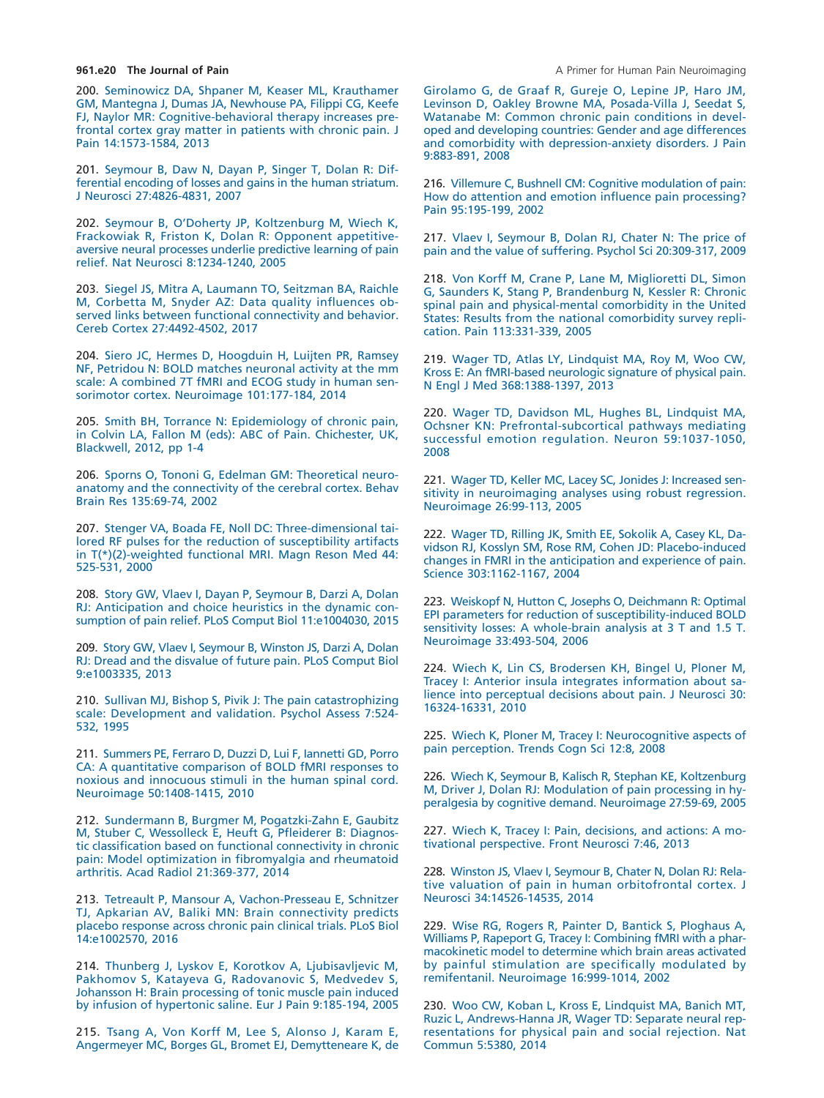200. [Seminowicz DA, Shpaner M, Keaser ML, Krauthamer](http://refhub.elsevier.com/S1526-5900(18)30122-6/sr1010) [GM, Mantegna J, Dumas JA, Newhouse PA, Filippi CG, Keefe](http://refhub.elsevier.com/S1526-5900(18)30122-6/sr1010) [FJ, Naylor MR: Cognitive-behavioral therapy increases pre](http://refhub.elsevier.com/S1526-5900(18)30122-6/sr1010)[frontal cortex gray matter in patients with chronic pain. J](http://refhub.elsevier.com/S1526-5900(18)30122-6/sr1010) [Pain 14:1573-1584, 2013](http://refhub.elsevier.com/S1526-5900(18)30122-6/sr1010)

201. [Seymour B, Daw N, Dayan P, Singer T, Dolan R: Dif](http://refhub.elsevier.com/S1526-5900(18)30122-6/sr1015)[ferential encoding of losses and gains in the human striatum.](http://refhub.elsevier.com/S1526-5900(18)30122-6/sr1015) [J Neurosci 27:4826-4831, 2007](http://refhub.elsevier.com/S1526-5900(18)30122-6/sr1015)

202. [Seymour B, O'Doherty JP, Koltzenburg M, Wiech K,](http://refhub.elsevier.com/S1526-5900(18)30122-6/sr1020) [Frackowiak R, Friston K, Dolan R: Opponent appetitive](http://refhub.elsevier.com/S1526-5900(18)30122-6/sr1020)[aversive neural processes underlie predictive learning of pain](http://refhub.elsevier.com/S1526-5900(18)30122-6/sr1020) [relief. Nat Neurosci 8:1234-1240, 2005](http://refhub.elsevier.com/S1526-5900(18)30122-6/sr1020)

<span id="page-19-2"></span>203. [Siegel JS, Mitra A, Laumann TO, Seitzman BA, Raichle](http://refhub.elsevier.com/S1526-5900(18)30122-6/sr1025) [M, Corbetta M, Snyder AZ: Data quality influences ob](http://refhub.elsevier.com/S1526-5900(18)30122-6/sr1025)[served links between functional connectivity and behavior.](http://refhub.elsevier.com/S1526-5900(18)30122-6/sr1025) [Cereb Cortex 27:4492-4502, 2017](http://refhub.elsevier.com/S1526-5900(18)30122-6/sr1025)

204. [Siero JC, Hermes D, Hoogduin H, Luijten PR, Ramsey](http://refhub.elsevier.com/S1526-5900(18)30122-6/sr1030) [NF, Petridou N: BOLD matches neuronal activity at the mm](http://refhub.elsevier.com/S1526-5900(18)30122-6/sr1030) [scale: A combined 7T fMRI and ECOG study in human sen](http://refhub.elsevier.com/S1526-5900(18)30122-6/sr1030)[sorimotor cortex. Neuroimage 101:177-184, 2014](http://refhub.elsevier.com/S1526-5900(18)30122-6/sr1030)

<span id="page-19-0"></span>205. [Smith BH, Torrance N: Epidemiology of chronic pain,](http://refhub.elsevier.com/S1526-5900(18)30122-6/sr1035) [in Colvin LA, Fallon M \(eds\): ABC of Pain. Chichester, UK,](http://refhub.elsevier.com/S1526-5900(18)30122-6/sr1035) [Blackwell, 2012, pp 1-4](http://refhub.elsevier.com/S1526-5900(18)30122-6/sr1035)

206. [Sporns O, Tononi G, Edelman GM: Theoretical neuro](http://refhub.elsevier.com/S1526-5900(18)30122-6/sr1040)[anatomy and the connectivity of the cerebral cortex. Behav](http://refhub.elsevier.com/S1526-5900(18)30122-6/sr1040) [Brain Res 135:69-74, 2002](http://refhub.elsevier.com/S1526-5900(18)30122-6/sr1040)

207. [Stenger VA, Boada FE, Noll DC: Three-dimensional tai](http://refhub.elsevier.com/S1526-5900(18)30122-6/sr1045)[lored RF pulses for the reduction of susceptibility artifacts](http://refhub.elsevier.com/S1526-5900(18)30122-6/sr1045) [in T\(\\*\)\(2\)-weighted functional MRI. Magn Reson Med 44:](http://refhub.elsevier.com/S1526-5900(18)30122-6/sr1045) [525-531, 2000](http://refhub.elsevier.com/S1526-5900(18)30122-6/sr1045)

208. [Story GW, Vlaev I, Dayan P, Seymour B, Darzi A, Dolan](http://refhub.elsevier.com/S1526-5900(18)30122-6/sr1050) [RJ: Anticipation and choice heuristics in the dynamic con](http://refhub.elsevier.com/S1526-5900(18)30122-6/sr1050)[sumption of pain relief. PLoS Comput Biol 11:e1004030, 2015](http://refhub.elsevier.com/S1526-5900(18)30122-6/sr1050)

209. [Story GW, Vlaev I, Seymour B, Winston JS, Darzi A, Dolan](http://refhub.elsevier.com/S1526-5900(18)30122-6/sr1055) [RJ: Dread and the disvalue of future pain. PLoS Comput Biol](http://refhub.elsevier.com/S1526-5900(18)30122-6/sr1055) [9:e1003335, 2013](http://refhub.elsevier.com/S1526-5900(18)30122-6/sr1055)

<span id="page-19-3"></span>210. [Sullivan MJ, Bishop S, Pivik J: The pain catastrophizing](http://refhub.elsevier.com/S1526-5900(18)30122-6/sr1060) [scale: Development and validation. Psychol Assess 7:524-](http://refhub.elsevier.com/S1526-5900(18)30122-6/sr1060) [532, 1995](http://refhub.elsevier.com/S1526-5900(18)30122-6/sr1060)

211. [Summers PE, Ferraro D, Duzzi D, Lui F, Iannetti GD, Porro](http://refhub.elsevier.com/S1526-5900(18)30122-6/sr1065) [CA: A quantitative comparison of BOLD fMRI responses to](http://refhub.elsevier.com/S1526-5900(18)30122-6/sr1065) [noxious and innocuous stimuli in the human spinal cord.](http://refhub.elsevier.com/S1526-5900(18)30122-6/sr1065) [Neuroimage 50:1408-1415, 2010](http://refhub.elsevier.com/S1526-5900(18)30122-6/sr1065)

212. [Sundermann B, Burgmer M, Pogatzki-Zahn E, Gaubitz](http://refhub.elsevier.com/S1526-5900(18)30122-6/sr1070) [M, Stuber C, Wessolleck E, Heuft G, Pfleiderer B: Diagnos](http://refhub.elsevier.com/S1526-5900(18)30122-6/sr1070)[tic classification based on functional connectivity in chronic](http://refhub.elsevier.com/S1526-5900(18)30122-6/sr1070) [pain: Model optimization in fibromyalgia and rheumatoid](http://refhub.elsevier.com/S1526-5900(18)30122-6/sr1070) [arthritis. Acad Radiol 21:369-377, 2014](http://refhub.elsevier.com/S1526-5900(18)30122-6/sr1070)

213. [Tetreault P, Mansour A, Vachon-Presseau E, Schnitzer](http://refhub.elsevier.com/S1526-5900(18)30122-6/sr1075) [TJ, Apkarian AV, Baliki MN: Brain connectivity predicts](http://refhub.elsevier.com/S1526-5900(18)30122-6/sr1075) [placebo response across chronic pain clinical trials. PLoS Biol](http://refhub.elsevier.com/S1526-5900(18)30122-6/sr1075) [14:e1002570, 2016](http://refhub.elsevier.com/S1526-5900(18)30122-6/sr1075)

214. [Thunberg J, Lyskov E, Korotkov A, Ljubisavljevic M,](http://refhub.elsevier.com/S1526-5900(18)30122-6/sr1080) [Pakhomov S, Katayeva G, Radovanovic S, Medvedev S,](http://refhub.elsevier.com/S1526-5900(18)30122-6/sr1080) [Johansson H: Brain processing of tonic muscle pain induced](http://refhub.elsevier.com/S1526-5900(18)30122-6/sr1080) [by infusion of hypertonic saline. Eur J Pain 9:185-194, 2005](http://refhub.elsevier.com/S1526-5900(18)30122-6/sr1080)

<span id="page-19-1"></span>215. [Tsang A, Von Korff M, Lee S, Alonso J, Karam E,](http://refhub.elsevier.com/S1526-5900(18)30122-6/sr1085) [Angermeyer MC, Borges GL, Bromet EJ, Demytteneare K, de](http://refhub.elsevier.com/S1526-5900(18)30122-6/sr1085) [Girolamo G, de Graaf R, Gureje O, Lepine JP, Haro JM,](http://refhub.elsevier.com/S1526-5900(18)30122-6/sr1085) [Levinson D, Oakley Browne MA, Posada-Villa J, Seedat S,](http://refhub.elsevier.com/S1526-5900(18)30122-6/sr1085) [Watanabe M: Common chronic pain conditions in devel](http://refhub.elsevier.com/S1526-5900(18)30122-6/sr1085)[oped and developing countries: Gender and age differences](http://refhub.elsevier.com/S1526-5900(18)30122-6/sr1085) [and comorbidity with depression-anxiety disorders. J Pain](http://refhub.elsevier.com/S1526-5900(18)30122-6/sr1085) [9:883-891, 2008](http://refhub.elsevier.com/S1526-5900(18)30122-6/sr1085)

216. [Villemure C, Bushnell CM: Cognitive modulation of pain:](http://refhub.elsevier.com/S1526-5900(18)30122-6/sr1090) [How do attention and emotion influence pain processing?](http://refhub.elsevier.com/S1526-5900(18)30122-6/sr1090) [Pain 95:195-199, 2002](http://refhub.elsevier.com/S1526-5900(18)30122-6/sr1090)

217. [Vlaev I, Seymour B, Dolan RJ, Chater N: The price of](http://refhub.elsevier.com/S1526-5900(18)30122-6/sr1095) [pain and the value of suffering. Psychol Sci 20:309-317, 2009](http://refhub.elsevier.com/S1526-5900(18)30122-6/sr1095)

218. [Von Korff M, Crane P, Lane M, Miglioretti DL, Simon](http://refhub.elsevier.com/S1526-5900(18)30122-6/sr1100) [G, Saunders K, Stang P, Brandenburg N, Kessler R: Chronic](http://refhub.elsevier.com/S1526-5900(18)30122-6/sr1100) [spinal pain and physical-mental comorbidity in the United](http://refhub.elsevier.com/S1526-5900(18)30122-6/sr1100) [States: Results from the national comorbidity survey repli](http://refhub.elsevier.com/S1526-5900(18)30122-6/sr1100)[cation. Pain 113:331-339, 2005](http://refhub.elsevier.com/S1526-5900(18)30122-6/sr1100)

219. [Wager TD, Atlas LY, Lindquist MA, Roy M, Woo CW,](http://refhub.elsevier.com/S1526-5900(18)30122-6/sr1105) [Kross E: An fMRI-based neurologic signature of physical pain.](http://refhub.elsevier.com/S1526-5900(18)30122-6/sr1105) [N Engl J Med 368:1388-1397, 2013](http://refhub.elsevier.com/S1526-5900(18)30122-6/sr1105)

220. [Wager TD, Davidson ML, Hughes BL, Lindquist MA,](http://refhub.elsevier.com/S1526-5900(18)30122-6/sr1110) [Ochsner KN: Prefrontal-subcortical pathways mediating](http://refhub.elsevier.com/S1526-5900(18)30122-6/sr1110) [successful emotion regulation. Neuron 59:1037-1050,](http://refhub.elsevier.com/S1526-5900(18)30122-6/sr1110) [2008](http://refhub.elsevier.com/S1526-5900(18)30122-6/sr1110)

221. [Wager TD, Keller MC, Lacey SC, Jonides J: Increased sen](http://refhub.elsevier.com/S1526-5900(18)30122-6/sr1115)[sitivity in neuroimaging analyses using robust regression.](http://refhub.elsevier.com/S1526-5900(18)30122-6/sr1115) [Neuroimage 26:99-113, 2005](http://refhub.elsevier.com/S1526-5900(18)30122-6/sr1115)

222. [Wager TD, Rilling JK, Smith EE, Sokolik A, Casey KL, Da](http://refhub.elsevier.com/S1526-5900(18)30122-6/sr1120)[vidson RJ, Kosslyn SM, Rose RM, Cohen JD: Placebo-induced](http://refhub.elsevier.com/S1526-5900(18)30122-6/sr1120) [changes in FMRI in the anticipation and experience of pain.](http://refhub.elsevier.com/S1526-5900(18)30122-6/sr1120) [Science 303:1162-1167, 2004](http://refhub.elsevier.com/S1526-5900(18)30122-6/sr1120)

223. [Weiskopf N, Hutton C, Josephs O, Deichmann R: Optimal](http://refhub.elsevier.com/S1526-5900(18)30122-6/sr1125) [EPI parameters for reduction of susceptibility-induced BOLD](http://refhub.elsevier.com/S1526-5900(18)30122-6/sr1125) [sensitivity losses: A whole-brain analysis at 3 T and 1.5 T.](http://refhub.elsevier.com/S1526-5900(18)30122-6/sr1125) [Neuroimage 33:493-504, 2006](http://refhub.elsevier.com/S1526-5900(18)30122-6/sr1125)

224. [Wiech K, Lin CS, Brodersen KH, Bingel U, Ploner M,](http://refhub.elsevier.com/S1526-5900(18)30122-6/sr1130) [Tracey I: Anterior insula integrates information about sa](http://refhub.elsevier.com/S1526-5900(18)30122-6/sr1130)[lience into perceptual decisions about pain. J Neurosci 30:](http://refhub.elsevier.com/S1526-5900(18)30122-6/sr1130) [16324-16331, 2010](http://refhub.elsevier.com/S1526-5900(18)30122-6/sr1130)

225. [Wiech K, Ploner M, Tracey I: Neurocognitive aspects of](http://refhub.elsevier.com/S1526-5900(18)30122-6/sr1135) [pain perception. Trends Cogn Sci 12:8, 2008](http://refhub.elsevier.com/S1526-5900(18)30122-6/sr1135)

226. [Wiech K, Seymour B, Kalisch R, Stephan KE, Koltzenburg](http://refhub.elsevier.com/S1526-5900(18)30122-6/sr1140) [M, Driver J, Dolan RJ: Modulation of pain processing in hy](http://refhub.elsevier.com/S1526-5900(18)30122-6/sr1140)[peralgesia by cognitive demand. Neuroimage 27:59-69, 2005](http://refhub.elsevier.com/S1526-5900(18)30122-6/sr1140)

227. [Wiech K, Tracey I: Pain, decisions, and actions: A mo](http://refhub.elsevier.com/S1526-5900(18)30122-6/sr1145)[tivational perspective. Front Neurosci 7:46, 2013](http://refhub.elsevier.com/S1526-5900(18)30122-6/sr1145)

228. [Winston JS, Vlaev I, Seymour B, Chater N, Dolan RJ: Rela](http://refhub.elsevier.com/S1526-5900(18)30122-6/sr1150)[tive valuation of pain in human orbitofrontal cortex. J](http://refhub.elsevier.com/S1526-5900(18)30122-6/sr1150) [Neurosci 34:14526-14535, 2014](http://refhub.elsevier.com/S1526-5900(18)30122-6/sr1150)

229. [Wise RG, Rogers R, Painter D, Bantick S, Ploghaus A,](http://refhub.elsevier.com/S1526-5900(18)30122-6/sr1155) [Williams P, Rapeport G, Tracey I: Combining fMRI with a phar](http://refhub.elsevier.com/S1526-5900(18)30122-6/sr1155)[macokinetic model to determine which brain areas activated](http://refhub.elsevier.com/S1526-5900(18)30122-6/sr1155) [by painful stimulation are specifically modulated by](http://refhub.elsevier.com/S1526-5900(18)30122-6/sr1155) [remifentanil. Neuroimage 16:999-1014, 2002](http://refhub.elsevier.com/S1526-5900(18)30122-6/sr1155)

230. [Woo CW, Koban L, Kross E, Lindquist MA, Banich MT,](http://refhub.elsevier.com/S1526-5900(18)30122-6/sr1160) [Ruzic L, Andrews-Hanna JR, Wager TD: Separate neural rep](http://refhub.elsevier.com/S1526-5900(18)30122-6/sr1160)[resentations for physical pain and social rejection. Nat](http://refhub.elsevier.com/S1526-5900(18)30122-6/sr1160) [Commun 5:5380, 2014](http://refhub.elsevier.com/S1526-5900(18)30122-6/sr1160)